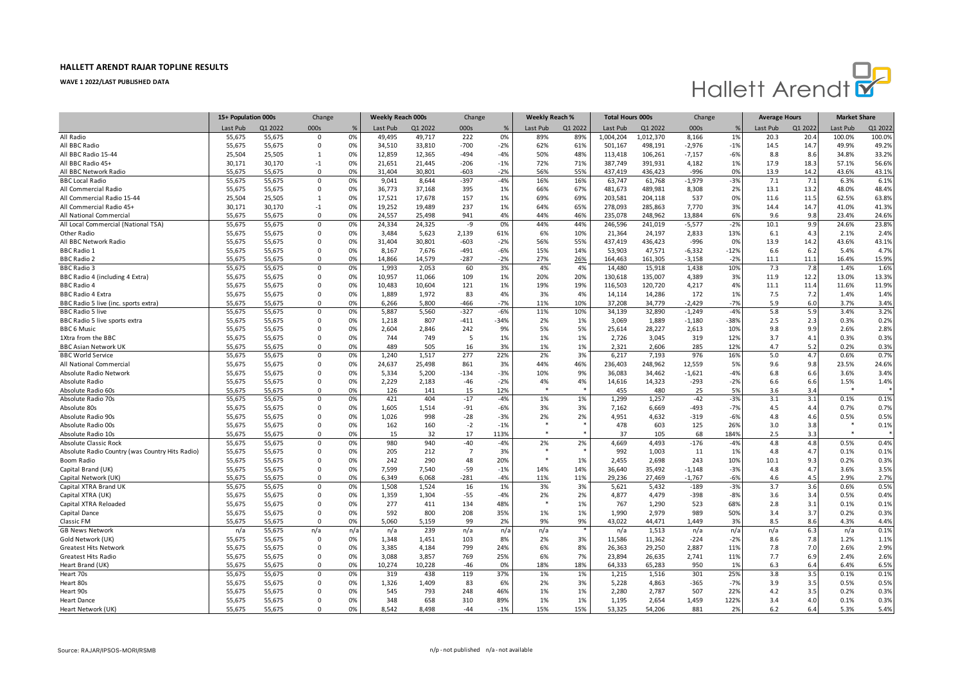

|                                                         | 15+ Population 000s |                  | Change                  |          | Weekly Reach 000s |                | Change          |                | <b>Weekly Reach %</b> |          | <b>Total Hours 000s</b> |                  | Change             |             | <b>Average Hours</b> |            | <b>Market Share</b> |               |
|---------------------------------------------------------|---------------------|------------------|-------------------------|----------|-------------------|----------------|-----------------|----------------|-----------------------|----------|-------------------------|------------------|--------------------|-------------|----------------------|------------|---------------------|---------------|
|                                                         | Last Pub            | Q1 2022          | 000s                    | %        | Last Pub          | Q1 2022        | 000s            | %              | Last Pub              | Q1 2022  | Last Pub                | Q1 2022          | 000s               |             | Last Pub             | Q1 2022    | Last Pub            | Q1 2022       |
| All Radio                                               | 55,675              | 55,675           | $\Omega$                | 0%       | 49,495            | 49,717         | 222             | 0%             | 89%                   | 89%      | 1,004,204               | 1,012,370        | 8,166              | 1%          | 20.3                 | 20.4       | 100.0%              | 100.0%        |
| All BBC Radio                                           | 55,675              | 55,675           | $\mathbf 0$             | 0%       | 34,510            | 33,810         | $-700$          | $-2%$          | 62%                   | 61%      | 501,167                 | 498,191          | $-2,976$           | $-1%$       | 14.5                 | 14.7       | 49.9%               | 49.2%         |
| All BBC Radio 15-44                                     | 25,504              | 25,505           | $\mathbf{1}$            | 0%       | 12,859            | 12,365         | $-494$          | $-4%$          | 50%                   | 48%      | 113,418                 | 106,261          | $-7,157$           | $-6%$       | 8.8                  | 8.6        | 34.8%               | 33.2%         |
| All BBC Radio 45+                                       | 30,171              | 30,170           | $-1$                    | 0%       | 21,651            | 21,445         | $-206$          | $-1%$          | 72%                   | 71%      | 387,749                 | 391,931          | 4,182              | 1%          | 17.9                 | 18.3       | 57.1%               | 56.6%         |
| All BBC Network Radio                                   | 55,675              | 55,675           | $\Omega$                | 0%       | 31,404            | 30,801         | $-603$          | $-2%$          | 56%                   | 55%      | 437,419                 | 436,423          | $-996$             | 0%          | 13.9                 | 14.2       | 43.6%               | 43.1%         |
| <b>BBC Local Radio</b>                                  | 55,675              | 55,675           | $\Omega$                | 0%       | 9,041             | 8,644          | $-397$          | $-4%$          | 16%                   | 16%      | 63,747                  | 61,768           | $-1,979$           | $-3%$       | 7.1                  | 7.1        | 6.3%                | 6.1%          |
| All Commercial Radio                                    | 55,675              | 55,675           | $\mathbf 0$             | 0%       | 36,773            | 37,168         | 395             | 1%             | 66%                   | 67%      | 481,673                 | 489,981          | 8,308              | 2%          | 13.1                 | 13.2       | 48.0%               | 48.4%         |
| All Commercial Radio 15-44                              | 25,504              | 25,505           | $\mathbf{1}$            | 0%       | 17,521            | 17,678         | 157             | 1%             | 69%                   | 69%      | 203,581                 | 204,118          | 537                | 0%          | 11.6                 | 11.5       | 62.5%               | 63.8%         |
| All Commercial Radio 45+                                | 30,171              | 30,170           | $-1$                    | 0%       | 19,252            | 19,489         | 237             | 1%             | 64%                   | 65%      | 278,093                 | 285,863          | 7,770              | 3%          | 14.4                 | 14.7       | 41.0%               | 41.3%         |
| All National Commercia                                  | 55,675              | 55,675           | $\Omega$                | 0%       | 24,557            | 25,498         | 941             | 4%             | 44%                   | 46%      | 235,078                 | 248,962          | 13,884             | 6%          | 9.6                  | 9.8        | 23.4%               | 24.6%         |
| All Local Commercial (National TSA)                     | 55,675              | 55,675           | $\Omega$                | 0%       | 24,334            | 24,325         | -9              | 0%             | 44%                   | 44%      | 246,596                 | 241,019          | $-5,577$           | $-2%$       | 10.1                 | 9.9        | 24.6%               | 23.8%         |
| Other Radio                                             | 55,675              | 55,675           | $\mathbf 0$             | 0%       | 3,484             | 5,623          | 2,139           | 61%            | 6%                    | 10%      | 21,364                  | 24,197           | 2,833              | 13%         | 6.1                  | 4.3        | 2.1%                | 2.4%          |
| All BBC Network Radio                                   | 55,675              | 55,675           | $\Omega$                | 0%       | 31,404            | 30,801         | $-603$          | $-2%$          | 56%                   | 55%      | 437,419                 | 436,423          | $-996$             | 0%          | 13.9                 | 14.2       | 43.6%               | 43.1%         |
| <b>BBC Radio 1</b>                                      | 55,675              | 55,675           | $\mathbf 0$             | 0%       | 8,167             | 7,676          | $-491$          | $-6%$          | 15%                   | 14%      | 53,903                  | 47,571           | $-6,332$           | $-12%$      | 6.6                  | 6.2        | 5.4%                | 4.7%          |
| <b>BBC Radio 2</b>                                      | 55,675              | 55,675           | $\Omega$                | 0%       | 14,866            | 14,579         | $-287$          | $-2%$          | 27%                   | 26%      | 164,463                 | 161,305          | $-3,158$           | $-2%$       | 11.1                 | 11.1       | 16.4%               | 15.9%         |
| <b>BBC</b> Radio 3                                      | 55,675              | 55,675           | $\Omega$                | 0%       | 1,993             | 2,053          | 60              | 3%             | 4%                    | 4%       | 14,480                  | 15,918           | 1,438              | 10%         | 7.3                  | 7.8        | 1.4%                | 1.6%          |
| BBC Radio 4 (including 4 Extra)                         | 55,675              | 55,675           | 0                       | 0%       | 10,957            | 11,066         | 109             | 1%             | 20%                   | 20%      | 130,618                 | 135,007          | 4,389              | 3%          | 11.9                 | 12.2       | 13.0%               | 13.3%         |
| <b>BBC Radio 4</b>                                      | 55,675              | 55,675           | $\Omega$                | 0%       | 10,483            | 10,604         | 121             | 1%             | 19%                   | 19%      | 116,503                 | 120,720          | 4,217              | 4%          | 11.1                 | 11.4       | 11.6%               | 11.9%         |
| <b>BBC Radio 4 Extra</b>                                | 55,675              | 55,675           | $\Omega$                | 0%       | 1,889             | 1,972          | 83              | 4%             | 3%                    | 4%       | 14,114                  | 14,286           | 172                | 1%          | 7.5                  | 7.2        | 1.4%                | 1.4%          |
| BBC Radio 5 live (inc. sports extra)                    | 55,675              | 55,675           | $\Omega$                | 0%       | 6,266             | 5,800          | $-466$          | $-7%$          | 11%                   | 10%      | 37,208                  | 34,779           | $-2,429$           | $-7%$       | 5.9                  | 6.0        | 3.7%                | 3.4%          |
| <b>BBC Radio 5 live</b>                                 | 55,675              | 55,675           | $\Omega$                | 0%       | 5,887             | 5,560          | $-327$          | $-6%$          | 11%                   | 10%      | 34,139                  | 32,890           | $-1,249$           | $-4%$       | 5.8                  | 5.9        | 3.4%                | 3.2%          |
| BBC Radio 5 live sports extra                           | 55,675              | 55,675           | 0                       | 0%       | 1,218             | 807            | $-411$          | $-34%$         | 2%                    | 1%       | 3,069                   | 1,889            | $-1,180$           | $-38%$      | 2.5                  | 2.3        | 0.3%                | 0.2%          |
| <b>BBC 6 Music</b>                                      | 55,675              | 55,675           | $\Omega$                | 0%       | 2,604             | 2,846          | 242             | 9%             | 5%                    | 5%       | 25,614                  | 28,227           | 2,613              | 10%         | 9.8                  | 9.9        | 2.6%                | 2.8%          |
| 1Xtra from the BBC                                      | 55,675              | 55,675           | $\mathbf 0$             | 0%       | 744               | 749            | 5               | 1%             | 1%                    | 1%       | 2,726                   | 3,045            | 319                | 12%         | 3.7                  | 4.1        | 0.3%                | 0.3%          |
|                                                         | 55,675              | 55,675           | $\Omega$                | 0%       | 489               | 505            | 16              | 3%             | 1%                    | 1%       | 2,321                   |                  | 285                | 12%         | 4.7                  | 5.2        | 0.2%                | 0.3%          |
| <b>BBC Asian Network UK</b><br><b>BBC World Service</b> | 55,675              | 55,675           | $\Omega$                | 0%       | 1,240             | 1.517          | 277             | 22%            | 2%                    | 3%       | 6,217                   | 2,606<br>7,193   | 976                | 16%         | 5.0                  | 4.7        | 0.6%                | 0.7%          |
|                                                         |                     |                  |                         |          |                   |                |                 |                |                       |          |                         |                  |                    |             |                      |            |                     |               |
| All National Commercia                                  | 55,675              | 55,675           | $\mathbf 0$<br>$\Omega$ | 0%       | 24,637            | 25,498         | 861             | 3%             | 44%<br>10%            | 46%      | 236,403                 | 248,962          | 12,559             | 5%<br>$-4%$ | 9.6                  | 9.8        | 23.5%               | 24.6%<br>3.4% |
| Absolute Radio Network                                  | 55,675<br>55,675    | 55,675           | $\mathbf 0$             | 0%<br>0% | 5,334<br>2,229    | 5,200<br>2,183 | $-134$<br>$-46$ | $-3%$<br>$-2%$ | 4%                    | 9%<br>4% | 36,083                  | 34,462<br>14,323 | $-1,621$<br>$-293$ | $-2%$       | 6.8<br>6.6           | 6.6<br>6.6 | 3.6%<br>1.5%        | 1.4%          |
| Absolute Radio                                          |                     | 55,675           |                         |          |                   |                |                 |                |                       |          | 14,616                  |                  |                    |             |                      |            | *                   |               |
| Absolute Radio 60s<br>Absolute Radio 70s                | 55,675<br>55,675    | 55,675<br>55,675 | $\Omega$<br>$\Omega$    | 0%<br>0% | 126<br>421        | 141<br>404     | 15<br>$-17$     | 12%<br>$-4%$   | 1%                    | 1%       | 455<br>1,299            | 480<br>1.257     | 25<br>$-42$        | 5%<br>$-3%$ | 3.6<br>3.1           | 3.4<br>3.1 | 0.1%                | 0.1%          |
|                                                         |                     |                  |                         |          |                   |                |                 |                |                       |          |                         |                  |                    |             |                      |            |                     |               |
| Absolute 80s                                            | 55,675              | 55,675           | $\mathbf 0$             | 0%       | 1,605             | 1,514          | $-91$           | $-6%$          | 3%                    | 3%       | 7,162                   | 6,669            | -493               | $-7%$       | 4.5                  | 4.4        | 0.7%                | 0.7%          |
| Absolute Radio 90s                                      | 55,675              | 55,675           | $\Omega$                | 0%       | 1,026             | 998            | $-28$           | $-3%$          | 2%                    | 2%       | 4,951                   | 4,632            | $-319$             | $-6%$       | 4.8                  | 4.6        | 0.5%<br>$\ast$      | 0.5%          |
| Absolute Radio 00s                                      | 55,675              | 55,675           | $\mathbf 0$             | 0%       | 162               | 160            | $-2$            | $-1%$          |                       |          | 478                     | 603              | 125                | 26%         | 3.0                  | 3.8        | $\ast$              | 0.1%          |
| Absolute Radio 10s                                      | 55,675              | 55,675           | $\Omega$                | 0%       | 15                | 32             | 17              | 113%           |                       |          | 37                      | 105              | 68                 | 1849        | 2.5                  | 3.3        |                     |               |
| Absolute Classic Rock                                   | 55,675              | 55,675           | $\Omega$                | 0%       | 980               | 940            | $-40$           | $-4%$          | 2%                    | 2%       | 4,669                   | 4,493            | $-176$             | $-4%$       | 4.8                  | 4.8        | 0.5%                | 0.4%          |
| Absolute Radio Country (was Country Hits Radio)         | 55,675              | 55,675           | 0                       | 0%       | 205               | 212            | $\overline{7}$  | 3%             |                       |          | 992                     | 1,003            | 11                 | 1%          | 4.8                  | 4.7        | 0.1%                | 0.1%          |
| Boom Radio                                              | 55,675              | 55,675           | $\Omega$                | 0%       | 242               | 290            | 48              | 20%            |                       | 1%       | 2,455                   | 2,698            | 243                | 10%         | 10.1                 | 9.3        | 0.2%                | 0.3%          |
| Capital Brand (UK)                                      | 55,675              | 55,675           | $\mathbf 0$             | 0%       | 7,599             | 7,540          | $-59$           | $-1%$          | 14%                   | 14%      | 36,640                  | 35,492           | $-1,148$           | $-3%$       | 4.8                  | 4.7        | 3.6%                | 3.5%          |
| Capital Network (UK)                                    | 55,675              | 55,675           | $\Omega$                | 0%       | 6,349             | 6,068          | $-281$          | $-4%$          | 11%                   | 11%      | 29,236                  | 27,469           | $-1,767$           | $-6%$       | 4.6                  | 4.5        | 2.9%                | 2.7%          |
| Capital XTRA Brand UK                                   | 55,675              | 55,675           | $\Omega$                | 0%       | 1,508             | 1.524          | 16              | 1%             | 3%                    | 3%       | 5,621                   | 5,432            | $-189$             | $-3%$       | 3.7                  | 3.6        | 0.6%                | 0.5%          |
| Capital XTRA (UK)                                       | 55,675              | 55,675           | $\mathbf 0$             | 0%       | 1,359             | 1,304          | $-55$           | $-4%$          | 2%                    | 2%       | 4,877                   | 4,479            | $-398$             | $-8%$       | 3.6                  | 3.4        | 0.5%                | 0.4%          |
| Capital XTRA Reloaded                                   | 55,675              | 55,675           | $\Omega$                | 0%       | 277               | 411            | 134             | 48%            | 唑                     | 1%       | 767                     | 1,290            | 523                | 68%         | 2.8                  | 3.1        | 0.1%                | 0.1%          |
| Capital Dance                                           | 55,675              | 55,675           | $\mathbf 0$             | 0%       | 592               | 800            | 208             | 35%            | 1%                    | 1%       | 1,990                   | 2,979            | 989                | 50%         | 3.4                  | 3.7        | 0.2%                | 0.3%          |
| Classic FM                                              | 55,675              | 55,675           | $\Omega$                | 0%       | 5,060             | 5,159          | 99              | 2%             | 9%                    | 9%       | 43,022                  | 44,471           | 1,449              | 3%          | 8.5                  | 8.6        | 4.3%                | 4.4%          |
| <b>GB News Network</b>                                  | n/a                 | 55,675           | n/a                     | n/a      | n/a               | 239            | n/a             | n/a            | n/a                   |          | n/a                     | 1,513            | n/a                | n/a         | n/a                  | 6.3        | n/a                 | 0.1%          |
| Gold Network (UK)                                       | 55,675              | 55,675           | $\Omega$                | 0%       | 1,348             | 1,451          | 103             | 8%             | 2%                    | 3%       | 11,586                  | 11,362           | $-224$             | $-2%$       | 8.6                  | 7.8        | 1.2%                | 1.1%          |
| <b>Greatest Hits Network</b>                            | 55,675              | 55,675           | $\Omega$                | 0%       | 3,385             | 4,184          | 799             | 24%            | 6%                    | 8%       | 26,363                  | 29,250           | 2,887              | 11%         | 7.8                  | 7.0        | 2.6%                | 2.9%          |
| <b>Greatest Hits Radio</b>                              | 55,675              | 55,675           | $\Omega$                | 0%       | 3,088             | 3,857          | 769             | 25%            | 6%                    | 7%       | 23,894                  | 26,635           | 2,741              | 11%         | 7.7                  | 6.9        | 2.4%                | 2.6%          |
| Heart Brand (UK)                                        | 55,675              | 55,675           | $\Omega$                | 0%       | 10,274            | 10,228         | $-46$           | 0%             | 18%                   | 18%      | 64,333                  | 65,283           | 950                | 1%          | 6.3                  | 6.4        | 6.4%                | 6.5%          |
| Heart 70s                                               | 55,675              | 55,675           | $\Omega$                | 0%       | 319               | 438            | 119             | 37%            | 1%                    | 1%       | 1,215                   | 1,516            | 301                | 25%         | 3.8                  | 3.5        | 0.1%                | 0.1%          |
| Heart 80s                                               | 55,675              | 55,675           | 0                       | 0%       | 1,326             | 1,409          | 83              | 6%             | 2%                    | 3%       | 5,228                   | 4,863            | $-365$             | $-7%$       | 3.9                  | 3.5        | 0.5%                | 0.5%          |
| Heart 90s                                               | 55,675              | 55,675           | $\Omega$                | 0%       | 545               | 793            | 248             | 46%            | 1%                    | 1%       | 2,280                   | 2,787            | 507                | 22%         | 4.2                  | 3.5        | 0.2%                | 0.3%          |
| <b>Heart Dance</b>                                      | 55,675              | 55,675           | $\Omega$                | 0%       | 348               | 658            | 310             | 89%            | 1%                    | 1%       | 1,195                   | 2,654            | 1,459              | 122%        | 3.4                  | 4.0        | 0.1%                | 0.3%          |
| Heart Network (UK)                                      | 55,675              | 55,675           | $\Omega$                | 0%       | 8.542             | 8,498          | $-44$           | $-1%$          | 15%                   | 15%      | 53,325                  | 54,206           | 881                | 2%          | 6.2                  | 6.4        | 5.3%                | 5.4%          |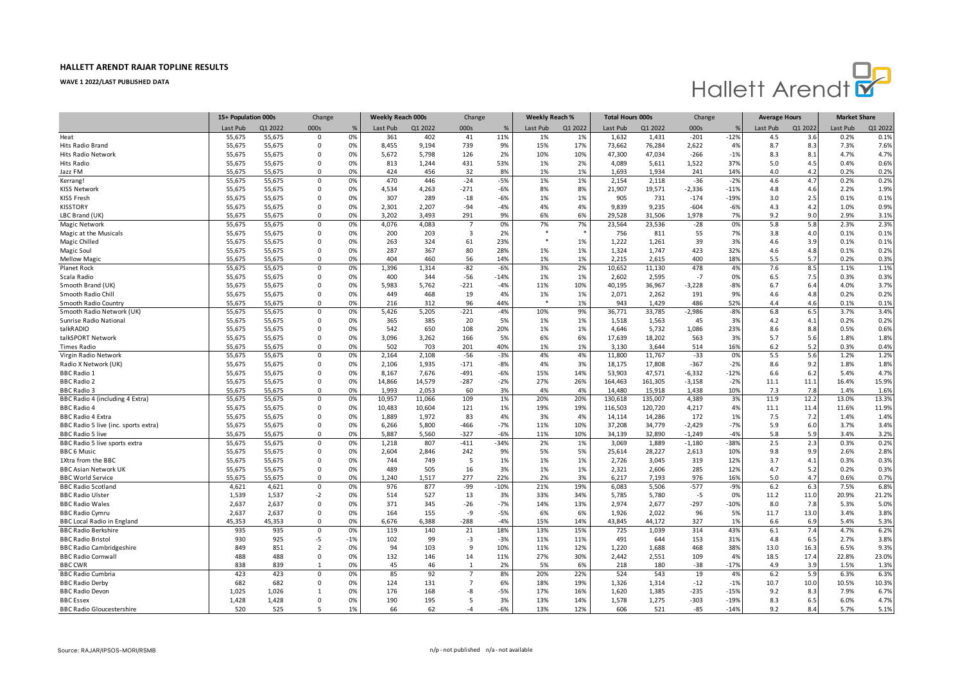

|                                      | 15+ Population 000s |         | Change                  |       | Weekly Reach 000s |         | Change         |        | Weekly Reach % |         | <b>Total Hours 000s</b> |         | Change   |        | <b>Average Hours</b> |         | <b>Market Share</b> |         |
|--------------------------------------|---------------------|---------|-------------------------|-------|-------------------|---------|----------------|--------|----------------|---------|-------------------------|---------|----------|--------|----------------------|---------|---------------------|---------|
|                                      | Last Pub            | Q1 2022 | 000s                    | %     | Last Pub          | Q1 2022 | 000s           | %      | Last Pub       | Q1 2022 | Last Pub                | Q1 2022 | 000s     |        | Last Pub             | Q1 2022 | Last Pub            | Q1 2022 |
| Heat                                 | 55,675              | 55,675  | $\mathbf 0$             | 0%    | 361               | 402     | 41             | 11%    | 1%             | 1%      | 1,632                   | 1,431   | $-201$   | $-12%$ | 4.5                  | 3.6     | 0.2%                | 0.1%    |
| Hits Radio Brand                     | 55,675              | 55,675  | 0                       | 0%    | 8,455             | 9,194   | 739            | 9%     | 15%            | 17%     | 73,662                  | 76,284  | 2,622    | 4%     | 8.7                  | 8.3     | 7.3%                | 7.6%    |
| <b>Hits Radio Network</b>            | 55,675              | 55,675  | $\Omega$                | 0%    | 5,672             | 5.798   | 126            | 2%     | 10%            | 10%     | 47,300                  | 47,034  | $-266$   | $-1%$  | 8.3                  | 8.1     | 4.7%                | 4.7%    |
| Hits Radio                           | 55,675              | 55,675  | $\Omega$                | 0%    | 813               | 1,244   | 431            | 53%    | 1%             | 2%      | 4,089                   | 5,611   | 1,522    | 37%    | 5.0                  | 4.5     | 0.4%                | 0.6%    |
| Jazz FM                              | 55,675              | 55,675  | $\Omega$                | 0%    | 424               | 456     | 32             | 8%     | 1%             | 1%      | 1,693                   | 1.934   | 241      | 14%    | 4.0                  | 4.2     | 0.2%                | 0.2%    |
| Kerrang!                             | 55,675              | 55,675  | $\mathbf 0$             | 0%    | 470               | 446     | $-24$          | $-5%$  | 1%             | 1%      | 2,154                   | 2,118   | $-36$    | $-2%$  | 4.6                  | 4.7     | 0.2%                | 0.2%    |
| <b>KISS Network</b>                  | 55,675              | 55,675  | 0                       | 0%    | 4,534             | 4,263   | $-271$         | $-6%$  | 8%             | 8%      | 21,907                  | 19,571  | $-2,336$ | $-11%$ | 4.8                  | 4.6     | 2.2%                | 1.9%    |
| <b>KISS Fresh</b>                    | 55,675              | 55,675  | $\Omega$                | 0%    | 307               | 289     | $-18$          | $-6%$  | 1%             | 1%      | 905                     | 731     | $-174$   | $-19%$ | 3.0                  | 2.5     | 0.1%                | 0.1%    |
| <b>KISSTORY</b>                      | 55,675              | 55,675  | $\Omega$                | 0%    | 2,301             | 2,207   | $-94$          | $-4%$  | 4%             | 4%      | 9,839                   | 9,235   | $-604$   | $-6%$  | 4.3                  | 4.2     | 1.0%                | 0.9%    |
| LBC Brand (UK)                       | 55,675              | 55,675  | $\Omega$                | 0%    | 3,202             | 3,493   | 291            | 9%     | 6%             | 6%      | 29,528                  | 31,506  | 1,978    | 7%     | 9.2                  | 9.0     | 2.9%                | 3.1%    |
| Magic Network                        | 55,675              | 55,675  | $\Omega$                | 0%    | 4,076             | 4,083   | $\overline{7}$ | 0%     | 7%             | 7%      | 23,564                  | 23,536  | $-28$    | 0%     | 5.8                  | 5.8     | 2.3%                | 2.3%    |
| Magic at the Musicals                | 55,675              | 55,675  | 0                       | 0%    | 200               | 203     | 3              | 2%     |                |         | 756                     | 811     | 55       | 7%     | 3.8                  | 4.0     | 0.1%                | 0.1%    |
| Magic Chilled                        | 55,675              | 55,675  | $\Omega$                | 0%    | 263               | 324     | 61             | 23%    |                | 1%      | 1,222                   | 1,261   | 39       | 3%     | 4.6                  | 3.9     | 0.1%                | 0.1%    |
| Magic Soul                           | 55,675              | 55,675  | $\Omega$                | 0%    | 287               | 367     | 80             | 28%    | 1%             | 1%      | 1,324                   | 1,747   | 423      | 32%    | 4.6                  | 4.8     | 0.1%                | 0.2%    |
| <b>Mellow Magic</b>                  | 55,675              | 55,675  | $\Omega$                | 0%    | 404               | 460     | 56             | 14%    | 1%             | 1%      | 2,215                   | 2,615   | 400      | 18%    | 5.5                  | 5.7     | 0.2%                | 0.3%    |
| Planet Rock                          | 55,675              | 55,675  | $\mathbf 0$             | 0%    | 1,396             | 1,314   | $-82$          | $-6%$  | 3%             | 2%      | 10,652                  | 11,130  | 478      | 4%     | 7.6                  | 8.5     | 1.1%                | 1.1%    |
| Scala Radio                          | 55,675              | 55,675  | $\Omega$                | 0%    | 400               | 344     | -56            | $-14%$ | 1%             | 1%      | 2,602                   | 2,595   | $-7$     | 0%     | 6.5                  | 7.5     | 0.3%                | 0.3%    |
| Smooth Brand (UK)                    | 55,675              | 55,675  | $\Omega$                | 0%    | 5,983             | 5,762   | $-221$         | $-4%$  | 11%            | 10%     | 40,195                  | 36,967  | $-3,228$ | $-8%$  | 6.7                  | 6.4     | 4.0%                | 3.7%    |
| Smooth Radio Chill                   | 55,675              | 55,675  | 0                       | 0%    | 449               | 468     | 19             | 4%     | 1%             | 1%      | 2,071                   | 2,262   | 191      | 9%     | 4.6                  | 4.8     | 0.2%                | 0.2%    |
| Smooth Radio Country                 | 55,675              | 55,675  | $\Omega$                | 0%    | 216               | 312     | 96             | 44%    |                | 1%      | 943                     | 1,429   | 486      | 52%    | 4.4                  | 4.6     | 0.1%                | 0.1%    |
| Smooth Radio Network (UK)            | 55,675              | 55,675  | $\mathbf 0$             | 0%    | 5,426             | 5,205   | $-221$         | $-4%$  | 10%            | 9%      | 36,771                  | 33,785  | $-2,986$ | $-8%$  | 6.8                  | 6.5     | 3.7%                | 3.4%    |
| Sunrise Radio National               | 55.675              | 55,675  | $\Omega$                | 0%    | 365               | 385     | 20             | 5%     | 1%             | 1%      | 1,518                   | 1,563   | 45       | 3%     | 4.2                  | 4.1     | 0.2%                | 0.2%    |
| talkRADIO                            | 55,675              | 55,675  | $\Omega$                | 0%    | 542               | 650     | 108            | 20%    | 1%             | 1%      | 4,646                   | 5,732   | 1,086    | 23%    | 8.6                  | 8.8     | 0.5%                | 0.6%    |
| talkSPORT Network                    | 55,675              | 55,675  | 0                       | 0%    | 3,096             | 3,262   | 166            | 5%     | 6%             | 6%      | 17,639                  | 18,202  | 563      | 3%     | 5.7                  | 5.6     | 1.8%                | 1.8%    |
| <b>Times Radio</b>                   | 55,675              | 55,675  | $\Omega$                | 0%    | 502               | 703     | 201            | 40%    | 1%             | 1%      | 3,130                   | 3,644   | 514      | 16%    | 6.2                  | 5.2     | 0.3%                | 0.4%    |
| Virgin Radio Network                 | 55,675              | 55,675  | $\mathbf 0$             | 0%    | 2,164             | 2,108   | $-56$          | $-3%$  | 4%             | 4%      | 11,800                  | 11,767  | $-33$    | 0%     | 5.5                  | 5.6     | 1.2%                | 1.2%    |
| Radio X Network (UK)                 | 55,675              | 55,675  | $\Omega$                | 0%    | 2,106             | 1.935   | $-171$         | $-8%$  | 4%             | 3%      | 18,175                  | 17,808  | $-367$   | $-2%$  | 8.6                  | 9.2     | 1.8%                | 1.8%    |
| <b>BBC Radio 1</b>                   | 55,675              | 55,675  | $\Omega$                | 0%    | 8,167             | 7,676   | $-491$         | $-6%$  | 15%            | 14%     | 53,903                  | 47,571  | $-6,332$ | $-12%$ | 6.6                  | 6.2     | 5.4%                | 4.7%    |
| <b>BBC Radio 2</b>                   | 55,675              | 55,675  | 0                       | 0%    | 14,866            | 14,579  | $-287$         | $-2%$  | 27%            | 26%     | 164,463                 | 161,305 | $-3,158$ | $-2%$  | 11.1                 | 11.1    | 16.4%               | 15.9%   |
| <b>BBC Radio 3</b>                   | 55,675              | 55,675  | $\Omega$                | 0%    | 1,993             | 2,053   | 60             | 3%     | 4%             | 4%      | 14,480                  | 15,918  | 1,438    | 10%    | 7.3                  | 7.8     | 1.4%                | 1.6%    |
| BBC Radio 4 (including 4 Extra)      | 55,675              | 55,675  | $\mathbf 0$             | 0%    | 10,957            | 11,066  | 109            | 1%     | 20%            | 20%     | 130,618                 | 135,007 | 4,389    | 3%     | 11.9                 | 12.2    | 13.0%               | 13.3%   |
| <b>BBC Radio 4</b>                   | 55,675              | 55,675  | $\Omega$                | 0%    | 10,483            | 10,604  | 121            | 1%     | 19%            | 19%     | 116,503                 | 120,720 | 4,217    | 4%     | 11.1                 | 11.4    | 11.6%               | 11.9%   |
| <b>BBC Radio 4 Extra</b>             | 55,675              | 55,675  | $\Omega$                | 0%    | 1,889             | 1,972   | 83             | 4%     | 3%             | 4%      | 14,114                  | 14,286  | 172      | 1%     | 7.5                  | 7.2     | 1.4%                | 1.4%    |
| BBC Radio 5 live (inc. sports extra) | 55,675              | 55,675  | $\Omega$                | 0%    | 6,266             | 5,800   | $-466$         | $-7%$  | 11%            | 10%     | 37,208                  | 34,779  | $-2,429$ | $-7%$  | 5.9                  | 6.0     | 3.7%                | 3.4%    |
| <b>BBC Radio 5 live</b>              | 55,675              | 55,675  | $\Omega$                | 0%    | 5,887             | 5,560   | $-327$         | $-6%$  | 11%            | 10%     | 34,139                  | 32,890  | $-1,249$ | $-4%$  | 5.8                  | 5.9     | 3.4%                | 3.2%    |
| BBC Radio 5 live sports extra        | 55,675              | 55,675  | $\mathbf 0$             | 0%    | 1,218             | 807     | $-411$         | $-34%$ | 2%             | 1%      | 3,069                   | 1,889   | $-1,180$ | $-38%$ | 2.5                  | 2.3     | 0.3%                | 0.2%    |
| <b>BBC 6 Music</b>                   | 55,675              | 55,675  | $\Omega$                | 0%    | 2,604             | 2,846   | 242            | 9%     | 5%             | 5%      | 25,614                  | 28,227  | 2,613    | 10%    | 9.8                  | 9.9     | 2.6%                | 2.8%    |
| 1Xtra from the BBC                   | 55,675              | 55,675  | $\Omega$                | 0%    | 744               | 749     | 5              | 1%     | 1%             | 1%      | 2,726                   | 3,045   | 319      | 12%    | 3.7                  | 4.1     | 0.3%                | 0.3%    |
| <b>BBC Asian Network UK</b>          | 55,675              | 55,675  | $\Omega$                | 0%    | 489               | 505     | 16             | 3%     | 1%             | 1%      | 2,321                   | 2,606   | 285      | 12%    | 4.7                  | 5.2     | 0.2%                | 0.3%    |
| <b>BBC World Service</b>             | 55,675              | 55,675  | $\Omega$                | 0%    | 1,240             | 1,517   | 277            | 22%    | 2%             | 3%      | 6,217                   | 7,193   | 976      | 16%    | 5.0                  | 4.7     | 0.6%                | 0.7%    |
| <b>BBC Radio Scotland</b>            | 4,621               | 4,621   | $\mathbf 0$             | 0%    | 976               | 877     | -99            | $-10%$ | 21%            | 19%     | 6,083                   | 5,506   | $-577$   | $-9%$  | 6.2                  | 6.3     | 7.5%                | 6.8%    |
| <b>BBC Radio Ulster</b>              | 1,539               | 1,537   | $-2$                    | 0%    | 514               | 527     | 13             | 3%     | 33%            | 34%     | 5,785                   | 5,780   | $-5$     | 0%     | 11.2                 | 11.0    | 20.9%               | 21.2%   |
| <b>BBC Radio Wales</b>               | 2,637               | 2,637   | $\mathbf 0$             | 0%    | 371               | 345     | $-26$          | $-7%$  | 14%            | 13%     | 2,974                   | 2,677   | $-297$   | $-10%$ | 8.0                  | 7.8     | 5.3%                | 5.0%    |
| <b>BBC Radio Cymru</b>               | 2,637               | 2,637   | $\Omega$                | 0%    | 164               | 155     | -9             | $-5%$  | 6%             | 6%      | 1,926                   | 2,022   | 96       | 5%     | 11.7                 | 13.0    | 3.4%                | 3.8%    |
| <b>BBC Local Radio in England</b>    | 45,353              | 45,353  | $\Omega$                | 0%    | 6,676             | 6,388   | $-288$         | $-4%$  | 15%            | 14%     | 43,845                  | 44,172  | 327      | 1%     | 6.6                  | 6.9     | 5.4%                | 5.3%    |
| <b>BBC Radio Berkshire</b>           | 935                 | 935     | $\Omega$                | 0%    | 119               | 140     | 21             | 18%    | 13%            | 15%     | 725                     | 1,039   | 314      | 43%    | 6.1                  | 7.4     | 4.7%                | 6.2%    |
| <b>BBC Radio Bristol</b>             | 930                 | 925     | -5                      | $-1%$ | 102               | 99      | $-3$           | $-3%$  | 11%            | 11%     | 491                     | 644     | 153      | 31%    | 4.8                  | 6.5     | 2.7%                | 3.8%    |
| <b>BBC Radio Cambridgeshire</b>      | 849                 | 851     | $\overline{\mathbf{2}}$ | 0%    | 94                | 103     | 9              | 10%    | 11%            | 12%     | 1,220                   | 1,688   | 468      | 38%    | 13.0                 | 16.3    | 6.5%                | 9.3%    |
| <b>BBC Radio Cornwall</b>            | 488                 | 488     | $\Omega$                | 0%    | 132               | 146     | 14             | 11%    | 27%            | 30%     | 2,442                   | 2,551   | 109      | 4%     | 18.5                 | 17.4    | 22.8%               | 23.0%   |
| <b>BBC CWR</b>                       | 838                 | 839     |                         | 0%    | 45                | 46      | $\mathbf{1}$   | 2%     | 5%             | 6%      | 218                     | 180     | $-38$    | $-17%$ | 4.9                  | 3.9     | 1.5%                | 1.3%    |
| <b>BBC Radio Cumbria</b>             | 423                 | 423     | $\Omega$                | 0%    | 85                | 92      | $\overline{7}$ | 8%     | 20%            | 22%     | 524                     | 543     | 19       | 4%     | 6.2                  | 5.9     | 6.3%                | 6.3%    |
| <b>BBC Radio Derby</b>               | 682                 | 682     | $\Omega$                | 0%    | 124               | 131     | $\overline{7}$ | 6%     | 18%            | 19%     | 1,326                   | 1,314   | $-12$    | $-1%$  | 10.7                 | 10.0    | 10.5%               | 10.3%   |
| <b>BBC Radio Devon</b>               | 1,025               | 1,026   | 1                       | 0%    | 176               | 168     | -8             | $-5%$  | 17%            | 16%     | 1,620                   | 1,385   | $-235$   | $-15%$ | 9.2                  | 8.3     | 7.9%                | 6.7%    |
| <b>BBC</b> Essex                     | 1,428               | 1,428   | $\Omega$                | 0%    | 190               | 195     | 5              | 3%     | 13%            | 14%     | 1,578                   | 1,275   | $-303$   | $-19%$ | 8.3                  | 6.5     | 6.0%                | 4.7%    |
| <b>BBC Radio Gloucestershire</b>     | 520                 | 525     | 5                       | 1%    | 66                | 62      | -4             | $-6%$  | 13%            | 12%     | 606                     | 521     | $-85$    | $-14%$ | 9.2                  | 8.4     | 5.7%                | 5.1%    |
|                                      |                     |         |                         |       |                   |         |                |        |                |         |                         |         |          |        |                      |         |                     |         |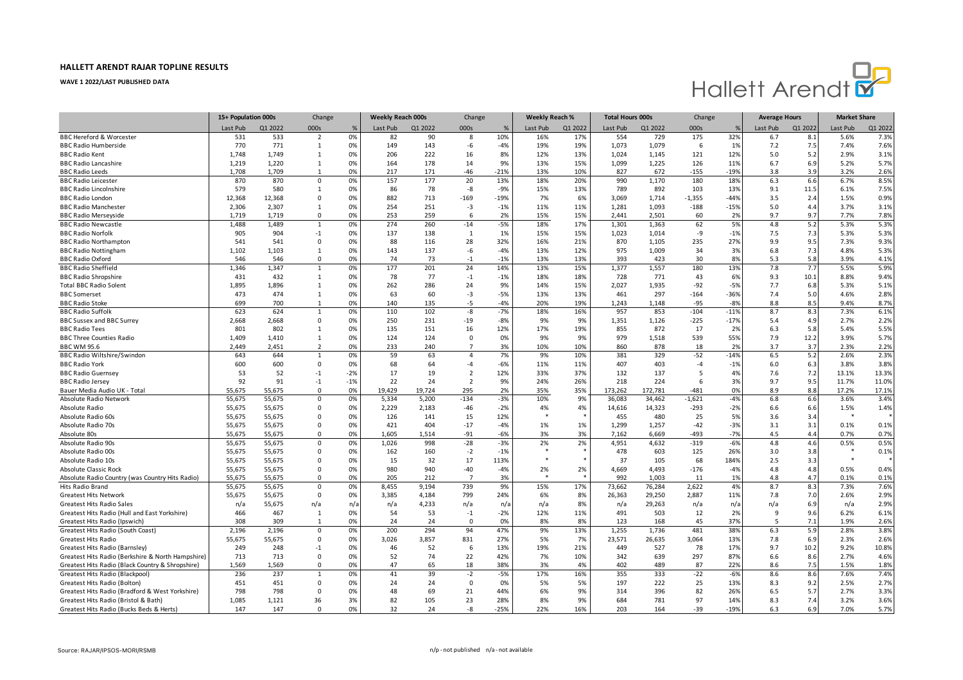

|                                                   | 15+ Population 000s |         | Change                   |       | <b>Weekly Reach 000s</b> |         | Change         |        | <b>Weekly Reach %</b> |         | <b>Total Hours 000s</b> |         | Change   |        | <b>Average Hours</b> |         | <b>Market Share</b> |         |
|---------------------------------------------------|---------------------|---------|--------------------------|-------|--------------------------|---------|----------------|--------|-----------------------|---------|-------------------------|---------|----------|--------|----------------------|---------|---------------------|---------|
|                                                   | Last Pub            | Q1 2022 | 000s                     | %     | Last Pub                 | Q1 2022 | 000s           | %      | Last Pub              | Q1 2022 | Last Pub                | Q1 2022 | 000s     |        | Last Pub             | Q1 2022 | Last Pub            | Q1 2022 |
| <b>BBC Hereford &amp; Worcester</b>               | 531                 | 533     | $\overline{2}$           | 0%    | 82                       | 90      | 8              | 10%    | 16%                   | 17%     | 554                     | 729     | 175      | 32%    | 6.7                  | 8.1     | 5.6%                | 7.3%    |
| <b>BBC Radio Humberside</b>                       | 770                 | 771     | 1                        | 0%    | 149                      | 143     | -6             | $-4%$  | 19%                   | 19%     | 1,073                   | 1,079   | 6        | 1%     | 7.2                  | 7.5     | 7.4%                | 7.6%    |
| <b>BBC Radio Kent</b>                             | 1.748               | 1,749   | 1                        | 0%    | 206                      | 222     | 16             | 8%     | 12%                   | 13%     | 1,024                   | 1,145   | 121      | 12%    | 5.0                  | 5.2     | 2.9%                | 3.1%    |
| <b>BBC Radio Lancashire</b>                       | 1,219               | 1,220   | 1                        | 0%    | 164                      | 178     | 14             | 9%     | 13%                   | 15%     | 1,099                   | 1,225   | 126      | 11%    | 6.7                  | 6.9     | 5.2%                | 5.7%    |
| <b>BBC Radio Leeds</b>                            | 1,708               | 1,709   | 1                        | 0%    | 217                      | 171     | -46            | $-21%$ | 13%                   | 10%     | 827                     | 672     | $-155$   | $-19%$ | 3.8                  | 3.9     | 3.2%                | 2.6%    |
| <b>BBC Radio Leicester</b>                        | 870                 | 870     | $\Omega$                 | 0%    | 157                      | 177     | 20             | 13%    | 18%                   | 20%     | 990                     | 1,170   | 180      | 18%    | 6.3                  | 6.6     | 6.7%                | 8.5%    |
| <b>BBC Radio Lincolnshire</b>                     | 579                 | 580     | 1                        | 0%    | 86                       | 78      | -8             | $-9%$  | 15%                   | 13%     | 789                     | 892     | 103      | 13%    | 9.1                  | 11.5    | 6.1%                | 7.5%    |
| <b>BBC Radio London</b>                           | 12,368              | 12,368  | $\Omega$                 | 0%    | 882                      | 713     | $-169$         | $-19%$ | 7%                    | 6%      | 3,069                   | 1,714   | $-1,355$ | $-449$ | 3.5                  | 2.4     | 1.5%                | 0.9%    |
| <b>BBC Radio Manchester</b>                       | 2,306               | 2,307   | $\mathbf{1}$             | 0%    | 254                      | 251     | $-3$           | $-1%$  | 11%                   | 11%     | 1,281                   | 1,093   | $-188$   | $-15%$ | 5.0                  | 4.4     | 3.7%                | 3.1%    |
| <b>BBC Radio Merseyside</b>                       | 1,719               | 1,719   | $\Omega$                 | 0%    | 253                      | 259     | 6              | 2%     | 15%                   | 15%     | 2,441                   | 2,501   | 60       | 2%     | 9.7                  | 9.7     | 7.7%                | 7.8%    |
| <b>BBC Radio Newcastle</b>                        | 1,488               | 1,489   | $\mathbf{1}$             | 0%    | 274                      | 260     | $-14$          | $-5%$  | 18%                   | 17%     | 1,301                   | 1,363   | 62       | 5%     | 4.8                  | 5.2     | 5.3%                | 5.3%    |
| <b>BBC Radio Norfolk</b>                          | 905                 | 904     | $-1$                     | 0%    | 137                      | 138     | $\mathbf{1}$   | 1%     | 15%                   | 15%     | 1,023                   | 1,014   | -9       | $-1%$  | 7.5                  | 7.3     | 5.3%                | 5.3%    |
| <b>BBC Radio Northampton</b>                      | 541                 | 541     | $\Omega$                 | 0%    | 88                       | 116     | 28             | 32%    | 16%                   | 21%     | 870                     | 1,105   | 235      | 27%    | 9.9                  | 9.5     | 7.3%                | 9.3%    |
| <b>BBC Radio Nottingham</b>                       | 1,102               | 1,103   | $\mathbf{1}$             | 0%    | 143                      | 137     | -6             | $-4%$  | 13%                   | 12%     | 975                     | 1,009   | 34       | 3%     | 6.8                  | 7.3     | 4.8%                | 5.3%    |
| <b>BBC Radio Oxford</b>                           | 546                 | 546     | $\Omega$                 | 0%    | 74                       | 73      | $-1$           | $-1%$  | 13%                   | 13%     | 393                     | 423     | 30       | 8%     | 5.3                  | 5.8     | 3.9%                | 4.1%    |
| <b>BBC Radio Sheffield</b>                        | 1,346               | 1,347   | $\mathbf{1}$             | 0%    | 177                      | 201     | 24             | 14%    | 13%                   | 15%     | 1,377                   | 1,557   | 180      | 13%    | 7.8                  | 7.7     | 5.5%                | 5.9%    |
| <b>BBC Radio Shropshire</b>                       | 431                 | 432     | 1                        | 0%    | 78                       | 77      | $-1$           | $-1%$  | 18%                   | 18%     | 728                     | 771     | 43       | 6%     | 9.3                  | 10.1    | 8.8%                | 9.4%    |
| <b>Total BBC Radio Solent</b>                     | 1,895               | 1,896   | 1                        | 0%    | 262                      | 286     | 24             | 9%     | 14%                   | 15%     | 2,027                   | 1,935   | $-92$    | $-5%$  | 7.7                  | 6.8     | 5.3%                | 5.1%    |
| <b>BBC</b> Somerset                               | 473                 | 474     | 1                        | 0%    | 63                       | 60      | $-3$           | $-5%$  | 13%                   | 13%     | 461                     | 297     | $-164$   | $-36%$ | 7.4                  | 5.0     | 4.6%                | 2.8%    |
| <b>BBC Radio Stoke</b>                            | 699                 | 700     | -1                       | 0%    | 140                      | 135     | -5             | $-4%$  | 20%                   | 19%     | 1,243                   | 1,148   | $-95$    | $-89$  | 8.8                  | 8.5     | 9.4%                | 8.7%    |
| <b>BBC Radio Suffolk</b>                          | 623                 | 624     | $\mathbf{1}$             | 0%    | 110                      | 102     | -8             | $-7%$  | 18%                   | 16%     | 957                     | 853     | $-104$   | $-119$ | 8.7                  | 8.3     | 7.3%                | 6.1%    |
| <b>BBC Sussex and BBC Surrey</b>                  | 2,668               | 2,668   | $\Omega$                 | 0%    | 250                      | 231     | $-19$          | $-8%$  | 9%                    | 9%      | 1,351                   | 1,126   | $-225$   | $-17%$ | 5.4                  | 4.9     | 2.7%                | 2.2%    |
| <b>BBC Radio Tees</b>                             | 801                 | 802     | 1                        | 0%    | 135                      | 151     | 16             | 12%    | 17%                   | 19%     | 855                     | 872     | 17       | 2%     | 6.3                  | 5.8     | 5.4%                | 5.5%    |
| <b>BBC Three Counties Radio</b>                   | 1,409               | 1,410   | $\mathbf{1}$             | 0%    | 124                      | 124     | $\mathbf 0$    | 0%     | 9%                    | 9%      | 979                     | 1,518   | 539      | 55%    | 7.9                  | 12.2    | 3.9%                | 5.7%    |
| <b>BBC WM 95.6</b>                                | 2,449               | 2,451   | $\overline{\phantom{0}}$ | 0%    | 233                      | 240     | $\overline{7}$ | 3%     | 10%                   | 10%     | 860                     | 878     | 18       | 2%     | 3.7                  | 3.7     | 2.3%                | 2.2%    |
| <b>BBC Radio Wiltshire/Swindon</b>                | 643                 | 644     | $\mathbf{1}$             | 0%    | 59                       | 63      | $\overline{a}$ | 7%     | 9%                    | 10%     | 381                     | 329     | $-52$    | $-149$ | 6.5                  | 5.2     | 2.6%                | 2.3%    |
| <b>BBC Radio York</b>                             | 600                 | 600     | $\mathbf 0$              | 0%    | 68                       | 64      | $-4$           | $-6%$  | 11%                   | 11%     | 407                     | 403     | $-4$     | $-1%$  | 6.0                  | 6.3     | 3.8%                | 3.8%    |
| <b>BBC Radio Guernsey</b>                         | 53                  | 52      | $-1$                     | $-2%$ | 17                       | 19      | $\overline{2}$ | 12%    | 33%                   | 37%     | 132                     | 137     | .5       | 4%     | 7.6                  | 7.2     | 13.1%               | 13.3%   |
| <b>BBC Radio Jersey</b>                           | 92                  | 91      | $-1$                     | $-1%$ | 22                       | 24      | $\overline{2}$ | 9%     | 24%                   | 26%     | 218                     | 224     | 6        | 3%     | 9.7                  | 9.5     | 11.7%               | 11.0%   |
| Bauer Media Audio UK - Total                      | 55,675              | 55,675  | $\Omega$                 | 0%    | 19,429                   | 19,724  | 295            | 2%     | 35%                   | 35%     | 173,262                 | 172,781 | $-481$   | 0%     | 8.9                  | 8.8     | 17.2%               | 17.1%   |
| Absolute Radio Network                            | 55,675              | 55,675  | $\Omega$                 | 0%    | 5,334                    | 5,200   | $-134$         | $-3%$  | 10%                   | 9%      | 36,083                  | 34,462  | $-1,621$ | $-4%$  | 6.8                  | 6.6     | 3.6%                | 3.4%    |
| Absolute Radio                                    | 55,675              | 55,675  | $\Omega$                 | 0%    | 2,229                    | 2,183   | $-46$          | $-2%$  | 4%                    | 4%      | 14,616                  | 14,323  | $-293$   | $-2%$  | 6.6                  | 6.6     | 1.5%                | 1.4%    |
| Absolute Radio 60s                                | 55,675              | 55,675  | $\Omega$                 | 0%    | 126                      | 141     | 15             | 12%    |                       |         | 455                     | 480     | 25       | 5%     | 3.6                  | 3.4     |                     |         |
| Absolute Radio 70s                                | 55,675              | 55,675  | $\Omega$                 | 0%    | 421                      | 404     | $-17$          | $-4%$  | 1%                    | 1%      | 1,299                   | 1,257   | $-42$    | $-3%$  | 3.1                  | 3.1     | 0.1%                | 0.1%    |
| Absolute 80s                                      | 55,675              | 55,675  | $\Omega$                 | 0%    | 1,605                    | 1,514   | $-91$          | $-6%$  | 3%                    | 3%      | 7,162                   | 6,669   | -493     | $-79$  | 4.5                  | 4.4     | 0.7%                | 0.7%    |
| Absolute Radio 90s                                | 55,675              | 55,675  | $\Omega$                 | 0%    | 1,026                    | 998     | $-28$          | $-3%$  | 2%                    | 2%      | 4,951                   | 4,632   | $-319$   | $-6%$  | 4.8                  | 4.6     | 0.5%                | 0.5%    |
| Absolute Radio 00s                                | 55,675              | 55,675  | $\Omega$                 | 0%    | 162                      | 160     | $-2$           | $-1%$  |                       |         | 478                     | 603     | 125      | 26%    | 3.0                  | 3.8     |                     | 0.1%    |
| Absolute Radio 10s                                | 55,675              | 55,675  | $\Omega$                 | 0%    | 15                       | 32      | 17             | 113%   |                       |         | 37                      | 105     | 68       | 1849   | 2.5                  | 3.3     |                     |         |
| <b>Absolute Classic Rock</b>                      | 55,675              | 55,675  | 0                        | 0%    | 980                      | 940     | $-40$          | $-4%$  | 2%                    | 2%      | 4,669                   | 4,493   | $-176$   | $-4%$  | 4.8                  | 4.8     | 0.5%                | 0.4%    |
| Absolute Radio Country (was Country Hits Radio)   | 55,675              | 55,675  | $\Omega$                 | 0%    | 205                      | 212     | $\overline{7}$ | 3%     |                       |         | 992                     | 1,003   | 11       | 1%     | 4.8                  | 4.7     | 0.1%                | 0.1%    |
| Hits Radio Brand                                  | 55,675              | 55,675  | $\Omega$                 | 0%    | 8,455                    | 9,194   | 739            | 9%     | 15%                   | 17%     | 73,662                  | 76,284  | 2,622    | 4%     | 8.7                  | 8.3     | 7.3%                | 7.6%    |
| <b>Greatest Hits Network</b>                      | 55,675              | 55,675  | $\Omega$                 | 0%    | 3,385                    | 4,184   | 799            | 24%    | 6%                    | 8%      | 26,363                  | 29,250  | 2,887    | 11%    | 7.8                  | 7.0     | 2.6%                | 2.9%    |
| <b>Greatest Hits Radio Sales</b>                  | n/a                 | 55,675  | n/a                      | n/a   | n/a                      | 4,233   | n/a            | n/a    | n/a                   | 8%      | n/a                     | 29,263  | n/a      | n/a    | n/a                  | 6.9     | n/a                 | 2.9%    |
| Greatest Hits Radio (Hull and East Yorkshire)     | 466                 | 467     | <sup>1</sup>             | 0%    | 54                       | 53      | $-1$           | $-2%$  | 12%                   | 11%     | 491                     | 503     | 12       | 2%     | 9                    | 9.6     | 6.2%                | 6.1%    |
| Greatest Hits Radio (Ipswich)                     | 308                 | 309     | -1                       | 0%    | 24                       | 24      | $\Omega$       | 0%     | 8%                    | 8%      | 123                     | 168     | 45       | 37%    | 5                    | 7.1     | 1.9%                | 2.6%    |
| Greatest Hits Radio (South Coast)                 | 2,196               | 2,196   | $\mathbf 0$              | 0%    | 200                      | 294     | 94             | 47%    | 9%                    | 13%     | 1,255                   | 1,736   | 481      | 38%    | 6.3                  | 5.9     | 2.8%                | 3.8%    |
| <b>Greatest Hits Radio</b>                        | 55,675              | 55,675  | $\Omega$                 | 0%    | 3,026                    | 3,857   | 831            | 27%    | 5%                    | 7%      | 23,571                  | 26,635  | 3,064    | 13%    | 7.8                  | 6.9     | 2.3%                | 2.6%    |
| Greatest Hits Radio (Barnsley)                    | 249                 | 248     | $-1$                     | 0%    | 46                       | 52      | 6              | 13%    | 19%                   | 21%     | 449                     | 527     | 78       | 17%    | 9.7                  | 10.2    | 9.2%                | 10.8%   |
| Greatest Hits Radio (Berkshire & North Hampshire) | 713                 | 713     | $\mathbf 0$              | 0%    | 52                       | 74      | 22             | 42%    | 7%                    | 10%     | 342                     | 639     | 297      | 87%    | 6.6                  | 8.6     | 2.7%                | 4.6%    |
| Greatest Hits Radio (Black Country & Shropshire)  | 1,569               | 1,569   | $\Omega$                 | 0%    | 47                       | 65      | 18             | 38%    | 3%                    | 4%      | 402                     | 489     | 87       | 22%    | 8.6                  | 7.5     | 1.5%                | 1.8%    |
| Greatest Hits Radio (Blackpool)                   | 236                 | 237     | $\mathbf{1}$             | 0%    | 41                       | 39      | $-2$           | $-5%$  | 17%                   | 16%     | 355                     | 333     | $-22$    | $-6%$  | 8.6                  | 8.6     | 7.6%                | 7.4%    |
| Greatest Hits Radio (Bolton)                      | 451                 | 451     | $\Omega$                 | 0%    | 24                       | 24      | $\mathbf 0$    | 0%     | 5%                    | 5%      | 197                     | 222     | 25       | 13%    | 8.3                  | 9.2     | 2.5%                | 2.7%    |
| Greatest Hits Radio (Bradford & West Yorkshire)   | 798                 | 798     | $\Omega$                 | 0%    | 48                       | 69      | 21             | 44%    | 6%                    | 9%      | 314                     | 396     | 82       | 26%    | 6.5                  | 5.7     | 2.7%                | 3.3%    |
| Greatest Hits Radio (Bristol & Bath)              | 1,085               | 1,121   | 36                       | 3%    | 82                       | 105     | 23             | 28%    | 8%                    | 9%      | 684                     | 781     | 97       | 14%    | 8.3                  | 7.4     | 3.2%                | 3.6%    |
| Greatest Hits Radio (Bucks Beds & Herts)          | 147                 | 147     | $\Omega$                 | 0%    | 32                       | 24      | -8             | $-25%$ | 22%                   | 16%     | 203                     | 164     | $-39$    | $-19%$ | 6.3                  | 6.9     | 7.0%                | 5.7%    |
|                                                   |                     |         |                          |       |                          |         |                |        |                       |         |                         |         |          |        |                      |         |                     |         |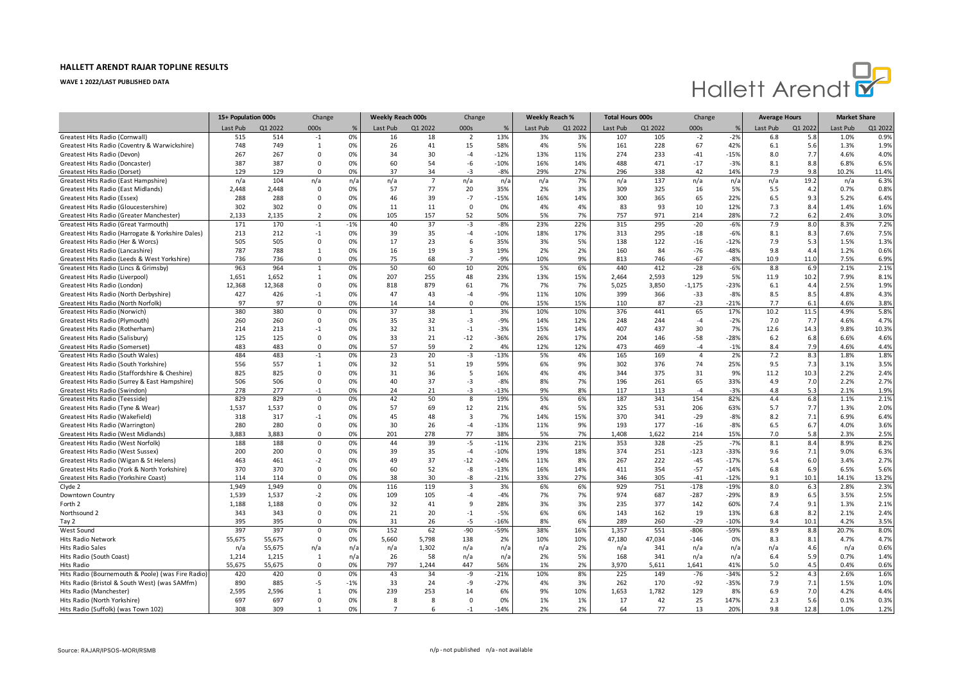

| Last Pub<br>Q1 2022<br>000s<br>Last Pub<br>Q1 2022<br>000s<br>Last Pub<br>Q1 2022<br>Last Pub<br>Q1 2022<br>000s<br>Last Pub<br>Q1 2022<br>Last Pub<br>Q1 2022<br>%<br>%<br>13%<br>Greatest Hits Radio (Cornwall)<br>515<br>514<br>0%<br>3%<br>107<br>105<br>$-2%$<br>6.8<br>5.8<br>1.0%<br>0.9%<br>$-1$<br>16<br>18<br>$\overline{2}$<br>3%<br>$-2$<br>749<br>15<br>58%<br>4%<br>5%<br>228<br>67<br>1.9%<br>Greatest Hits Radio (Coventry & Warwickshire)<br>748<br>$\mathbf{1}$<br>26<br>41<br>161<br>42%<br>6.1<br>5.6<br>1.3%<br>0%<br>11%<br>267<br>267<br>30<br>$-4$<br>$-12%$<br>13%<br>274<br>233<br>$-15%$<br>8.0<br>7.7<br>4.6%<br>4.0%<br>Greatest Hits Radio (Devon)<br>$\Omega$<br>0%<br>34<br>$-41$<br>$-10%$<br>14%<br>387<br>387<br>0%<br>60<br>54<br>-6<br>16%<br>488<br>471<br>$-17$<br>$-3%$<br>8.1<br>8.8<br>6.8%<br>6.5%<br>Greatest Hits Radio (Doncaster)<br>0<br>129<br>129<br>37<br>$-3$<br>$-8%$<br>29%<br>27%<br>296<br>338<br>42<br>7.9<br>10.2%<br>11.4%<br>Greatest Hits Radio (Dorset)<br>$\Omega$<br>0%<br>34<br>14%<br>9.8<br>7%<br>137<br>6.3%<br>Greatest Hits Radio (East Hampshire)<br>n/a<br>104<br>n/a<br>$n/\epsilon$<br>n/a<br>$7\overline{ }$<br>n/a<br>n/a<br>n/a<br>n/a<br>n/a<br>n/a<br>n/a<br>19.2<br>n/a<br>2,448<br>2,448<br>57<br>77<br>20<br>35%<br>3%<br>309<br>325<br>5%<br>5.5<br>0.7%<br>0.8%<br>Greatest Hits Radio (East Midlands)<br>$\Omega$<br>0%<br>2%<br>16<br>4.2<br>288<br>$-15%$<br>Greatest Hits Radio (Essex)<br>288<br>46<br>39<br>$-7$<br>16%<br>14%<br>300<br>365<br>65<br>22%<br>6.5<br>9.3<br>5.2%<br>6.4%<br>$\Omega$<br>0%<br>7.3<br>302<br>302<br>0%<br>11<br>$\Omega$<br>0%<br>4%<br>83<br>93<br>8.4<br>1.4%<br>1.6%<br>Greatest Hits Radio (Gloucestershire)<br>$\Omega$<br>11<br>4%<br>10<br>12%<br>52<br>50%<br>757<br>7.2<br>3.0%<br>Greatest Hits Radio (Greater Manchester)<br>2,133<br>2,135<br>$\overline{2}$<br>0%<br>105<br>157<br>5%<br>7%<br>971<br>214<br>28%<br>6.2<br>2.4%<br>40<br>$-3$<br>$-8%$<br>23%<br>22%<br>295<br>7.9<br>7.2%<br>Greatest Hits Radio (Great Yarmouth)<br>171<br>170<br>$-1$<br>$-1%$<br>37<br>315<br>$-20$<br>$-6%$<br>8.0<br>8.3%<br>212<br>39<br>$-10%$<br>18%<br>17%<br>295<br>8.1<br>7.6%<br>7.5%<br>Greatest Hits Radio (Harrogate & Yorkshire Dales)<br>213<br>$-1$<br>0%<br>35<br>-4<br>313<br>$-18$<br>$-6%$<br>8.3<br>505<br>17<br>23<br>6<br>35%<br>5%<br>138<br>7.9<br>1.5%<br>1.3%<br>Greatest Hits Radio (Her & Worcs)<br>505<br>$\Omega$<br>0%<br>3%<br>122<br>$-16$<br>$-12%$<br>5.3<br>788<br>$\overline{3}$<br>19%<br>2%<br>Greatest Hits Radio (Lancashire)<br>787<br>$\mathbf{1}$<br>0%<br>16<br>19<br>2%<br>160<br>84<br>$-76$<br>$-48%$<br>9.8<br>4.4<br>1.2%<br>0.6%<br>Greatest Hits Radio (Leeds & West Yorkshire)<br>736<br>736<br>0%<br>75<br>$-7$<br>$-9%$<br>10%<br>9%<br>813<br>746<br>$-8%$<br>10.9<br>7.5%<br>6.9%<br>$\Omega$<br>68<br>$-67$<br>11.0<br>963<br>10<br>Greatest Hits Radio (Lincs & Grimsby)<br>964<br>$\mathbf{1}$<br>0%<br>50<br>60<br>20%<br>5%<br>6%<br>440<br>412<br>$-28$<br>$-6%$<br>8.8<br>6.9<br>2.1%<br>2.1%<br>15%<br>1.651<br>1.652<br>207<br>255<br>48<br>23%<br>13%<br>2.464<br>2.593<br>129<br>5%<br>8.1%<br>Greatest Hits Radio (Liverpool)<br>1<br>0%<br>11.9<br>10.2<br>7.9%<br>12,368<br>7%<br>5,025<br>3,850<br>2.5%<br>1.9%<br>Greatest Hits Radio (London)<br>12,368<br>$\Omega$<br>0%<br>818<br>879<br>61<br>7%<br>7%<br>$-1,175$<br>$-23%$<br>6.1<br>4.4<br>Greatest Hits Radio (North Derbyshire)<br>427<br>426<br>0%<br>47<br>43<br>$-9%$<br>11%<br>10%<br>399<br>366<br>$-33$<br>$-8%$<br>8.5<br>8.5<br>4.8%<br>4.3%<br>$-1$<br>$-4$<br>Greatest Hits Radio (North Norfolk)<br>97<br>97<br>0%<br>14<br>$\Omega$<br>0%<br>15%<br>15%<br>110<br>87<br>$-23$<br>$-21%$<br>7.7<br>6.1<br>4.6%<br>3.8%<br>$\Omega$<br>14<br>380<br>37<br>38<br>3%<br>10%<br>376<br>441<br>10.2<br>5.8%<br>Greatest Hits Radio (Norwich)<br>380<br>$\mathbf 0$<br>0%<br>$\mathbf{1}$<br>10%<br>65<br>17%<br>11.5<br>4.9%<br>260<br>35<br>32<br>$-3$<br>$-9%$<br>4.7%<br>Greatest Hits Radio (Plymouth)<br>260<br>$\Omega$<br>0%<br>14%<br>12%<br>248<br>244<br>$-4$<br>$-2%$<br>7.0<br>7.7<br>4.6%<br>Greatest Hits Radio (Rotherham)<br>214<br>213<br>0%<br>32<br>31<br>$-1$<br>$-3%$<br>15%<br>14%<br>407<br>437<br>30<br>7%<br>12.6<br>14.3<br>9.8%<br>10.3%<br>$-1$<br>125<br>125<br>$\mathbf 0$<br>0%<br>33<br>21<br>$-12$<br>$-36%$<br>26%<br>17%<br>204<br>146<br>$-58$<br>$-28%$<br>6.2<br>6.6%<br>4.6%<br>Greatest Hits Radio (Salisbury)<br>6.8<br>483<br>483<br>57<br>12%<br>473<br>8.4<br>4.4%<br>Greatest Hits Radio (Somerset)<br>$\mathbf 0$<br>0%<br>59<br>$\overline{2}$<br>4%<br>12%<br>469<br>$-4$<br>$-1%$<br>7.9<br>4.6%<br>484<br>483<br>23<br>20<br>$-3$<br>$-13%$<br>5%<br>4%<br>165<br>169<br>2%<br>7.2<br>1.8%<br>Greatest Hits Radio (South Wales)<br>$-1$<br>0%<br>$\overline{4}$<br>8.3<br>1.8%<br>557<br>32<br>59%<br>9%<br>3.5%<br>Greatest Hits Radio (South Yorkshire)<br>556<br>1<br>0%<br>51<br>19<br>6%<br>302<br>376<br>74<br>25%<br>9.5<br>7.3<br>3.1%<br>Greatest Hits Radio (Staffordshire & Cheshire)<br>825<br>825<br>31<br>36<br>5<br>16%<br>4%<br>4%<br>344<br>375<br>9%<br>11.2<br>2.2%<br>2.4%<br>$\Omega$<br>0%<br>31<br>10.3<br>$-3$<br>7%<br>2.2%<br>2.7%<br>Greatest Hits Radio (Surrey & East Hampshire)<br>506<br>506<br>$\mathbf 0$<br>0%<br>40<br>37<br>$-8%$<br>8%<br>196<br>261<br>65<br>33%<br>4.9<br>7.0<br>$-13%$<br>Greatest Hits Radio (Swindon)<br>278<br>277<br>0%<br>24<br>-3<br>9%<br>8%<br>117<br>113<br>$-3%$<br>4.8<br>5.3<br>1.9%<br>21<br>$-4$<br>2.1%<br>$-1$<br>829<br>42<br>50<br>19%<br>5%<br>6%<br>187<br>341<br>4.4<br>2.1%<br>829<br>0%<br>8<br>154<br>82%<br>6.8<br>1.1%<br>Greatest Hits Radio (Teesside)<br>$\Omega$<br>1,537<br>1,537<br>57<br>69<br>12<br>21%<br>4%<br>5%<br>325<br>531<br>206<br>5.7<br>7.7<br>1.3%<br>2.0%<br>Greatest Hits Radio (Tyne & Wear)<br>$\Omega$<br>0%<br>63%<br>45<br>15%<br>370<br>8.2<br>6.9%<br>6.4%<br>Greatest Hits Radio (Wakefield)<br>318<br>317<br>$-1$<br>0%<br>48<br>3<br>7%<br>14%<br>341<br>$-29$<br>$-8%$<br>7.1<br>$-13%$<br>Greatest Hits Radio (Warrington)<br>280<br>280<br>$\mathbf 0$<br>0%<br>30<br>26<br>$-4$<br>11%<br>9%<br>193<br>177<br>$-16$<br>$-8%$<br>6.5<br>6.7<br>4.0%<br>3.6%<br>3,883<br>3,883<br>201<br>77<br>38%<br>5%<br>7%<br>1,408<br>1,622<br>15%<br>7.0<br>2.5%<br>Greatest Hits Radio (West Midlands)<br>$\Omega$<br>0%<br>278<br>214<br>5.8<br>2.3%<br>188<br>188<br>44<br>39<br>$-5$<br>$-11%$<br>23%<br>21%<br>353<br>328<br>$-25$<br>$-7%$<br>8.1<br>8.4<br>8.9%<br>8.2%<br>Greatest Hits Radio (West Norfolk)<br>0<br>0%<br>200<br>39<br>19%<br>18%<br>251<br>$-123$<br>9.0%<br>6.3%<br>Greatest Hits Radio (West Sussex)<br>200<br>$\mathbf 0$<br>0%<br>35<br>$-4$<br>$-10%$<br>374<br>$-33%$<br>9.6<br>7.1<br>Greatest Hits Radio (Wigan & St Helens)<br>463<br>461<br>$-2$<br>0%<br>49<br>37<br>$-12$<br>$-24%$<br>11%<br>8%<br>267<br>222<br>$-45$<br>$-17%$<br>5.4<br>6.0<br>3.4%<br>2.7%<br>370<br>370<br>0%<br>60<br>52<br>-8<br>$-13%$<br>16%<br>14%<br>411<br>354<br>$-57$<br>$-14%$<br>6.9<br>6.5%<br>5.6%<br>Greatest Hits Radio (York & North Yorkshire)<br>0<br>6.8<br>38<br>$-21%$<br>27%<br>9.1<br>Greatest Hits Radio (Yorkshire Coast)<br>114<br>114<br>0%<br>30<br>-8<br>33%<br>346<br>305<br>$-41$<br>10.1<br>14.1%<br>13.2%<br>$\mathbf{0}$<br>$-12%$<br>1.949<br>116<br>$\overline{3}$<br>3%<br>6%<br>929<br>751<br>$-178$<br>8.0<br>2.8%<br>2.3%<br>Clyde 2<br>1.949<br>$\Omega$<br>0%<br>119<br>6%<br>$-19%$<br>6.3 |                  | 15+ Population 000s |       | Change |    | <b>Weekly Reach 000s</b> |     | Change |       | <b>Weekly Reach %</b> |    | <b>Total Hours 000s</b> |     | Change |        | <b>Average Hours</b> |     | <b>Market Share</b> |      |
|--------------------------------------------------------------------------------------------------------------------------------------------------------------------------------------------------------------------------------------------------------------------------------------------------------------------------------------------------------------------------------------------------------------------------------------------------------------------------------------------------------------------------------------------------------------------------------------------------------------------------------------------------------------------------------------------------------------------------------------------------------------------------------------------------------------------------------------------------------------------------------------------------------------------------------------------------------------------------------------------------------------------------------------------------------------------------------------------------------------------------------------------------------------------------------------------------------------------------------------------------------------------------------------------------------------------------------------------------------------------------------------------------------------------------------------------------------------------------------------------------------------------------------------------------------------------------------------------------------------------------------------------------------------------------------------------------------------------------------------------------------------------------------------------------------------------------------------------------------------------------------------------------------------------------------------------------------------------------------------------------------------------------------------------------------------------------------------------------------------------------------------------------------------------------------------------------------------------------------------------------------------------------------------------------------------------------------------------------------------------------------------------------------------------------------------------------------------------------------------------------------------------------------------------------------------------------------------------------------------------------------------------------------------------------------------------------------------------------------------------------------------------------------------------------------------------------------------------------------------------------------------------------------------------------------------------------------------------------------------------------------------------------------------------------------------------------------------------------------------------------------------------------------------------------------------------------------------------------------------------------------------------------------------------------------------------------------------------------------------------------------------------------------------------------------------------------------------------------------------------------------------------------------------------------------------------------------------------------------------------------------------------------------------------------------------------------------------------------------------------------------------------------------------------------------------------------------------------------------------------------------------------------------------------------------------------------------------------------------------------------------------------------------------------------------------------------------------------------------------------------------------------------------------------------------------------------------------------------------------------------------------------------------------------------------------------------------------------------------------------------------------------------------------------------------------------------------------------------------------------------------------------------------------------------------------------------------------------------------------------------------------------------------------------------------------------------------------------------------------------------------------------------------------------------------------------------------------------------------------------------------------------------------------------------------------------------------------------------------------------------------------------------------------------------------------------------------------------------------------------------------------------------------------------------------------------------------------------------------------------------------------------------------------------------------------------------------------------------------------------------------------------------------------------------------------------------------------------------------------------------------------------------------------------------------------------------------------------------------------------------------------------------------------------------------------------------------------------------------------------------------------------------------------------------------------------------------------------------------------------------------------------------------------------------------------------------------------------------------------------------------------------------------------------------------------------------------------------------------------------------------------------------------------------------------------------------------------------------------------------------------------------------------------------------------------------------------------------------------------------------------------------------------------------------------------------------------------------------------------------------------------------------------------------------------------------------------------------------------------------------------------------------------------------------------------------------------------------------------------------------------------------------------------------------------------------------------------------------------------------------------------------------------------------------------------------------------------------------------------------------------------------------------------------------------------------------------------------------------------------------------------------------------------------------------------------------------------------------------------------------------------------------------------------------------------------------------------------------------------------------------------------------------------------------------------------------------------------------------------------------------------------------------------------------------------------------------|------------------|---------------------|-------|--------|----|--------------------------|-----|--------|-------|-----------------------|----|-------------------------|-----|--------|--------|----------------------|-----|---------------------|------|
|                                                                                                                                                                                                                                                                                                                                                                                                                                                                                                                                                                                                                                                                                                                                                                                                                                                                                                                                                                                                                                                                                                                                                                                                                                                                                                                                                                                                                                                                                                                                                                                                                                                                                                                                                                                                                                                                                                                                                                                                                                                                                                                                                                                                                                                                                                                                                                                                                                                                                                                                                                                                                                                                                                                                                                                                                                                                                                                                                                                                                                                                                                                                                                                                                                                                                                                                                                                                                                                                                                                                                                                                                                                                                                                                                                                                                                                                                                                                                                                                                                                                                                                                                                                                                                                                                                                                                                                                                                                                                                                                                                                                                                                                                                                                                                                                                                                                                                                                                                                                                                                                                                                                                                                                                                                                                                                                                                                                                                                                                                                                                                                                                                                                                                                                                                                                                                                                                                                                                                                                                                                                                                                                                                                                                                                                                                                                                                                                                                                                                                                                                                                                                                                                                                                                                                                                                                                                                                                                                                                                                                                                                                                                                                                                                                                                                                                                                                                                                                                                                                                                                                                |                  |                     |       |        |    |                          |     |        |       |                       |    |                         |     |        |        |                      |     |                     |      |
|                                                                                                                                                                                                                                                                                                                                                                                                                                                                                                                                                                                                                                                                                                                                                                                                                                                                                                                                                                                                                                                                                                                                                                                                                                                                                                                                                                                                                                                                                                                                                                                                                                                                                                                                                                                                                                                                                                                                                                                                                                                                                                                                                                                                                                                                                                                                                                                                                                                                                                                                                                                                                                                                                                                                                                                                                                                                                                                                                                                                                                                                                                                                                                                                                                                                                                                                                                                                                                                                                                                                                                                                                                                                                                                                                                                                                                                                                                                                                                                                                                                                                                                                                                                                                                                                                                                                                                                                                                                                                                                                                                                                                                                                                                                                                                                                                                                                                                                                                                                                                                                                                                                                                                                                                                                                                                                                                                                                                                                                                                                                                                                                                                                                                                                                                                                                                                                                                                                                                                                                                                                                                                                                                                                                                                                                                                                                                                                                                                                                                                                                                                                                                                                                                                                                                                                                                                                                                                                                                                                                                                                                                                                                                                                                                                                                                                                                                                                                                                                                                                                                                                                |                  |                     |       |        |    |                          |     |        |       |                       |    |                         |     |        |        |                      |     |                     |      |
|                                                                                                                                                                                                                                                                                                                                                                                                                                                                                                                                                                                                                                                                                                                                                                                                                                                                                                                                                                                                                                                                                                                                                                                                                                                                                                                                                                                                                                                                                                                                                                                                                                                                                                                                                                                                                                                                                                                                                                                                                                                                                                                                                                                                                                                                                                                                                                                                                                                                                                                                                                                                                                                                                                                                                                                                                                                                                                                                                                                                                                                                                                                                                                                                                                                                                                                                                                                                                                                                                                                                                                                                                                                                                                                                                                                                                                                                                                                                                                                                                                                                                                                                                                                                                                                                                                                                                                                                                                                                                                                                                                                                                                                                                                                                                                                                                                                                                                                                                                                                                                                                                                                                                                                                                                                                                                                                                                                                                                                                                                                                                                                                                                                                                                                                                                                                                                                                                                                                                                                                                                                                                                                                                                                                                                                                                                                                                                                                                                                                                                                                                                                                                                                                                                                                                                                                                                                                                                                                                                                                                                                                                                                                                                                                                                                                                                                                                                                                                                                                                                                                                                                |                  |                     |       |        |    |                          |     |        |       |                       |    |                         |     |        |        |                      |     |                     |      |
|                                                                                                                                                                                                                                                                                                                                                                                                                                                                                                                                                                                                                                                                                                                                                                                                                                                                                                                                                                                                                                                                                                                                                                                                                                                                                                                                                                                                                                                                                                                                                                                                                                                                                                                                                                                                                                                                                                                                                                                                                                                                                                                                                                                                                                                                                                                                                                                                                                                                                                                                                                                                                                                                                                                                                                                                                                                                                                                                                                                                                                                                                                                                                                                                                                                                                                                                                                                                                                                                                                                                                                                                                                                                                                                                                                                                                                                                                                                                                                                                                                                                                                                                                                                                                                                                                                                                                                                                                                                                                                                                                                                                                                                                                                                                                                                                                                                                                                                                                                                                                                                                                                                                                                                                                                                                                                                                                                                                                                                                                                                                                                                                                                                                                                                                                                                                                                                                                                                                                                                                                                                                                                                                                                                                                                                                                                                                                                                                                                                                                                                                                                                                                                                                                                                                                                                                                                                                                                                                                                                                                                                                                                                                                                                                                                                                                                                                                                                                                                                                                                                                                                                |                  |                     |       |        |    |                          |     |        |       |                       |    |                         |     |        |        |                      |     |                     |      |
|                                                                                                                                                                                                                                                                                                                                                                                                                                                                                                                                                                                                                                                                                                                                                                                                                                                                                                                                                                                                                                                                                                                                                                                                                                                                                                                                                                                                                                                                                                                                                                                                                                                                                                                                                                                                                                                                                                                                                                                                                                                                                                                                                                                                                                                                                                                                                                                                                                                                                                                                                                                                                                                                                                                                                                                                                                                                                                                                                                                                                                                                                                                                                                                                                                                                                                                                                                                                                                                                                                                                                                                                                                                                                                                                                                                                                                                                                                                                                                                                                                                                                                                                                                                                                                                                                                                                                                                                                                                                                                                                                                                                                                                                                                                                                                                                                                                                                                                                                                                                                                                                                                                                                                                                                                                                                                                                                                                                                                                                                                                                                                                                                                                                                                                                                                                                                                                                                                                                                                                                                                                                                                                                                                                                                                                                                                                                                                                                                                                                                                                                                                                                                                                                                                                                                                                                                                                                                                                                                                                                                                                                                                                                                                                                                                                                                                                                                                                                                                                                                                                                                                                |                  |                     |       |        |    |                          |     |        |       |                       |    |                         |     |        |        |                      |     |                     |      |
|                                                                                                                                                                                                                                                                                                                                                                                                                                                                                                                                                                                                                                                                                                                                                                                                                                                                                                                                                                                                                                                                                                                                                                                                                                                                                                                                                                                                                                                                                                                                                                                                                                                                                                                                                                                                                                                                                                                                                                                                                                                                                                                                                                                                                                                                                                                                                                                                                                                                                                                                                                                                                                                                                                                                                                                                                                                                                                                                                                                                                                                                                                                                                                                                                                                                                                                                                                                                                                                                                                                                                                                                                                                                                                                                                                                                                                                                                                                                                                                                                                                                                                                                                                                                                                                                                                                                                                                                                                                                                                                                                                                                                                                                                                                                                                                                                                                                                                                                                                                                                                                                                                                                                                                                                                                                                                                                                                                                                                                                                                                                                                                                                                                                                                                                                                                                                                                                                                                                                                                                                                                                                                                                                                                                                                                                                                                                                                                                                                                                                                                                                                                                                                                                                                                                                                                                                                                                                                                                                                                                                                                                                                                                                                                                                                                                                                                                                                                                                                                                                                                                                                                |                  |                     |       |        |    |                          |     |        |       |                       |    |                         |     |        |        |                      |     |                     |      |
|                                                                                                                                                                                                                                                                                                                                                                                                                                                                                                                                                                                                                                                                                                                                                                                                                                                                                                                                                                                                                                                                                                                                                                                                                                                                                                                                                                                                                                                                                                                                                                                                                                                                                                                                                                                                                                                                                                                                                                                                                                                                                                                                                                                                                                                                                                                                                                                                                                                                                                                                                                                                                                                                                                                                                                                                                                                                                                                                                                                                                                                                                                                                                                                                                                                                                                                                                                                                                                                                                                                                                                                                                                                                                                                                                                                                                                                                                                                                                                                                                                                                                                                                                                                                                                                                                                                                                                                                                                                                                                                                                                                                                                                                                                                                                                                                                                                                                                                                                                                                                                                                                                                                                                                                                                                                                                                                                                                                                                                                                                                                                                                                                                                                                                                                                                                                                                                                                                                                                                                                                                                                                                                                                                                                                                                                                                                                                                                                                                                                                                                                                                                                                                                                                                                                                                                                                                                                                                                                                                                                                                                                                                                                                                                                                                                                                                                                                                                                                                                                                                                                                                                |                  |                     |       |        |    |                          |     |        |       |                       |    |                         |     |        |        |                      |     |                     |      |
|                                                                                                                                                                                                                                                                                                                                                                                                                                                                                                                                                                                                                                                                                                                                                                                                                                                                                                                                                                                                                                                                                                                                                                                                                                                                                                                                                                                                                                                                                                                                                                                                                                                                                                                                                                                                                                                                                                                                                                                                                                                                                                                                                                                                                                                                                                                                                                                                                                                                                                                                                                                                                                                                                                                                                                                                                                                                                                                                                                                                                                                                                                                                                                                                                                                                                                                                                                                                                                                                                                                                                                                                                                                                                                                                                                                                                                                                                                                                                                                                                                                                                                                                                                                                                                                                                                                                                                                                                                                                                                                                                                                                                                                                                                                                                                                                                                                                                                                                                                                                                                                                                                                                                                                                                                                                                                                                                                                                                                                                                                                                                                                                                                                                                                                                                                                                                                                                                                                                                                                                                                                                                                                                                                                                                                                                                                                                                                                                                                                                                                                                                                                                                                                                                                                                                                                                                                                                                                                                                                                                                                                                                                                                                                                                                                                                                                                                                                                                                                                                                                                                                                                |                  |                     |       |        |    |                          |     |        |       |                       |    |                         |     |        |        |                      |     |                     |      |
|                                                                                                                                                                                                                                                                                                                                                                                                                                                                                                                                                                                                                                                                                                                                                                                                                                                                                                                                                                                                                                                                                                                                                                                                                                                                                                                                                                                                                                                                                                                                                                                                                                                                                                                                                                                                                                                                                                                                                                                                                                                                                                                                                                                                                                                                                                                                                                                                                                                                                                                                                                                                                                                                                                                                                                                                                                                                                                                                                                                                                                                                                                                                                                                                                                                                                                                                                                                                                                                                                                                                                                                                                                                                                                                                                                                                                                                                                                                                                                                                                                                                                                                                                                                                                                                                                                                                                                                                                                                                                                                                                                                                                                                                                                                                                                                                                                                                                                                                                                                                                                                                                                                                                                                                                                                                                                                                                                                                                                                                                                                                                                                                                                                                                                                                                                                                                                                                                                                                                                                                                                                                                                                                                                                                                                                                                                                                                                                                                                                                                                                                                                                                                                                                                                                                                                                                                                                                                                                                                                                                                                                                                                                                                                                                                                                                                                                                                                                                                                                                                                                                                                                |                  |                     |       |        |    |                          |     |        |       |                       |    |                         |     |        |        |                      |     |                     |      |
|                                                                                                                                                                                                                                                                                                                                                                                                                                                                                                                                                                                                                                                                                                                                                                                                                                                                                                                                                                                                                                                                                                                                                                                                                                                                                                                                                                                                                                                                                                                                                                                                                                                                                                                                                                                                                                                                                                                                                                                                                                                                                                                                                                                                                                                                                                                                                                                                                                                                                                                                                                                                                                                                                                                                                                                                                                                                                                                                                                                                                                                                                                                                                                                                                                                                                                                                                                                                                                                                                                                                                                                                                                                                                                                                                                                                                                                                                                                                                                                                                                                                                                                                                                                                                                                                                                                                                                                                                                                                                                                                                                                                                                                                                                                                                                                                                                                                                                                                                                                                                                                                                                                                                                                                                                                                                                                                                                                                                                                                                                                                                                                                                                                                                                                                                                                                                                                                                                                                                                                                                                                                                                                                                                                                                                                                                                                                                                                                                                                                                                                                                                                                                                                                                                                                                                                                                                                                                                                                                                                                                                                                                                                                                                                                                                                                                                                                                                                                                                                                                                                                                                                |                  |                     |       |        |    |                          |     |        |       |                       |    |                         |     |        |        |                      |     |                     |      |
|                                                                                                                                                                                                                                                                                                                                                                                                                                                                                                                                                                                                                                                                                                                                                                                                                                                                                                                                                                                                                                                                                                                                                                                                                                                                                                                                                                                                                                                                                                                                                                                                                                                                                                                                                                                                                                                                                                                                                                                                                                                                                                                                                                                                                                                                                                                                                                                                                                                                                                                                                                                                                                                                                                                                                                                                                                                                                                                                                                                                                                                                                                                                                                                                                                                                                                                                                                                                                                                                                                                                                                                                                                                                                                                                                                                                                                                                                                                                                                                                                                                                                                                                                                                                                                                                                                                                                                                                                                                                                                                                                                                                                                                                                                                                                                                                                                                                                                                                                                                                                                                                                                                                                                                                                                                                                                                                                                                                                                                                                                                                                                                                                                                                                                                                                                                                                                                                                                                                                                                                                                                                                                                                                                                                                                                                                                                                                                                                                                                                                                                                                                                                                                                                                                                                                                                                                                                                                                                                                                                                                                                                                                                                                                                                                                                                                                                                                                                                                                                                                                                                                                                |                  |                     |       |        |    |                          |     |        |       |                       |    |                         |     |        |        |                      |     |                     |      |
|                                                                                                                                                                                                                                                                                                                                                                                                                                                                                                                                                                                                                                                                                                                                                                                                                                                                                                                                                                                                                                                                                                                                                                                                                                                                                                                                                                                                                                                                                                                                                                                                                                                                                                                                                                                                                                                                                                                                                                                                                                                                                                                                                                                                                                                                                                                                                                                                                                                                                                                                                                                                                                                                                                                                                                                                                                                                                                                                                                                                                                                                                                                                                                                                                                                                                                                                                                                                                                                                                                                                                                                                                                                                                                                                                                                                                                                                                                                                                                                                                                                                                                                                                                                                                                                                                                                                                                                                                                                                                                                                                                                                                                                                                                                                                                                                                                                                                                                                                                                                                                                                                                                                                                                                                                                                                                                                                                                                                                                                                                                                                                                                                                                                                                                                                                                                                                                                                                                                                                                                                                                                                                                                                                                                                                                                                                                                                                                                                                                                                                                                                                                                                                                                                                                                                                                                                                                                                                                                                                                                                                                                                                                                                                                                                                                                                                                                                                                                                                                                                                                                                                                |                  |                     |       |        |    |                          |     |        |       |                       |    |                         |     |        |        |                      |     |                     |      |
|                                                                                                                                                                                                                                                                                                                                                                                                                                                                                                                                                                                                                                                                                                                                                                                                                                                                                                                                                                                                                                                                                                                                                                                                                                                                                                                                                                                                                                                                                                                                                                                                                                                                                                                                                                                                                                                                                                                                                                                                                                                                                                                                                                                                                                                                                                                                                                                                                                                                                                                                                                                                                                                                                                                                                                                                                                                                                                                                                                                                                                                                                                                                                                                                                                                                                                                                                                                                                                                                                                                                                                                                                                                                                                                                                                                                                                                                                                                                                                                                                                                                                                                                                                                                                                                                                                                                                                                                                                                                                                                                                                                                                                                                                                                                                                                                                                                                                                                                                                                                                                                                                                                                                                                                                                                                                                                                                                                                                                                                                                                                                                                                                                                                                                                                                                                                                                                                                                                                                                                                                                                                                                                                                                                                                                                                                                                                                                                                                                                                                                                                                                                                                                                                                                                                                                                                                                                                                                                                                                                                                                                                                                                                                                                                                                                                                                                                                                                                                                                                                                                                                                                |                  |                     |       |        |    |                          |     |        |       |                       |    |                         |     |        |        |                      |     |                     |      |
|                                                                                                                                                                                                                                                                                                                                                                                                                                                                                                                                                                                                                                                                                                                                                                                                                                                                                                                                                                                                                                                                                                                                                                                                                                                                                                                                                                                                                                                                                                                                                                                                                                                                                                                                                                                                                                                                                                                                                                                                                                                                                                                                                                                                                                                                                                                                                                                                                                                                                                                                                                                                                                                                                                                                                                                                                                                                                                                                                                                                                                                                                                                                                                                                                                                                                                                                                                                                                                                                                                                                                                                                                                                                                                                                                                                                                                                                                                                                                                                                                                                                                                                                                                                                                                                                                                                                                                                                                                                                                                                                                                                                                                                                                                                                                                                                                                                                                                                                                                                                                                                                                                                                                                                                                                                                                                                                                                                                                                                                                                                                                                                                                                                                                                                                                                                                                                                                                                                                                                                                                                                                                                                                                                                                                                                                                                                                                                                                                                                                                                                                                                                                                                                                                                                                                                                                                                                                                                                                                                                                                                                                                                                                                                                                                                                                                                                                                                                                                                                                                                                                                                                |                  |                     |       |        |    |                          |     |        |       |                       |    |                         |     |        |        |                      |     |                     |      |
|                                                                                                                                                                                                                                                                                                                                                                                                                                                                                                                                                                                                                                                                                                                                                                                                                                                                                                                                                                                                                                                                                                                                                                                                                                                                                                                                                                                                                                                                                                                                                                                                                                                                                                                                                                                                                                                                                                                                                                                                                                                                                                                                                                                                                                                                                                                                                                                                                                                                                                                                                                                                                                                                                                                                                                                                                                                                                                                                                                                                                                                                                                                                                                                                                                                                                                                                                                                                                                                                                                                                                                                                                                                                                                                                                                                                                                                                                                                                                                                                                                                                                                                                                                                                                                                                                                                                                                                                                                                                                                                                                                                                                                                                                                                                                                                                                                                                                                                                                                                                                                                                                                                                                                                                                                                                                                                                                                                                                                                                                                                                                                                                                                                                                                                                                                                                                                                                                                                                                                                                                                                                                                                                                                                                                                                                                                                                                                                                                                                                                                                                                                                                                                                                                                                                                                                                                                                                                                                                                                                                                                                                                                                                                                                                                                                                                                                                                                                                                                                                                                                                                                                |                  |                     |       |        |    |                          |     |        |       |                       |    |                         |     |        |        |                      |     |                     |      |
|                                                                                                                                                                                                                                                                                                                                                                                                                                                                                                                                                                                                                                                                                                                                                                                                                                                                                                                                                                                                                                                                                                                                                                                                                                                                                                                                                                                                                                                                                                                                                                                                                                                                                                                                                                                                                                                                                                                                                                                                                                                                                                                                                                                                                                                                                                                                                                                                                                                                                                                                                                                                                                                                                                                                                                                                                                                                                                                                                                                                                                                                                                                                                                                                                                                                                                                                                                                                                                                                                                                                                                                                                                                                                                                                                                                                                                                                                                                                                                                                                                                                                                                                                                                                                                                                                                                                                                                                                                                                                                                                                                                                                                                                                                                                                                                                                                                                                                                                                                                                                                                                                                                                                                                                                                                                                                                                                                                                                                                                                                                                                                                                                                                                                                                                                                                                                                                                                                                                                                                                                                                                                                                                                                                                                                                                                                                                                                                                                                                                                                                                                                                                                                                                                                                                                                                                                                                                                                                                                                                                                                                                                                                                                                                                                                                                                                                                                                                                                                                                                                                                                                                |                  |                     |       |        |    |                          |     |        |       |                       |    |                         |     |        |        |                      |     |                     |      |
|                                                                                                                                                                                                                                                                                                                                                                                                                                                                                                                                                                                                                                                                                                                                                                                                                                                                                                                                                                                                                                                                                                                                                                                                                                                                                                                                                                                                                                                                                                                                                                                                                                                                                                                                                                                                                                                                                                                                                                                                                                                                                                                                                                                                                                                                                                                                                                                                                                                                                                                                                                                                                                                                                                                                                                                                                                                                                                                                                                                                                                                                                                                                                                                                                                                                                                                                                                                                                                                                                                                                                                                                                                                                                                                                                                                                                                                                                                                                                                                                                                                                                                                                                                                                                                                                                                                                                                                                                                                                                                                                                                                                                                                                                                                                                                                                                                                                                                                                                                                                                                                                                                                                                                                                                                                                                                                                                                                                                                                                                                                                                                                                                                                                                                                                                                                                                                                                                                                                                                                                                                                                                                                                                                                                                                                                                                                                                                                                                                                                                                                                                                                                                                                                                                                                                                                                                                                                                                                                                                                                                                                                                                                                                                                                                                                                                                                                                                                                                                                                                                                                                                                |                  |                     |       |        |    |                          |     |        |       |                       |    |                         |     |        |        |                      |     |                     |      |
|                                                                                                                                                                                                                                                                                                                                                                                                                                                                                                                                                                                                                                                                                                                                                                                                                                                                                                                                                                                                                                                                                                                                                                                                                                                                                                                                                                                                                                                                                                                                                                                                                                                                                                                                                                                                                                                                                                                                                                                                                                                                                                                                                                                                                                                                                                                                                                                                                                                                                                                                                                                                                                                                                                                                                                                                                                                                                                                                                                                                                                                                                                                                                                                                                                                                                                                                                                                                                                                                                                                                                                                                                                                                                                                                                                                                                                                                                                                                                                                                                                                                                                                                                                                                                                                                                                                                                                                                                                                                                                                                                                                                                                                                                                                                                                                                                                                                                                                                                                                                                                                                                                                                                                                                                                                                                                                                                                                                                                                                                                                                                                                                                                                                                                                                                                                                                                                                                                                                                                                                                                                                                                                                                                                                                                                                                                                                                                                                                                                                                                                                                                                                                                                                                                                                                                                                                                                                                                                                                                                                                                                                                                                                                                                                                                                                                                                                                                                                                                                                                                                                                                                |                  |                     |       |        |    |                          |     |        |       |                       |    |                         |     |        |        |                      |     |                     |      |
|                                                                                                                                                                                                                                                                                                                                                                                                                                                                                                                                                                                                                                                                                                                                                                                                                                                                                                                                                                                                                                                                                                                                                                                                                                                                                                                                                                                                                                                                                                                                                                                                                                                                                                                                                                                                                                                                                                                                                                                                                                                                                                                                                                                                                                                                                                                                                                                                                                                                                                                                                                                                                                                                                                                                                                                                                                                                                                                                                                                                                                                                                                                                                                                                                                                                                                                                                                                                                                                                                                                                                                                                                                                                                                                                                                                                                                                                                                                                                                                                                                                                                                                                                                                                                                                                                                                                                                                                                                                                                                                                                                                                                                                                                                                                                                                                                                                                                                                                                                                                                                                                                                                                                                                                                                                                                                                                                                                                                                                                                                                                                                                                                                                                                                                                                                                                                                                                                                                                                                                                                                                                                                                                                                                                                                                                                                                                                                                                                                                                                                                                                                                                                                                                                                                                                                                                                                                                                                                                                                                                                                                                                                                                                                                                                                                                                                                                                                                                                                                                                                                                                                                |                  |                     |       |        |    |                          |     |        |       |                       |    |                         |     |        |        |                      |     |                     |      |
|                                                                                                                                                                                                                                                                                                                                                                                                                                                                                                                                                                                                                                                                                                                                                                                                                                                                                                                                                                                                                                                                                                                                                                                                                                                                                                                                                                                                                                                                                                                                                                                                                                                                                                                                                                                                                                                                                                                                                                                                                                                                                                                                                                                                                                                                                                                                                                                                                                                                                                                                                                                                                                                                                                                                                                                                                                                                                                                                                                                                                                                                                                                                                                                                                                                                                                                                                                                                                                                                                                                                                                                                                                                                                                                                                                                                                                                                                                                                                                                                                                                                                                                                                                                                                                                                                                                                                                                                                                                                                                                                                                                                                                                                                                                                                                                                                                                                                                                                                                                                                                                                                                                                                                                                                                                                                                                                                                                                                                                                                                                                                                                                                                                                                                                                                                                                                                                                                                                                                                                                                                                                                                                                                                                                                                                                                                                                                                                                                                                                                                                                                                                                                                                                                                                                                                                                                                                                                                                                                                                                                                                                                                                                                                                                                                                                                                                                                                                                                                                                                                                                                                                |                  |                     |       |        |    |                          |     |        |       |                       |    |                         |     |        |        |                      |     |                     |      |
|                                                                                                                                                                                                                                                                                                                                                                                                                                                                                                                                                                                                                                                                                                                                                                                                                                                                                                                                                                                                                                                                                                                                                                                                                                                                                                                                                                                                                                                                                                                                                                                                                                                                                                                                                                                                                                                                                                                                                                                                                                                                                                                                                                                                                                                                                                                                                                                                                                                                                                                                                                                                                                                                                                                                                                                                                                                                                                                                                                                                                                                                                                                                                                                                                                                                                                                                                                                                                                                                                                                                                                                                                                                                                                                                                                                                                                                                                                                                                                                                                                                                                                                                                                                                                                                                                                                                                                                                                                                                                                                                                                                                                                                                                                                                                                                                                                                                                                                                                                                                                                                                                                                                                                                                                                                                                                                                                                                                                                                                                                                                                                                                                                                                                                                                                                                                                                                                                                                                                                                                                                                                                                                                                                                                                                                                                                                                                                                                                                                                                                                                                                                                                                                                                                                                                                                                                                                                                                                                                                                                                                                                                                                                                                                                                                                                                                                                                                                                                                                                                                                                                                                |                  |                     |       |        |    |                          |     |        |       |                       |    |                         |     |        |        |                      |     |                     |      |
|                                                                                                                                                                                                                                                                                                                                                                                                                                                                                                                                                                                                                                                                                                                                                                                                                                                                                                                                                                                                                                                                                                                                                                                                                                                                                                                                                                                                                                                                                                                                                                                                                                                                                                                                                                                                                                                                                                                                                                                                                                                                                                                                                                                                                                                                                                                                                                                                                                                                                                                                                                                                                                                                                                                                                                                                                                                                                                                                                                                                                                                                                                                                                                                                                                                                                                                                                                                                                                                                                                                                                                                                                                                                                                                                                                                                                                                                                                                                                                                                                                                                                                                                                                                                                                                                                                                                                                                                                                                                                                                                                                                                                                                                                                                                                                                                                                                                                                                                                                                                                                                                                                                                                                                                                                                                                                                                                                                                                                                                                                                                                                                                                                                                                                                                                                                                                                                                                                                                                                                                                                                                                                                                                                                                                                                                                                                                                                                                                                                                                                                                                                                                                                                                                                                                                                                                                                                                                                                                                                                                                                                                                                                                                                                                                                                                                                                                                                                                                                                                                                                                                                                |                  |                     |       |        |    |                          |     |        |       |                       |    |                         |     |        |        |                      |     |                     |      |
|                                                                                                                                                                                                                                                                                                                                                                                                                                                                                                                                                                                                                                                                                                                                                                                                                                                                                                                                                                                                                                                                                                                                                                                                                                                                                                                                                                                                                                                                                                                                                                                                                                                                                                                                                                                                                                                                                                                                                                                                                                                                                                                                                                                                                                                                                                                                                                                                                                                                                                                                                                                                                                                                                                                                                                                                                                                                                                                                                                                                                                                                                                                                                                                                                                                                                                                                                                                                                                                                                                                                                                                                                                                                                                                                                                                                                                                                                                                                                                                                                                                                                                                                                                                                                                                                                                                                                                                                                                                                                                                                                                                                                                                                                                                                                                                                                                                                                                                                                                                                                                                                                                                                                                                                                                                                                                                                                                                                                                                                                                                                                                                                                                                                                                                                                                                                                                                                                                                                                                                                                                                                                                                                                                                                                                                                                                                                                                                                                                                                                                                                                                                                                                                                                                                                                                                                                                                                                                                                                                                                                                                                                                                                                                                                                                                                                                                                                                                                                                                                                                                                                                                |                  |                     |       |        |    |                          |     |        |       |                       |    |                         |     |        |        |                      |     |                     |      |
|                                                                                                                                                                                                                                                                                                                                                                                                                                                                                                                                                                                                                                                                                                                                                                                                                                                                                                                                                                                                                                                                                                                                                                                                                                                                                                                                                                                                                                                                                                                                                                                                                                                                                                                                                                                                                                                                                                                                                                                                                                                                                                                                                                                                                                                                                                                                                                                                                                                                                                                                                                                                                                                                                                                                                                                                                                                                                                                                                                                                                                                                                                                                                                                                                                                                                                                                                                                                                                                                                                                                                                                                                                                                                                                                                                                                                                                                                                                                                                                                                                                                                                                                                                                                                                                                                                                                                                                                                                                                                                                                                                                                                                                                                                                                                                                                                                                                                                                                                                                                                                                                                                                                                                                                                                                                                                                                                                                                                                                                                                                                                                                                                                                                                                                                                                                                                                                                                                                                                                                                                                                                                                                                                                                                                                                                                                                                                                                                                                                                                                                                                                                                                                                                                                                                                                                                                                                                                                                                                                                                                                                                                                                                                                                                                                                                                                                                                                                                                                                                                                                                                                                |                  |                     |       |        |    |                          |     |        |       |                       |    |                         |     |        |        |                      |     |                     |      |
|                                                                                                                                                                                                                                                                                                                                                                                                                                                                                                                                                                                                                                                                                                                                                                                                                                                                                                                                                                                                                                                                                                                                                                                                                                                                                                                                                                                                                                                                                                                                                                                                                                                                                                                                                                                                                                                                                                                                                                                                                                                                                                                                                                                                                                                                                                                                                                                                                                                                                                                                                                                                                                                                                                                                                                                                                                                                                                                                                                                                                                                                                                                                                                                                                                                                                                                                                                                                                                                                                                                                                                                                                                                                                                                                                                                                                                                                                                                                                                                                                                                                                                                                                                                                                                                                                                                                                                                                                                                                                                                                                                                                                                                                                                                                                                                                                                                                                                                                                                                                                                                                                                                                                                                                                                                                                                                                                                                                                                                                                                                                                                                                                                                                                                                                                                                                                                                                                                                                                                                                                                                                                                                                                                                                                                                                                                                                                                                                                                                                                                                                                                                                                                                                                                                                                                                                                                                                                                                                                                                                                                                                                                                                                                                                                                                                                                                                                                                                                                                                                                                                                                                |                  |                     |       |        |    |                          |     |        |       |                       |    |                         |     |        |        |                      |     |                     |      |
|                                                                                                                                                                                                                                                                                                                                                                                                                                                                                                                                                                                                                                                                                                                                                                                                                                                                                                                                                                                                                                                                                                                                                                                                                                                                                                                                                                                                                                                                                                                                                                                                                                                                                                                                                                                                                                                                                                                                                                                                                                                                                                                                                                                                                                                                                                                                                                                                                                                                                                                                                                                                                                                                                                                                                                                                                                                                                                                                                                                                                                                                                                                                                                                                                                                                                                                                                                                                                                                                                                                                                                                                                                                                                                                                                                                                                                                                                                                                                                                                                                                                                                                                                                                                                                                                                                                                                                                                                                                                                                                                                                                                                                                                                                                                                                                                                                                                                                                                                                                                                                                                                                                                                                                                                                                                                                                                                                                                                                                                                                                                                                                                                                                                                                                                                                                                                                                                                                                                                                                                                                                                                                                                                                                                                                                                                                                                                                                                                                                                                                                                                                                                                                                                                                                                                                                                                                                                                                                                                                                                                                                                                                                                                                                                                                                                                                                                                                                                                                                                                                                                                                                |                  |                     |       |        |    |                          |     |        |       |                       |    |                         |     |        |        |                      |     |                     |      |
|                                                                                                                                                                                                                                                                                                                                                                                                                                                                                                                                                                                                                                                                                                                                                                                                                                                                                                                                                                                                                                                                                                                                                                                                                                                                                                                                                                                                                                                                                                                                                                                                                                                                                                                                                                                                                                                                                                                                                                                                                                                                                                                                                                                                                                                                                                                                                                                                                                                                                                                                                                                                                                                                                                                                                                                                                                                                                                                                                                                                                                                                                                                                                                                                                                                                                                                                                                                                                                                                                                                                                                                                                                                                                                                                                                                                                                                                                                                                                                                                                                                                                                                                                                                                                                                                                                                                                                                                                                                                                                                                                                                                                                                                                                                                                                                                                                                                                                                                                                                                                                                                                                                                                                                                                                                                                                                                                                                                                                                                                                                                                                                                                                                                                                                                                                                                                                                                                                                                                                                                                                                                                                                                                                                                                                                                                                                                                                                                                                                                                                                                                                                                                                                                                                                                                                                                                                                                                                                                                                                                                                                                                                                                                                                                                                                                                                                                                                                                                                                                                                                                                                                |                  |                     |       |        |    |                          |     |        |       |                       |    |                         |     |        |        |                      |     |                     |      |
|                                                                                                                                                                                                                                                                                                                                                                                                                                                                                                                                                                                                                                                                                                                                                                                                                                                                                                                                                                                                                                                                                                                                                                                                                                                                                                                                                                                                                                                                                                                                                                                                                                                                                                                                                                                                                                                                                                                                                                                                                                                                                                                                                                                                                                                                                                                                                                                                                                                                                                                                                                                                                                                                                                                                                                                                                                                                                                                                                                                                                                                                                                                                                                                                                                                                                                                                                                                                                                                                                                                                                                                                                                                                                                                                                                                                                                                                                                                                                                                                                                                                                                                                                                                                                                                                                                                                                                                                                                                                                                                                                                                                                                                                                                                                                                                                                                                                                                                                                                                                                                                                                                                                                                                                                                                                                                                                                                                                                                                                                                                                                                                                                                                                                                                                                                                                                                                                                                                                                                                                                                                                                                                                                                                                                                                                                                                                                                                                                                                                                                                                                                                                                                                                                                                                                                                                                                                                                                                                                                                                                                                                                                                                                                                                                                                                                                                                                                                                                                                                                                                                                                                |                  |                     |       |        |    |                          |     |        |       |                       |    |                         |     |        |        |                      |     |                     |      |
|                                                                                                                                                                                                                                                                                                                                                                                                                                                                                                                                                                                                                                                                                                                                                                                                                                                                                                                                                                                                                                                                                                                                                                                                                                                                                                                                                                                                                                                                                                                                                                                                                                                                                                                                                                                                                                                                                                                                                                                                                                                                                                                                                                                                                                                                                                                                                                                                                                                                                                                                                                                                                                                                                                                                                                                                                                                                                                                                                                                                                                                                                                                                                                                                                                                                                                                                                                                                                                                                                                                                                                                                                                                                                                                                                                                                                                                                                                                                                                                                                                                                                                                                                                                                                                                                                                                                                                                                                                                                                                                                                                                                                                                                                                                                                                                                                                                                                                                                                                                                                                                                                                                                                                                                                                                                                                                                                                                                                                                                                                                                                                                                                                                                                                                                                                                                                                                                                                                                                                                                                                                                                                                                                                                                                                                                                                                                                                                                                                                                                                                                                                                                                                                                                                                                                                                                                                                                                                                                                                                                                                                                                                                                                                                                                                                                                                                                                                                                                                                                                                                                                                                |                  |                     |       |        |    |                          |     |        |       |                       |    |                         |     |        |        |                      |     |                     |      |
|                                                                                                                                                                                                                                                                                                                                                                                                                                                                                                                                                                                                                                                                                                                                                                                                                                                                                                                                                                                                                                                                                                                                                                                                                                                                                                                                                                                                                                                                                                                                                                                                                                                                                                                                                                                                                                                                                                                                                                                                                                                                                                                                                                                                                                                                                                                                                                                                                                                                                                                                                                                                                                                                                                                                                                                                                                                                                                                                                                                                                                                                                                                                                                                                                                                                                                                                                                                                                                                                                                                                                                                                                                                                                                                                                                                                                                                                                                                                                                                                                                                                                                                                                                                                                                                                                                                                                                                                                                                                                                                                                                                                                                                                                                                                                                                                                                                                                                                                                                                                                                                                                                                                                                                                                                                                                                                                                                                                                                                                                                                                                                                                                                                                                                                                                                                                                                                                                                                                                                                                                                                                                                                                                                                                                                                                                                                                                                                                                                                                                                                                                                                                                                                                                                                                                                                                                                                                                                                                                                                                                                                                                                                                                                                                                                                                                                                                                                                                                                                                                                                                                                                |                  |                     |       |        |    |                          |     |        |       |                       |    |                         |     |        |        |                      |     |                     |      |
|                                                                                                                                                                                                                                                                                                                                                                                                                                                                                                                                                                                                                                                                                                                                                                                                                                                                                                                                                                                                                                                                                                                                                                                                                                                                                                                                                                                                                                                                                                                                                                                                                                                                                                                                                                                                                                                                                                                                                                                                                                                                                                                                                                                                                                                                                                                                                                                                                                                                                                                                                                                                                                                                                                                                                                                                                                                                                                                                                                                                                                                                                                                                                                                                                                                                                                                                                                                                                                                                                                                                                                                                                                                                                                                                                                                                                                                                                                                                                                                                                                                                                                                                                                                                                                                                                                                                                                                                                                                                                                                                                                                                                                                                                                                                                                                                                                                                                                                                                                                                                                                                                                                                                                                                                                                                                                                                                                                                                                                                                                                                                                                                                                                                                                                                                                                                                                                                                                                                                                                                                                                                                                                                                                                                                                                                                                                                                                                                                                                                                                                                                                                                                                                                                                                                                                                                                                                                                                                                                                                                                                                                                                                                                                                                                                                                                                                                                                                                                                                                                                                                                                                |                  |                     |       |        |    |                          |     |        |       |                       |    |                         |     |        |        |                      |     |                     |      |
|                                                                                                                                                                                                                                                                                                                                                                                                                                                                                                                                                                                                                                                                                                                                                                                                                                                                                                                                                                                                                                                                                                                                                                                                                                                                                                                                                                                                                                                                                                                                                                                                                                                                                                                                                                                                                                                                                                                                                                                                                                                                                                                                                                                                                                                                                                                                                                                                                                                                                                                                                                                                                                                                                                                                                                                                                                                                                                                                                                                                                                                                                                                                                                                                                                                                                                                                                                                                                                                                                                                                                                                                                                                                                                                                                                                                                                                                                                                                                                                                                                                                                                                                                                                                                                                                                                                                                                                                                                                                                                                                                                                                                                                                                                                                                                                                                                                                                                                                                                                                                                                                                                                                                                                                                                                                                                                                                                                                                                                                                                                                                                                                                                                                                                                                                                                                                                                                                                                                                                                                                                                                                                                                                                                                                                                                                                                                                                                                                                                                                                                                                                                                                                                                                                                                                                                                                                                                                                                                                                                                                                                                                                                                                                                                                                                                                                                                                                                                                                                                                                                                                                                |                  |                     |       |        |    |                          |     |        |       |                       |    |                         |     |        |        |                      |     |                     |      |
|                                                                                                                                                                                                                                                                                                                                                                                                                                                                                                                                                                                                                                                                                                                                                                                                                                                                                                                                                                                                                                                                                                                                                                                                                                                                                                                                                                                                                                                                                                                                                                                                                                                                                                                                                                                                                                                                                                                                                                                                                                                                                                                                                                                                                                                                                                                                                                                                                                                                                                                                                                                                                                                                                                                                                                                                                                                                                                                                                                                                                                                                                                                                                                                                                                                                                                                                                                                                                                                                                                                                                                                                                                                                                                                                                                                                                                                                                                                                                                                                                                                                                                                                                                                                                                                                                                                                                                                                                                                                                                                                                                                                                                                                                                                                                                                                                                                                                                                                                                                                                                                                                                                                                                                                                                                                                                                                                                                                                                                                                                                                                                                                                                                                                                                                                                                                                                                                                                                                                                                                                                                                                                                                                                                                                                                                                                                                                                                                                                                                                                                                                                                                                                                                                                                                                                                                                                                                                                                                                                                                                                                                                                                                                                                                                                                                                                                                                                                                                                                                                                                                                                                |                  |                     |       |        |    |                          |     |        |       |                       |    |                         |     |        |        |                      |     |                     |      |
|                                                                                                                                                                                                                                                                                                                                                                                                                                                                                                                                                                                                                                                                                                                                                                                                                                                                                                                                                                                                                                                                                                                                                                                                                                                                                                                                                                                                                                                                                                                                                                                                                                                                                                                                                                                                                                                                                                                                                                                                                                                                                                                                                                                                                                                                                                                                                                                                                                                                                                                                                                                                                                                                                                                                                                                                                                                                                                                                                                                                                                                                                                                                                                                                                                                                                                                                                                                                                                                                                                                                                                                                                                                                                                                                                                                                                                                                                                                                                                                                                                                                                                                                                                                                                                                                                                                                                                                                                                                                                                                                                                                                                                                                                                                                                                                                                                                                                                                                                                                                                                                                                                                                                                                                                                                                                                                                                                                                                                                                                                                                                                                                                                                                                                                                                                                                                                                                                                                                                                                                                                                                                                                                                                                                                                                                                                                                                                                                                                                                                                                                                                                                                                                                                                                                                                                                                                                                                                                                                                                                                                                                                                                                                                                                                                                                                                                                                                                                                                                                                                                                                                                |                  |                     |       |        |    |                          |     |        |       |                       |    |                         |     |        |        |                      |     |                     |      |
|                                                                                                                                                                                                                                                                                                                                                                                                                                                                                                                                                                                                                                                                                                                                                                                                                                                                                                                                                                                                                                                                                                                                                                                                                                                                                                                                                                                                                                                                                                                                                                                                                                                                                                                                                                                                                                                                                                                                                                                                                                                                                                                                                                                                                                                                                                                                                                                                                                                                                                                                                                                                                                                                                                                                                                                                                                                                                                                                                                                                                                                                                                                                                                                                                                                                                                                                                                                                                                                                                                                                                                                                                                                                                                                                                                                                                                                                                                                                                                                                                                                                                                                                                                                                                                                                                                                                                                                                                                                                                                                                                                                                                                                                                                                                                                                                                                                                                                                                                                                                                                                                                                                                                                                                                                                                                                                                                                                                                                                                                                                                                                                                                                                                                                                                                                                                                                                                                                                                                                                                                                                                                                                                                                                                                                                                                                                                                                                                                                                                                                                                                                                                                                                                                                                                                                                                                                                                                                                                                                                                                                                                                                                                                                                                                                                                                                                                                                                                                                                                                                                                                                                |                  |                     |       |        |    |                          |     |        |       |                       |    |                         |     |        |        |                      |     |                     |      |
|                                                                                                                                                                                                                                                                                                                                                                                                                                                                                                                                                                                                                                                                                                                                                                                                                                                                                                                                                                                                                                                                                                                                                                                                                                                                                                                                                                                                                                                                                                                                                                                                                                                                                                                                                                                                                                                                                                                                                                                                                                                                                                                                                                                                                                                                                                                                                                                                                                                                                                                                                                                                                                                                                                                                                                                                                                                                                                                                                                                                                                                                                                                                                                                                                                                                                                                                                                                                                                                                                                                                                                                                                                                                                                                                                                                                                                                                                                                                                                                                                                                                                                                                                                                                                                                                                                                                                                                                                                                                                                                                                                                                                                                                                                                                                                                                                                                                                                                                                                                                                                                                                                                                                                                                                                                                                                                                                                                                                                                                                                                                                                                                                                                                                                                                                                                                                                                                                                                                                                                                                                                                                                                                                                                                                                                                                                                                                                                                                                                                                                                                                                                                                                                                                                                                                                                                                                                                                                                                                                                                                                                                                                                                                                                                                                                                                                                                                                                                                                                                                                                                                                                |                  |                     |       |        |    |                          |     |        |       |                       |    |                         |     |        |        |                      |     |                     |      |
|                                                                                                                                                                                                                                                                                                                                                                                                                                                                                                                                                                                                                                                                                                                                                                                                                                                                                                                                                                                                                                                                                                                                                                                                                                                                                                                                                                                                                                                                                                                                                                                                                                                                                                                                                                                                                                                                                                                                                                                                                                                                                                                                                                                                                                                                                                                                                                                                                                                                                                                                                                                                                                                                                                                                                                                                                                                                                                                                                                                                                                                                                                                                                                                                                                                                                                                                                                                                                                                                                                                                                                                                                                                                                                                                                                                                                                                                                                                                                                                                                                                                                                                                                                                                                                                                                                                                                                                                                                                                                                                                                                                                                                                                                                                                                                                                                                                                                                                                                                                                                                                                                                                                                                                                                                                                                                                                                                                                                                                                                                                                                                                                                                                                                                                                                                                                                                                                                                                                                                                                                                                                                                                                                                                                                                                                                                                                                                                                                                                                                                                                                                                                                                                                                                                                                                                                                                                                                                                                                                                                                                                                                                                                                                                                                                                                                                                                                                                                                                                                                                                                                                                |                  |                     |       |        |    |                          |     |        |       |                       |    |                         |     |        |        |                      |     |                     |      |
|                                                                                                                                                                                                                                                                                                                                                                                                                                                                                                                                                                                                                                                                                                                                                                                                                                                                                                                                                                                                                                                                                                                                                                                                                                                                                                                                                                                                                                                                                                                                                                                                                                                                                                                                                                                                                                                                                                                                                                                                                                                                                                                                                                                                                                                                                                                                                                                                                                                                                                                                                                                                                                                                                                                                                                                                                                                                                                                                                                                                                                                                                                                                                                                                                                                                                                                                                                                                                                                                                                                                                                                                                                                                                                                                                                                                                                                                                                                                                                                                                                                                                                                                                                                                                                                                                                                                                                                                                                                                                                                                                                                                                                                                                                                                                                                                                                                                                                                                                                                                                                                                                                                                                                                                                                                                                                                                                                                                                                                                                                                                                                                                                                                                                                                                                                                                                                                                                                                                                                                                                                                                                                                                                                                                                                                                                                                                                                                                                                                                                                                                                                                                                                                                                                                                                                                                                                                                                                                                                                                                                                                                                                                                                                                                                                                                                                                                                                                                                                                                                                                                                                                |                  |                     |       |        |    |                          |     |        |       |                       |    |                         |     |        |        |                      |     |                     |      |
|                                                                                                                                                                                                                                                                                                                                                                                                                                                                                                                                                                                                                                                                                                                                                                                                                                                                                                                                                                                                                                                                                                                                                                                                                                                                                                                                                                                                                                                                                                                                                                                                                                                                                                                                                                                                                                                                                                                                                                                                                                                                                                                                                                                                                                                                                                                                                                                                                                                                                                                                                                                                                                                                                                                                                                                                                                                                                                                                                                                                                                                                                                                                                                                                                                                                                                                                                                                                                                                                                                                                                                                                                                                                                                                                                                                                                                                                                                                                                                                                                                                                                                                                                                                                                                                                                                                                                                                                                                                                                                                                                                                                                                                                                                                                                                                                                                                                                                                                                                                                                                                                                                                                                                                                                                                                                                                                                                                                                                                                                                                                                                                                                                                                                                                                                                                                                                                                                                                                                                                                                                                                                                                                                                                                                                                                                                                                                                                                                                                                                                                                                                                                                                                                                                                                                                                                                                                                                                                                                                                                                                                                                                                                                                                                                                                                                                                                                                                                                                                                                                                                                                                |                  |                     |       |        |    |                          |     |        |       |                       |    |                         |     |        |        |                      |     |                     |      |
|                                                                                                                                                                                                                                                                                                                                                                                                                                                                                                                                                                                                                                                                                                                                                                                                                                                                                                                                                                                                                                                                                                                                                                                                                                                                                                                                                                                                                                                                                                                                                                                                                                                                                                                                                                                                                                                                                                                                                                                                                                                                                                                                                                                                                                                                                                                                                                                                                                                                                                                                                                                                                                                                                                                                                                                                                                                                                                                                                                                                                                                                                                                                                                                                                                                                                                                                                                                                                                                                                                                                                                                                                                                                                                                                                                                                                                                                                                                                                                                                                                                                                                                                                                                                                                                                                                                                                                                                                                                                                                                                                                                                                                                                                                                                                                                                                                                                                                                                                                                                                                                                                                                                                                                                                                                                                                                                                                                                                                                                                                                                                                                                                                                                                                                                                                                                                                                                                                                                                                                                                                                                                                                                                                                                                                                                                                                                                                                                                                                                                                                                                                                                                                                                                                                                                                                                                                                                                                                                                                                                                                                                                                                                                                                                                                                                                                                                                                                                                                                                                                                                                                                |                  |                     |       |        |    |                          |     |        |       |                       |    |                         |     |        |        |                      |     |                     |      |
|                                                                                                                                                                                                                                                                                                                                                                                                                                                                                                                                                                                                                                                                                                                                                                                                                                                                                                                                                                                                                                                                                                                                                                                                                                                                                                                                                                                                                                                                                                                                                                                                                                                                                                                                                                                                                                                                                                                                                                                                                                                                                                                                                                                                                                                                                                                                                                                                                                                                                                                                                                                                                                                                                                                                                                                                                                                                                                                                                                                                                                                                                                                                                                                                                                                                                                                                                                                                                                                                                                                                                                                                                                                                                                                                                                                                                                                                                                                                                                                                                                                                                                                                                                                                                                                                                                                                                                                                                                                                                                                                                                                                                                                                                                                                                                                                                                                                                                                                                                                                                                                                                                                                                                                                                                                                                                                                                                                                                                                                                                                                                                                                                                                                                                                                                                                                                                                                                                                                                                                                                                                                                                                                                                                                                                                                                                                                                                                                                                                                                                                                                                                                                                                                                                                                                                                                                                                                                                                                                                                                                                                                                                                                                                                                                                                                                                                                                                                                                                                                                                                                                                                |                  |                     |       |        |    |                          |     |        |       |                       |    |                         |     |        |        |                      |     |                     |      |
|                                                                                                                                                                                                                                                                                                                                                                                                                                                                                                                                                                                                                                                                                                                                                                                                                                                                                                                                                                                                                                                                                                                                                                                                                                                                                                                                                                                                                                                                                                                                                                                                                                                                                                                                                                                                                                                                                                                                                                                                                                                                                                                                                                                                                                                                                                                                                                                                                                                                                                                                                                                                                                                                                                                                                                                                                                                                                                                                                                                                                                                                                                                                                                                                                                                                                                                                                                                                                                                                                                                                                                                                                                                                                                                                                                                                                                                                                                                                                                                                                                                                                                                                                                                                                                                                                                                                                                                                                                                                                                                                                                                                                                                                                                                                                                                                                                                                                                                                                                                                                                                                                                                                                                                                                                                                                                                                                                                                                                                                                                                                                                                                                                                                                                                                                                                                                                                                                                                                                                                                                                                                                                                                                                                                                                                                                                                                                                                                                                                                                                                                                                                                                                                                                                                                                                                                                                                                                                                                                                                                                                                                                                                                                                                                                                                                                                                                                                                                                                                                                                                                                                                |                  |                     |       |        |    |                          |     |        |       |                       |    |                         |     |        |        |                      |     |                     |      |
|                                                                                                                                                                                                                                                                                                                                                                                                                                                                                                                                                                                                                                                                                                                                                                                                                                                                                                                                                                                                                                                                                                                                                                                                                                                                                                                                                                                                                                                                                                                                                                                                                                                                                                                                                                                                                                                                                                                                                                                                                                                                                                                                                                                                                                                                                                                                                                                                                                                                                                                                                                                                                                                                                                                                                                                                                                                                                                                                                                                                                                                                                                                                                                                                                                                                                                                                                                                                                                                                                                                                                                                                                                                                                                                                                                                                                                                                                                                                                                                                                                                                                                                                                                                                                                                                                                                                                                                                                                                                                                                                                                                                                                                                                                                                                                                                                                                                                                                                                                                                                                                                                                                                                                                                                                                                                                                                                                                                                                                                                                                                                                                                                                                                                                                                                                                                                                                                                                                                                                                                                                                                                                                                                                                                                                                                                                                                                                                                                                                                                                                                                                                                                                                                                                                                                                                                                                                                                                                                                                                                                                                                                                                                                                                                                                                                                                                                                                                                                                                                                                                                                                                | Downtown Country | 1,539               | 1,537 | $-2$   | 0% | 109                      | 105 | -4     | $-4%$ | 7%                    | 7% | 974                     | 687 | $-287$ | $-29%$ | 8.9                  | 6.5 | 3.5%                | 2.5% |
| Forth 2<br>1,188<br>1,188<br>0%<br>32<br>41<br>9<br>28%<br>3%<br>3%<br>235<br>377<br>142<br>60%<br>7.4<br>9.1<br>1.3%<br>2.1%<br>$\Omega$                                                                                                                                                                                                                                                                                                                                                                                                                                                                                                                                                                                                                                                                                                                                                                                                                                                                                                                                                                                                                                                                                                                                                                                                                                                                                                                                                                                                                                                                                                                                                                                                                                                                                                                                                                                                                                                                                                                                                                                                                                                                                                                                                                                                                                                                                                                                                                                                                                                                                                                                                                                                                                                                                                                                                                                                                                                                                                                                                                                                                                                                                                                                                                                                                                                                                                                                                                                                                                                                                                                                                                                                                                                                                                                                                                                                                                                                                                                                                                                                                                                                                                                                                                                                                                                                                                                                                                                                                                                                                                                                                                                                                                                                                                                                                                                                                                                                                                                                                                                                                                                                                                                                                                                                                                                                                                                                                                                                                                                                                                                                                                                                                                                                                                                                                                                                                                                                                                                                                                                                                                                                                                                                                                                                                                                                                                                                                                                                                                                                                                                                                                                                                                                                                                                                                                                                                                                                                                                                                                                                                                                                                                                                                                                                                                                                                                                                                                                                                                      |                  |                     |       |        |    |                          |     |        |       |                       |    |                         |     |        |        |                      |     |                     |      |
| 21<br>$-1$<br>$-5%$<br>6%<br>6%<br>143<br>13%<br>2.4%<br>Northsound 2<br>343<br>343<br>0<br>0%<br>20<br>162<br>19<br>6.8<br>8.2<br>2.1%                                                                                                                                                                                                                                                                                                                                                                                                                                                                                                                                                                                                                                                                                                                                                                                                                                                                                                                                                                                                                                                                                                                                                                                                                                                                                                                                                                                                                                                                                                                                                                                                                                                                                                                                                                                                                                                                                                                                                                                                                                                                                                                                                                                                                                                                                                                                                                                                                                                                                                                                                                                                                                                                                                                                                                                                                                                                                                                                                                                                                                                                                                                                                                                                                                                                                                                                                                                                                                                                                                                                                                                                                                                                                                                                                                                                                                                                                                                                                                                                                                                                                                                                                                                                                                                                                                                                                                                                                                                                                                                                                                                                                                                                                                                                                                                                                                                                                                                                                                                                                                                                                                                                                                                                                                                                                                                                                                                                                                                                                                                                                                                                                                                                                                                                                                                                                                                                                                                                                                                                                                                                                                                                                                                                                                                                                                                                                                                                                                                                                                                                                                                                                                                                                                                                                                                                                                                                                                                                                                                                                                                                                                                                                                                                                                                                                                                                                                                                                                        |                  |                     |       |        |    |                          |     |        |       |                       |    |                         |     |        |        |                      |     |                     |      |
| 6%<br>395<br>395<br>0%<br>31<br>26<br>$-5$<br>$-16%$<br>8%<br>289<br>260<br>$-29$<br>9.4<br>4.2%<br>3.5%<br>Tay 2<br>$\Omega$<br>$-10%$<br>10.1                                                                                                                                                                                                                                                                                                                                                                                                                                                                                                                                                                                                                                                                                                                                                                                                                                                                                                                                                                                                                                                                                                                                                                                                                                                                                                                                                                                                                                                                                                                                                                                                                                                                                                                                                                                                                                                                                                                                                                                                                                                                                                                                                                                                                                                                                                                                                                                                                                                                                                                                                                                                                                                                                                                                                                                                                                                                                                                                                                                                                                                                                                                                                                                                                                                                                                                                                                                                                                                                                                                                                                                                                                                                                                                                                                                                                                                                                                                                                                                                                                                                                                                                                                                                                                                                                                                                                                                                                                                                                                                                                                                                                                                                                                                                                                                                                                                                                                                                                                                                                                                                                                                                                                                                                                                                                                                                                                                                                                                                                                                                                                                                                                                                                                                                                                                                                                                                                                                                                                                                                                                                                                                                                                                                                                                                                                                                                                                                                                                                                                                                                                                                                                                                                                                                                                                                                                                                                                                                                                                                                                                                                                                                                                                                                                                                                                                                                                                                                                |                  |                     |       |        |    |                          |     |        |       |                       |    |                         |     |        |        |                      |     |                     |      |
| 397<br>$-90$<br>397<br>152<br>$-59%$<br>38%<br>1,357<br>551<br>$-806$<br>$-59%$<br>8.9<br>20.7%<br>8.0%<br>West Sound<br>0<br>0%<br>62<br>16%<br>8.8                                                                                                                                                                                                                                                                                                                                                                                                                                                                                                                                                                                                                                                                                                                                                                                                                                                                                                                                                                                                                                                                                                                                                                                                                                                                                                                                                                                                                                                                                                                                                                                                                                                                                                                                                                                                                                                                                                                                                                                                                                                                                                                                                                                                                                                                                                                                                                                                                                                                                                                                                                                                                                                                                                                                                                                                                                                                                                                                                                                                                                                                                                                                                                                                                                                                                                                                                                                                                                                                                                                                                                                                                                                                                                                                                                                                                                                                                                                                                                                                                                                                                                                                                                                                                                                                                                                                                                                                                                                                                                                                                                                                                                                                                                                                                                                                                                                                                                                                                                                                                                                                                                                                                                                                                                                                                                                                                                                                                                                                                                                                                                                                                                                                                                                                                                                                                                                                                                                                                                                                                                                                                                                                                                                                                                                                                                                                                                                                                                                                                                                                                                                                                                                                                                                                                                                                                                                                                                                                                                                                                                                                                                                                                                                                                                                                                                                                                                                                                           |                  |                     |       |        |    |                          |     |        |       |                       |    |                         |     |        |        |                      |     |                     |      |
| Hits Radio Network<br>55,675<br>55,675<br>$\mathbf 0$<br>0%<br>5,660<br>5,798<br>138<br>2%<br>10%<br>10%<br>47,180<br>47,034<br>$-146$<br>8.3<br>8.1<br>4.7%<br>4.7%<br>0%                                                                                                                                                                                                                                                                                                                                                                                                                                                                                                                                                                                                                                                                                                                                                                                                                                                                                                                                                                                                                                                                                                                                                                                                                                                                                                                                                                                                                                                                                                                                                                                                                                                                                                                                                                                                                                                                                                                                                                                                                                                                                                                                                                                                                                                                                                                                                                                                                                                                                                                                                                                                                                                                                                                                                                                                                                                                                                                                                                                                                                                                                                                                                                                                                                                                                                                                                                                                                                                                                                                                                                                                                                                                                                                                                                                                                                                                                                                                                                                                                                                                                                                                                                                                                                                                                                                                                                                                                                                                                                                                                                                                                                                                                                                                                                                                                                                                                                                                                                                                                                                                                                                                                                                                                                                                                                                                                                                                                                                                                                                                                                                                                                                                                                                                                                                                                                                                                                                                                                                                                                                                                                                                                                                                                                                                                                                                                                                                                                                                                                                                                                                                                                                                                                                                                                                                                                                                                                                                                                                                                                                                                                                                                                                                                                                                                                                                                                                                     |                  |                     |       |        |    |                          |     |        |       |                       |    |                         |     |        |        |                      |     |                     |      |
| 1,302<br>2%<br>341<br>0.6%<br><b>Hits Radio Sales</b><br>n/a<br>55,675<br>n/a<br>n/a<br>n/a<br>n/a<br>n/a<br>n/a<br>n/a<br>n/a<br>4.6<br>n/a<br>n/a<br>n/a                                                                                                                                                                                                                                                                                                                                                                                                                                                                                                                                                                                                                                                                                                                                                                                                                                                                                                                                                                                                                                                                                                                                                                                                                                                                                                                                                                                                                                                                                                                                                                                                                                                                                                                                                                                                                                                                                                                                                                                                                                                                                                                                                                                                                                                                                                                                                                                                                                                                                                                                                                                                                                                                                                                                                                                                                                                                                                                                                                                                                                                                                                                                                                                                                                                                                                                                                                                                                                                                                                                                                                                                                                                                                                                                                                                                                                                                                                                                                                                                                                                                                                                                                                                                                                                                                                                                                                                                                                                                                                                                                                                                                                                                                                                                                                                                                                                                                                                                                                                                                                                                                                                                                                                                                                                                                                                                                                                                                                                                                                                                                                                                                                                                                                                                                                                                                                                                                                                                                                                                                                                                                                                                                                                                                                                                                                                                                                                                                                                                                                                                                                                                                                                                                                                                                                                                                                                                                                                                                                                                                                                                                                                                                                                                                                                                                                                                                                                                                     |                  |                     |       |        |    |                          |     |        |       |                       |    |                         |     |        |        |                      |     |                     |      |
| 1,214<br>n/a<br>5%<br>168<br>6.4<br>5.9<br>0.7%<br>1.4%<br>Hits Radio (South Coast)<br>1,215<br>1<br>n/a<br>26<br>58<br>n/a<br>2%<br>341<br>n/a<br>n/a                                                                                                                                                                                                                                                                                                                                                                                                                                                                                                                                                                                                                                                                                                                                                                                                                                                                                                                                                                                                                                                                                                                                                                                                                                                                                                                                                                                                                                                                                                                                                                                                                                                                                                                                                                                                                                                                                                                                                                                                                                                                                                                                                                                                                                                                                                                                                                                                                                                                                                                                                                                                                                                                                                                                                                                                                                                                                                                                                                                                                                                                                                                                                                                                                                                                                                                                                                                                                                                                                                                                                                                                                                                                                                                                                                                                                                                                                                                                                                                                                                                                                                                                                                                                                                                                                                                                                                                                                                                                                                                                                                                                                                                                                                                                                                                                                                                                                                                                                                                                                                                                                                                                                                                                                                                                                                                                                                                                                                                                                                                                                                                                                                                                                                                                                                                                                                                                                                                                                                                                                                                                                                                                                                                                                                                                                                                                                                                                                                                                                                                                                                                                                                                                                                                                                                                                                                                                                                                                                                                                                                                                                                                                                                                                                                                                                                                                                                                                                         |                  |                     |       |        |    |                          |     |        |       |                       |    |                         |     |        |        |                      |     |                     |      |
| 797<br>56%<br>2%<br>5.0<br>0.6%<br>55,675<br>55,675<br>0%<br>1,244<br>447<br>1%<br>3,970<br>5,611<br>1,641<br>41%<br>4.5<br>0.4%<br>Hits Radio<br>$\mathbf{0}$                                                                                                                                                                                                                                                                                                                                                                                                                                                                                                                                                                                                                                                                                                                                                                                                                                                                                                                                                                                                                                                                                                                                                                                                                                                                                                                                                                                                                                                                                                                                                                                                                                                                                                                                                                                                                                                                                                                                                                                                                                                                                                                                                                                                                                                                                                                                                                                                                                                                                                                                                                                                                                                                                                                                                                                                                                                                                                                                                                                                                                                                                                                                                                                                                                                                                                                                                                                                                                                                                                                                                                                                                                                                                                                                                                                                                                                                                                                                                                                                                                                                                                                                                                                                                                                                                                                                                                                                                                                                                                                                                                                                                                                                                                                                                                                                                                                                                                                                                                                                                                                                                                                                                                                                                                                                                                                                                                                                                                                                                                                                                                                                                                                                                                                                                                                                                                                                                                                                                                                                                                                                                                                                                                                                                                                                                                                                                                                                                                                                                                                                                                                                                                                                                                                                                                                                                                                                                                                                                                                                                                                                                                                                                                                                                                                                                                                                                                                                                 |                  |                     |       |        |    |                          |     |        |       |                       |    |                         |     |        |        |                      |     |                     |      |
| 8%<br>Hits Radio (Bournemouth & Poole) (was Fire Radio)<br>$-21%$<br>225<br>$-34%$<br>5.2<br>1.6%<br>420<br>420<br>$\mathbf 0$<br>0%<br>43<br>34<br>-9<br>10%<br>149<br>$-76$<br>4.3<br>2.6%                                                                                                                                                                                                                                                                                                                                                                                                                                                                                                                                                                                                                                                                                                                                                                                                                                                                                                                                                                                                                                                                                                                                                                                                                                                                                                                                                                                                                                                                                                                                                                                                                                                                                                                                                                                                                                                                                                                                                                                                                                                                                                                                                                                                                                                                                                                                                                                                                                                                                                                                                                                                                                                                                                                                                                                                                                                                                                                                                                                                                                                                                                                                                                                                                                                                                                                                                                                                                                                                                                                                                                                                                                                                                                                                                                                                                                                                                                                                                                                                                                                                                                                                                                                                                                                                                                                                                                                                                                                                                                                                                                                                                                                                                                                                                                                                                                                                                                                                                                                                                                                                                                                                                                                                                                                                                                                                                                                                                                                                                                                                                                                                                                                                                                                                                                                                                                                                                                                                                                                                                                                                                                                                                                                                                                                                                                                                                                                                                                                                                                                                                                                                                                                                                                                                                                                                                                                                                                                                                                                                                                                                                                                                                                                                                                                                                                                                                                                   |                  |                     |       |        |    |                          |     |        |       |                       |    |                         |     |        |        |                      |     |                     |      |
| 890<br>885<br>$-1%$<br>33<br>24<br>-9<br>$-27%$<br>4%<br>3%<br>262<br>170<br>$-92$<br>$-35%$<br>7.9<br>7.1<br>1.5%<br>1.0%<br>Hits Radio (Bristol & South West) (was SAMfm)<br>-5                                                                                                                                                                                                                                                                                                                                                                                                                                                                                                                                                                                                                                                                                                                                                                                                                                                                                                                                                                                                                                                                                                                                                                                                                                                                                                                                                                                                                                                                                                                                                                                                                                                                                                                                                                                                                                                                                                                                                                                                                                                                                                                                                                                                                                                                                                                                                                                                                                                                                                                                                                                                                                                                                                                                                                                                                                                                                                                                                                                                                                                                                                                                                                                                                                                                                                                                                                                                                                                                                                                                                                                                                                                                                                                                                                                                                                                                                                                                                                                                                                                                                                                                                                                                                                                                                                                                                                                                                                                                                                                                                                                                                                                                                                                                                                                                                                                                                                                                                                                                                                                                                                                                                                                                                                                                                                                                                                                                                                                                                                                                                                                                                                                                                                                                                                                                                                                                                                                                                                                                                                                                                                                                                                                                                                                                                                                                                                                                                                                                                                                                                                                                                                                                                                                                                                                                                                                                                                                                                                                                                                                                                                                                                                                                                                                                                                                                                                                              |                  |                     |       |        |    |                          |     |        |       |                       |    |                         |     |        |        |                      |     |                     |      |
| 10%<br>6.9<br>Hits Radio (Manchester)<br>2,595<br>2,596<br>0%<br>239<br>6%<br>9%<br>1,653<br>1,782<br>129<br>8%<br>7.0<br>4.2%<br>4.4%<br>1<br>253<br>14                                                                                                                                                                                                                                                                                                                                                                                                                                                                                                                                                                                                                                                                                                                                                                                                                                                                                                                                                                                                                                                                                                                                                                                                                                                                                                                                                                                                                                                                                                                                                                                                                                                                                                                                                                                                                                                                                                                                                                                                                                                                                                                                                                                                                                                                                                                                                                                                                                                                                                                                                                                                                                                                                                                                                                                                                                                                                                                                                                                                                                                                                                                                                                                                                                                                                                                                                                                                                                                                                                                                                                                                                                                                                                                                                                                                                                                                                                                                                                                                                                                                                                                                                                                                                                                                                                                                                                                                                                                                                                                                                                                                                                                                                                                                                                                                                                                                                                                                                                                                                                                                                                                                                                                                                                                                                                                                                                                                                                                                                                                                                                                                                                                                                                                                                                                                                                                                                                                                                                                                                                                                                                                                                                                                                                                                                                                                                                                                                                                                                                                                                                                                                                                                                                                                                                                                                                                                                                                                                                                                                                                                                                                                                                                                                                                                                                                                                                                                                       |                  |                     |       |        |    |                          |     |        |       |                       |    |                         |     |        |        |                      |     |                     |      |
| 697<br>697<br>8<br>$\Omega$<br>0%<br>1%<br>1%<br>17<br>42<br>25<br>2.3<br>5.6<br>0.1%<br>0.3%<br>Hits Radio (North Yorkshire)<br>$\Omega$<br>0%<br>8<br>147%                                                                                                                                                                                                                                                                                                                                                                                                                                                                                                                                                                                                                                                                                                                                                                                                                                                                                                                                                                                                                                                                                                                                                                                                                                                                                                                                                                                                                                                                                                                                                                                                                                                                                                                                                                                                                                                                                                                                                                                                                                                                                                                                                                                                                                                                                                                                                                                                                                                                                                                                                                                                                                                                                                                                                                                                                                                                                                                                                                                                                                                                                                                                                                                                                                                                                                                                                                                                                                                                                                                                                                                                                                                                                                                                                                                                                                                                                                                                                                                                                                                                                                                                                                                                                                                                                                                                                                                                                                                                                                                                                                                                                                                                                                                                                                                                                                                                                                                                                                                                                                                                                                                                                                                                                                                                                                                                                                                                                                                                                                                                                                                                                                                                                                                                                                                                                                                                                                                                                                                                                                                                                                                                                                                                                                                                                                                                                                                                                                                                                                                                                                                                                                                                                                                                                                                                                                                                                                                                                                                                                                                                                                                                                                                                                                                                                                                                                                                                                   |                  |                     |       |        |    |                          |     |        |       |                       |    |                         |     |        |        |                      |     |                     |      |
| $-14%$<br>Hits Radio (Suffolk) (was Town 102)<br>308<br>309<br>0%<br>2%<br>2%<br>64<br>77<br>13<br>20%<br>9.8<br>12.8<br>1.0%<br>1.2%<br>$\mathbf{1}$<br>$\overline{7}$<br>6<br>$-1$                                                                                                                                                                                                                                                                                                                                                                                                                                                                                                                                                                                                                                                                                                                                                                                                                                                                                                                                                                                                                                                                                                                                                                                                                                                                                                                                                                                                                                                                                                                                                                                                                                                                                                                                                                                                                                                                                                                                                                                                                                                                                                                                                                                                                                                                                                                                                                                                                                                                                                                                                                                                                                                                                                                                                                                                                                                                                                                                                                                                                                                                                                                                                                                                                                                                                                                                                                                                                                                                                                                                                                                                                                                                                                                                                                                                                                                                                                                                                                                                                                                                                                                                                                                                                                                                                                                                                                                                                                                                                                                                                                                                                                                                                                                                                                                                                                                                                                                                                                                                                                                                                                                                                                                                                                                                                                                                                                                                                                                                                                                                                                                                                                                                                                                                                                                                                                                                                                                                                                                                                                                                                                                                                                                                                                                                                                                                                                                                                                                                                                                                                                                                                                                                                                                                                                                                                                                                                                                                                                                                                                                                                                                                                                                                                                                                                                                                                                                           |                  |                     |       |        |    |                          |     |        |       |                       |    |                         |     |        |        |                      |     |                     |      |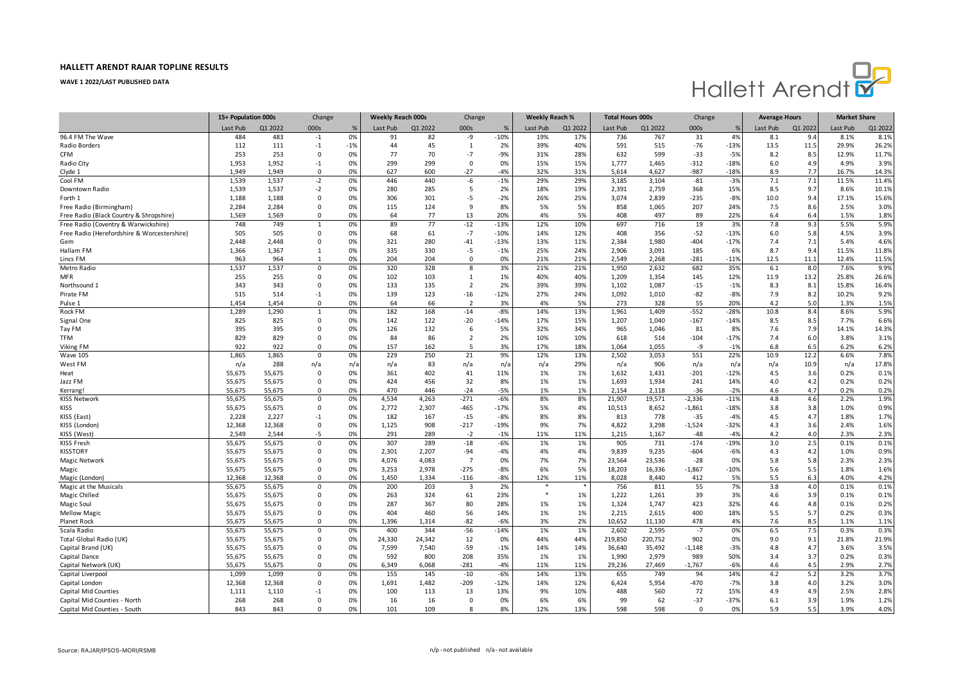

|                                             | 15+ Population 000s |         | Change       |       | <b>Weekly Reach 000s</b> |         | Change         |        | Weekly Reach % |         | <b>Total Hours 000s</b> |         | Change   |        | <b>Average Hours</b> |         | <b>Market Share</b> |         |
|---------------------------------------------|---------------------|---------|--------------|-------|--------------------------|---------|----------------|--------|----------------|---------|-------------------------|---------|----------|--------|----------------------|---------|---------------------|---------|
|                                             | Last Pub            | Q1 2022 | 000s         | %     | Last Pub                 | Q1 2022 | 000s           | %      | Last Pub       | Q1 2022 | Last Pub                | Q1 2022 | 000s     |        | Last Pub             | Q1 2022 | Last Pub            | Q1 2022 |
| 96.4 FM The Wave                            | 484                 | 483     | $-1$         | 0%    | 91                       | 82      | -9             | $-10%$ | 19%            | 17%     | 736                     | 767     | 31       | 4%     | 8.1                  | 9.4     | 8.1%                | 8.1%    |
| Radio Borders                               | 112                 | 111     | $-1$         | $-1%$ | 44                       | 45      | 1              | 2%     | 39%            | 40%     | 591                     | 515     | $-76$    | $-13%$ | 13.5                 | 11.5    | 29.9%               | 26.2%   |
| <b>CFM</b>                                  | 253                 | 253     | $\Omega$     | 0%    | 77                       | 70      | $-7$           | $-9%$  | 31%            | 28%     | 632                     | 599     | $-33$    | $-5%$  | 8.2                  | 8.5     | 12.9%               | 11.7%   |
| Radio City                                  | 1,953               | 1,952   | $-1$         | 0%    | 299                      | 299     | 0              | 0%     | 15%            | 15%     | 1,777                   | 1,465   | $-312$   | $-18%$ | 6.0                  | 4.9     | 4.9%                | 3.9%    |
| Clyde 1                                     | 1.949               | 1.949   | $\mathbf 0$  | 0%    | 627                      | 600     | $-27$          | $-4%$  | 32%            | 31%     | 5,614                   | 4,627   | $-987$   | $-18%$ | 8.9                  | 7.7     | 16.7%               | 14.3%   |
| Cool FM                                     | 1,539               | 1,537   | $-2$         | 0%    | 446                      | 440     | -6             | $-1%$  | 29%            | 29%     | 3,185                   | 3,104   | $-81$    | $-3%$  | 7.1                  | 7.1     | 11.5%               | 11.4%   |
| Downtown Radio                              | 1,539               | 1,537   | $-2$         | 0%    | 280                      | 285     | 5              | 2%     | 18%            | 19%     | 2,391                   | 2,759   | 368      | 15%    | 8.5                  | 9.7     | 8.6%                | 10.1%   |
| Forth 1                                     | 1,188               | 1,188   | $\Omega$     | 0%    | 306                      | 301     | $-5$           | $-2%$  | 26%            | 25%     | 3,074                   | 2,839   | $-235$   | $-8%$  | 10.0                 | 9.4     | 17.1%               | 15.6%   |
| Free Radio (Birmingham)                     | 2,284               | 2,284   | $\Omega$     | 0%    | 115                      | 124     | 9              | 8%     | 5%             | 5%      | 858                     | 1,065   | 207      | 24%    | 7.5                  | 8.6     | 2.5%                | 3.0%    |
| Free Radio (Black Country & Shropshire)     | 1,569               | 1,569   | $\Omega$     | 0%    | 64                       | 77      | 13             | 20%    | 4%             | 5%      | 408                     | 497     | 89       | 22%    | 6.4                  | 6.4     | 1.5%                | 1.8%    |
| Free Radio (Coventry & Warwickshire)        | 748                 | 749     | $\mathbf{1}$ | 0%    | 89                       | 77      | $-12$          | $-13%$ | 12%            | 10%     | 697                     | 716     | 19       | 3%     | 7.8                  | 9.3     | 5.5%                | 5.9%    |
| Free Radio (Herefordshire & Worcestershire) | 505                 | 505     | $\Omega$     | 0%    | 68                       | 61      | $-7$           | $-10%$ | 14%            | 12%     | 408                     | 356     | $-52$    | $-13%$ | 6.0                  | 5.8     | 4.5%                | 3.9%    |
| Gem                                         | 2,448               | 2,448   | $\mathbf 0$  | 0%    | 321                      | 280     | $-41$          | $-13%$ | 13%            | 11%     | 2,384                   | 1,980   | $-404$   | $-17%$ | 7.4                  | 7.1     | 5.4%                | 4.6%    |
| Hallam FM                                   | 1,366               | 1,367   | $\mathbf{1}$ | 0%    | 335                      | 330     | $-5$           | $-1%$  | 25%            | 24%     | 2,906                   | 3,091   | 185      | 6%     | 8.7                  | 9.4     | 11.5%               | 11.8%   |
| Lincs FM                                    | 963                 | 964     |              | 0%    | 204                      | 204     | $\Omega$       | 0%     | 21%            | 21%     | 2,549                   | 2,268   | $-281$   | $-11%$ | 12.5                 | 11.1    | 12.4%               | 11.5%   |
| Metro Radio                                 | 1,537               | 1,537   | $\mathbf 0$  | 0%    | 320                      | 328     | 8              | 3%     | 21%            | 21%     | 1,950                   | 2,632   | 682      | 35%    | 6.1                  | 8.0     | 7.6%                | 9.9%    |
| <b>MFR</b>                                  | 255                 | 255     | $\Omega$     | 0%    | 102                      | 103     | $\mathbf{1}$   | 1%     | 40%            | 40%     | 1,209                   | 1,354   | 145      | 12%    | 11.9                 | 13.2    | 25.8%               | 26.6%   |
| Northsound 1                                | 343                 | 343     | $\Omega$     | 0%    | 133                      | 135     | 2              | 2%     | 39%            | 39%     | 1,102                   | 1,087   | $-15$    | $-1%$  | 8.3                  | 8.1     | 15.8%               | 16.4%   |
| Pirate FM                                   | 515                 | 514     | $-1$         | 0%    | 139                      | 123     | $-16$          | $-12%$ | 27%            | 24%     | 1,092                   | 1,010   | $-82$    | $-8%$  | 7.9                  | 8.2     | 10.2%               | 9.2%    |
| Pulse 1                                     | 1,454               | 1.454   | $\Omega$     | 0%    | 64                       | 66      | $\overline{2}$ | 3%     | 4%             | 5%      | 273                     | 328     | 55       | 20%    | 4.2                  | 5.0     | 1.3%                | 1.5%    |
| Rock FM                                     | 1,289               | 1,290   | $\mathbf{1}$ | 0%    | 182                      | 168     | $-14$          | $-8%$  | 14%            | 13%     | 1,961                   | 1,409   | $-552$   | $-289$ | 10.8                 | 8.4     | 8.6%                | 5.9%    |
| Signal One                                  | 825                 | 825     | 0            | 0%    | 142                      | 122     | $-20$          | $-14%$ | 17%            | 15%     | 1,207                   | 1,040   | $-167$   | $-14%$ | 8.5                  | 8.5     | 7.7%                | 6.6%    |
| Tay FM                                      | 395                 | 395     | $\Omega$     | 0%    | 126                      | 132     | 6              | 5%     | 32%            | 34%     | 965                     | 1,046   | 81       | 8%     | 7.6                  | 7.9     | 14.1%               | 14.3%   |
| <b>TFM</b>                                  | 829                 | 829     | $\mathbf 0$  | 0%    | 84                       | 86      | $\overline{2}$ | 2%     | 10%            | 10%     | 618                     | 514     | $-104$   | $-17%$ | 7.4                  | 6.0     | 3.8%                | 3.1%    |
| Viking FM                                   | 922                 | 922     | $\Omega$     | 0%    | 157                      | 162     | 5              | 3%     | 17%            | 18%     | 1,064                   | 1,055   | -9       | $-1%$  | 6.8                  | 6.5     | 6.2%                | 6.2%    |
| <b>Wave 105</b>                             | 1,865               | 1,865   | $\mathbf 0$  | 0%    | 229                      | 250     | 21             | 9%     | 12%            | 13%     | 2,502                   | 3,053   | 551      | 22%    | 10.9                 | 12.2    | 6.6%                | 7.8%    |
| West FM                                     | n/a                 | 288     | n/a          | n/a   | n/a                      | 83      | n/a            | n/a    | n/a            | 29%     | n/a                     | 906     | n/a      | n/a    | n/a                  | 10.9    | n/a                 | 17.8%   |
| Heat                                        | 55,675              | 55,675  | $\Omega$     | 0%    | 361                      | 402     | 41             | 11%    | 1%             | 1%      | 1,632                   | 1,431   | $-201$   | $-12%$ | 4.5                  | 3.6     | 0.2%                | 0.1%    |
| Jazz FM                                     | 55,675              | 55,675  | $\Omega$     | 0%    | 424                      | 456     | 32             | 8%     | 1%             | 1%      | 1,693                   | 1,934   | 241      | 14%    | 4.0                  | 4.2     | 0.2%                | 0.2%    |
| Kerrang                                     | 55,675              | 55,675  | $\Omega$     | 0%    | 470                      | 446     | $-24$          | $-5%$  | 1%             | 1%      | 2,154                   | 2,118   | $-36$    | $-29$  | 4.6                  | 4.7     | 0.2%                | 0.2%    |
| KISS Network                                | 55,675              | 55,675  | $\mathbf 0$  | 0%    | 4.534                    | 4.263   | $-271$         | $-6%$  | 8%             | 8%      | 21,907                  | 19,571  | $-2,336$ | $-119$ | 4.8                  | 4.6     | 2.2%                | 1.9%    |
| <b>KISS</b>                                 | 55,675              | 55,675  | $\Omega$     | 0%    | 2,772                    | 2,307   | $-465$         | $-17%$ | 5%             | 4%      | 10,513                  | 8,652   | $-1,861$ | $-18%$ | 3.8                  | 3.8     | 1.0%                | 0.9%    |
| KISS (East)                                 | 2,228               | 2,227   | $-1$         | 0%    | 182                      | 167     | $-15$          | $-8%$  | 8%             | 8%      | 813                     | 778     | $-35$    | $-4%$  | 4.5                  | 4.7     | 1.8%                | 1.7%    |
| KISS (London)                               | 12,368              | 12,368  | $\mathbf 0$  | 0%    | 1,125                    | 908     | $-217$         | $-19%$ | 9%             | 7%      | 4,822                   | 3,298   | $-1,524$ | $-32%$ | 4.3                  | 3.6     | 2.4%                | 1.6%    |
| KISS (West)                                 | 2,549               | 2,544   | -5           | 0%    | 291                      | 289     | $-2$           | $-1%$  | 11%            | 11%     | 1,215                   | 1,167   | $-48$    | $-4%$  | 4.2                  | 4.0     | 2.3%                | 2.3%    |
| <b>KISS Fresh</b>                           | 55,675              | 55,675  | $\mathbf 0$  | 0%    | 307                      | 289     | $-18$          | $-6%$  | 1%             | 1%      | 905                     | 731     | $-174$   | $-199$ | 3.0                  | 2.5     | 0.1%                | 0.1%    |
| <b>KISSTORY</b>                             | 55,675              | 55,675  | 0            | 0%    | 2,301                    | 2,207   | $-94$          | $-4%$  | 4%             | 4%      | 9,839                   | 9,235   | $-604$   | $-6%$  | 4.3                  | 4.2     | 1.0%                | 0.9%    |
| Magic Network                               | 55,675              | 55,675  | $\Omega$     | 0%    | 4,076                    | 4,083   | $\overline{7}$ | 0%     | 7%             | 7%      | 23,564                  | 23,536  | $-28$    | 0%     | 5.8                  | 5.8     | 2.3%                | 2.3%    |
| Magic                                       | 55,675              | 55,675  | $\mathbf 0$  | 0%    | 3,253                    | 2,978   | $-275$         | $-8%$  | 6%             | 5%      | 18,203                  | 16,336  | $-1,867$ | $-10%$ | 5.6                  | 5.5     | 1.8%                | 1.6%    |
| Magic (London)                              | 12.368              | 12,368  | $\Omega$     | 0%    | 1.450                    | 1.334   | $-116$         | $-8%$  | 12%            | 11%     | 8,028                   | 8.440   | 412      | 5%     | 5.5                  | 6.3     | 4.0%                | 4.2%    |
| Magic at the Musicals                       | 55,675              | 55,675  | $\Omega$     | 0%    | 200                      | 203     | $\overline{3}$ | 2%     |                |         | 756                     | 811     | 55       | 7%     | 3.8                  | 4.0     | 0.1%                | 0.1%    |
| Magic Chilled                               | 55,675              | 55,675  | 0            | 0%    | 263                      | 324     | 61             | 23%    | *              | 1%      | 1,222                   | 1,261   | 39       | 3%     | 4.6                  | 3.9     | 0.1%                | 0.1%    |
| Magic Soul                                  | 55,675              | 55,675  | $\mathbf 0$  | 0%    | 287                      | 367     | 80             | 28%    | 1%             | 1%      | 1,324                   | 1,747   | 423      | 32%    | 4.6                  | 4.8     | 0.1%                | 0.2%    |
| <b>Mellow Magic</b>                         | 55,675              | 55,675  | $\mathbf 0$  | 0%    | 404                      | 460     | 56             | 14%    | 1%             | 1%      | 2,215                   | 2,615   | 400      | 18%    | 5.5                  | 5.7     | 0.2%                | 0.3%    |
| <b>Planet Rock</b>                          | 55,675              | 55,675  | $\Omega$     | 0%    | 1,396                    | 1,314   | $-82$          | $-6%$  | 3%             | 2%      | 10,652                  | 11,130  | 478      | 4%     | 7.6                  | 8.5     | 1.1%                | 1.1%    |
| Scala Radio                                 | 55,675              | 55,675  | $\mathbf 0$  | 0%    | 400                      | 344     | $-56$          | $-14%$ | 1%             | 1%      | 2,602                   | 2,595   | $-7$     | 0%     | 6.5                  | 7.5     | 0.3%                | 0.3%    |
| Total Global Radio (UK)                     | 55,675              | 55,675  | $\Omega$     | 0%    | 24,330                   | 24,342  | 12             | 0%     | 44%            | 44%     | 219,850                 | 220,752 | 902      | 0%     | 9.0                  | 9.1     | 21.8%               | 21.9%   |
| Capital Brand (UK)                          | 55,675              | 55,675  | 0            | 0%    | 7,599                    | 7,540   | $-59$          | $-1%$  | 14%            | 14%     | 36,640                  | 35,492  | $-1,148$ | $-3%$  | 4.8                  | 4.7     | 3.6%                | 3.5%    |
| Capital Dance                               | 55,675              | 55,675  | $\Omega$     | 0%    | 592                      | 800     | 208            | 35%    | 1%             | 1%      | 1,990                   | 2,979   | 989      | 50%    | 3.4                  | 3.7     | 0.2%                | 0.3%    |
| Capital Network (UK)                        | 55,675              | 55,675  | $\Omega$     | 0%    | 6,349                    | 6,068   | $-281$         | $-4%$  | 11%            | 11%     | 29,236                  | 27,469  | $-1,767$ | $-6%$  | 4.6                  | 4.5     | 2.9%                | 2.7%    |
| Capital Liverpool                           | 1,099               | 1,099   | $\Omega$     | 0%    | 155                      | 145     | $-10$          | $-6%$  | 14%            | 13%     | 655                     | 749     | 94       | 14%    | 4.2                  | 5.2     | 3.2%                | 3.7%    |
| Capital London                              | 12,368              | 12,368  | 0            | 0%    | 1,691                    | 1,482   | $-209$         | $-12%$ | 14%            | 12%     | 6,424                   | 5,954   | $-470$   | $-7%$  | 3.8                  | 4.0     | 3.2%                | 3.0%    |
| Capital Mid Counties                        | 1,111               | 1,110   | -1           | 0%    | 100                      | 113     | 13             | 13%    | 9%             | 10%     | 488                     | 560     | 72       | 15%    | 4.9                  | 4.9     | 2.5%                | 2.8%    |
| Capital Mid Counties - North                | 268                 | 268     | $\Omega$     | 0%    | 16                       | 16      | $\mathbf 0$    | 0%     | 6%             | 6%      | 99                      | 62      | $-37$    | $-37%$ | 6.1                  | 3.9     | 1.9%                | 1.2%    |
| Capital Mid Counties - South                | 843                 | 843     | $\Omega$     | 0%    | 101                      | 109     | 8              | 8%     | 12%            | 13%     | 598                     | 598     | $\Omega$ | 0%     | 5.9                  | 5.5     | 3.9%                | 4.0%    |
|                                             |                     |         |              |       |                          |         |                |        |                |         |                         |         |          |        |                      |         |                     |         |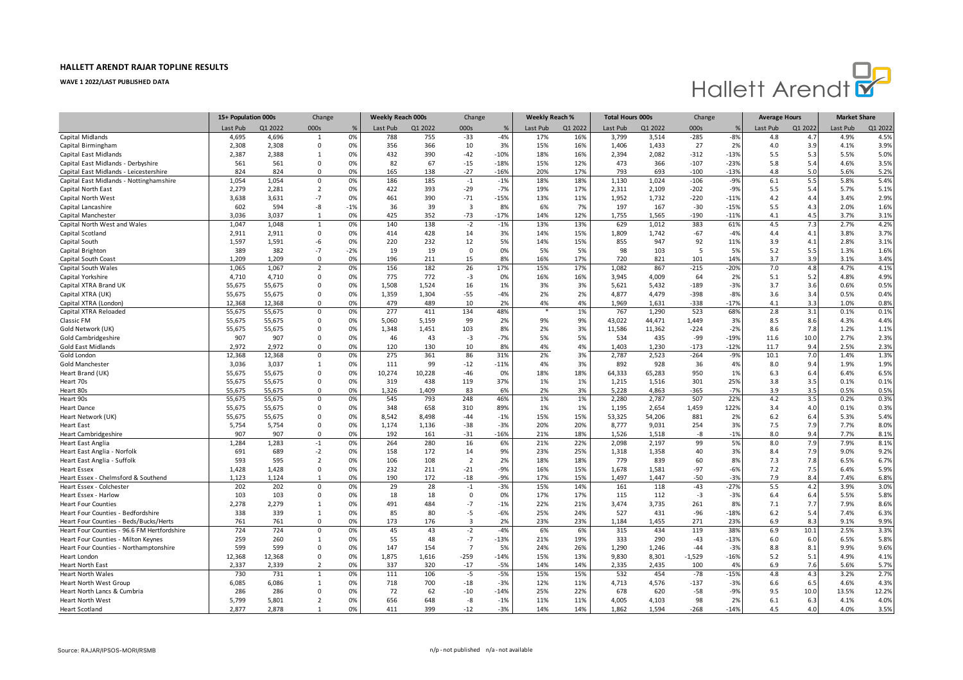

|                                                       | 15+ Population 000s |         | Change         |       | <b>Weekly Reach 000s</b> |         | Change         |        | Weekly Reach % |         | <b>Total Hours 000s</b> |         | Change   |        | <b>Average Hours</b> |                 | <b>Market Share</b> |         |
|-------------------------------------------------------|---------------------|---------|----------------|-------|--------------------------|---------|----------------|--------|----------------|---------|-------------------------|---------|----------|--------|----------------------|-----------------|---------------------|---------|
|                                                       | Last Pub            | Q1 2022 | 000s           | %     | Last Pub                 | Q1 2022 | 000s           | %      | Last Pub       | Q1 2022 | Last Pub                | Q1 2022 | 000s     |        | Last Pub             | Q1 2022         | Last Pub            | Q1 2022 |
| Capital Midlands                                      | 4,695               | 4,696   | $\mathbf{1}$   | 0%    | 788                      | 755     | $-33$          | $-4%$  | 17%            | 16%     | 3,799                   | 3,514   | $-285$   | $-8%$  | 4.8                  | 4.7             | 4.9%                | 4.5%    |
| Capital Birmingham                                    | 2,308               | 2,308   | 0              | 0%    | 356                      | 366     | 10             | 3%     | 15%            | 16%     | 1,406                   | 1,433   | 27       | 2%     | 4.0                  | 3.9             | 4.1%                | 3.9%    |
| Capital East Midlands                                 | 2,387               | 2,388   | 1              | 0%    | 432                      | 390     | $-42$          | $-10%$ | 18%            | 16%     | 2,394                   | 2,082   | $-312$   | $-13%$ | 5.5                  | 5.3             | 5.5%                | 5.0%    |
| Capital East Midlands - Derbyshire                    | 561                 | 561     | $\Omega$       | 0%    | 82                       | 67      | $-15$          | $-18%$ | 15%            | 12%     | 473                     | 366     | $-107$   | $-23%$ | 5.8                  | 5.4             | 4.6%                | 3.5%    |
| Capital East Midlands - Leicestershire                | 824                 | 824     | $\Omega$       | 0%    | 165                      | 138     | $-27$          | $-16%$ | 20%            | 17%     | 793                     | 693     | $-100$   | $-13%$ | 4.8                  | 5.0             | 5.6%                | 5.2%    |
| Capital East Midlands - Nottinghamshire               | 1,054               | 1,054   | $\mathbf 0$    | 0%    | 186                      | 185     | $\mathbf{-1}$  | $-1%$  | 18%            | 18%     | 1,130                   | 1,024   | $-106$   | $-9%$  | 6.1                  | 5.5             | 5.8%                | 5.4%    |
| Capital North East                                    | 2,279               | 2,281   | $\overline{2}$ | 0%    | 422                      | 393     | $-29$          | $-7%$  | 19%            | 17%     | 2,311                   | 2,109   | $-202$   | $-9%$  | 5.5                  | 5.4             | 5.7%                | 5.1%    |
| Capital North West                                    | 3,638               | 3,631   | $-7$           | 0%    | 461                      | 390     | $-71$          | $-15%$ | 13%            | 11%     | 1,952                   | 1,732   | $-220$   | $-11%$ | 4.2                  | 4.4             | 3.4%                | 2.9%    |
| Capital Lancashire                                    | 602                 | 594     | -8             | $-1%$ | 36                       | 39      | $\overline{3}$ | 8%     | 6%             | 7%      | 197                     | 167     | $-30$    | $-15%$ | 5.5                  | 4.3             | 2.0%                | 1.6%    |
| Capital Manchester                                    | 3,036               | 3,037   | $\mathbf{1}$   | 0%    | 425                      | 352     | $-73$          | $-17%$ | 14%            | 12%     | 1,755                   | 1,565   | $-190$   | $-11%$ | 4.1                  | 4.5             | 3.7%                | 3.1%    |
| Capital North West and Wales                          | 1,047               | 1,048   | $\mathbf{1}$   | 0%    | 140                      | 138     | $-2$           | $-1%$  | 13%            | 13%     | 629                     | 1,012   | 383      | 61%    | 4.5                  | 7.3             | 2.7%                | 4.2%    |
| Capital Scotland                                      | 2,911               | 2,911   | $\mathbf 0$    | 0%    | 414                      | 428     | 14             | 3%     | 14%            | 15%     | 1,809                   | 1,742   | $-67$    | $-4%$  | 4.4                  | 4.1             | 3.8%                | 3.7%    |
| Capital South                                         | 1,597               | 1,591   | -6             | 0%    | 220                      | 232     | 12             | 5%     | 14%            | 15%     | 855                     | 947     | 92       | 11%    | 3.9                  | 4.1             | 2.8%                | 3.1%    |
| Capital Brighton                                      | 389                 | 382     | $-7$           | $-2%$ | 19                       | 19      | $\Omega$       | 0%     | 5%             | 5%      | 98                      | 103     | 5        | 5%     | 5.2                  | 5.5             | 1.3%                | 1.6%    |
| Capital South Coast                                   | 1.209               | 1,209   | $\Omega$       | 0%    | 196                      | 211     | 15             | 8%     | 16%            | 17%     | 720                     | 821     | 101      | 14%    | 3.7                  | 3.9             | 3.1%                | 3.4%    |
| Capital South Wales                                   | 1,065               | 1,067   | $\overline{2}$ | 0%    | 156                      | 182     | 26             | 17%    | 15%            | 17%     | 1,082                   | 867     | $-215$   | $-20%$ | 7.0                  | 4.8             | 4.7%                | 4.1%    |
| Capital Yorkshire                                     | 4,710               | 4.710   | $\Omega$       | 0%    | 775                      | 772     | $-3$           | 0%     | 16%            | 16%     | 3.945                   | 4.009   | 64       | 2%     | 5.1                  | 5.2             | 4.8%                | 4.9%    |
| Capital XTRA Brand UK                                 | 55,675              | 55,675  | $\Omega$       | 0%    | 1,508                    | 1,524   | 16             | 1%     | 3%             | 3%      | 5,621                   | 5,432   | $-189$   | $-3%$  | 3.7                  | 3.6             | 0.6%                | 0.5%    |
| Capital XTRA (UK)                                     | 55,675              | 55,675  | $\mathbf 0$    | 0%    | 1,359                    | 1,304   | $-55$          | $-4%$  | 2%             | 2%      | 4,877                   | 4,479   | $-398$   | $-8%$  | 3.6                  | 3.4             | 0.5%                | 0.4%    |
| Capital XTRA (London)                                 | 12,368              | 12,368  | $\Omega$       | 0%    | 479                      | 489     | 10             | 2%     | 4%             | 4%      | 1,969                   | 1,631   | $-338$   | $-17%$ | 4.1                  | 3.3             | 1.0%                | 0.8%    |
| Capital XTRA Reloaded                                 | 55,675              | 55,675  | $\mathbf 0$    | 0%    | 277                      | 411     | 134            | 48%    |                | 1%      | 767                     | 1,290   | 523      | 68%    | 2.8                  | 3.1             | 0.1%                | 0.1%    |
| Classic FM                                            | 55.675              | 55,675  | $\Omega$       | 0%    | 5.060                    | 5.159   | 99             | 2%     | 9%             | 9%      | 43.022                  | 44,471  | 1.449    | 3%     | 8.5                  | 8.6             | 4.3%                | 4.4%    |
| Gold Network (UK)                                     | 55,675              | 55,675  | $\Omega$       | 0%    | 1,348                    | 1,451   | 103            | 8%     | 2%             | 3%      | 11,586                  | 11,362  | $-224$   | $-2%$  | 8.6                  | 7.8             | 1.2%                | 1.1%    |
| Gold Cambridgeshire                                   | 907                 | 907     | $\mathbf 0$    | 0%    | 46                       | 43      | $-3$           | $-7%$  | 5%             | 5%      | 534                     | 435     | -99      | $-19%$ | 11.6                 | 10.0            | 2.7%                | 2.3%    |
| <b>Gold East Midlands</b>                             | 2,972               | 2,972   | $\Omega$       | 0%    | 120                      | 130     | 10             | 8%     | 4%             | 4%      | 1,403                   | 1,230   | $-173$   | $-12%$ | 11.7                 | 9.4             | 2.5%                | 2.3%    |
| Gold London                                           | 12,368              | 12,368  | $\mathbf 0$    | 0%    | 275                      | 361     | 86             | 31%    | 2%             | 3%      | 2,787                   | 2,523   | $-264$   | $-9%$  | 10.1                 | 7. <sub>C</sub> | 1.4%                | 1.3%    |
| Gold Manchester                                       | 3,036               | 3,037   | 1              | 0%    | 111                      | 99      | $-12$          | $-11%$ | 4%             | 3%      | 892                     | 928     | 36       | 4%     | 8.0                  | 9.4             | 1.9%                | 1.9%    |
| Heart Brand (UK)                                      | 55,675              | 55,675  | $\Omega$       | 0%    | 10,274                   | 10,228  | $-46$          | 0%     | 18%            | 18%     | 64,333                  | 65,283  | 950      | 1%     | 6.3                  | 6.4             | 6.4%                | 6.5%    |
| Heart 70s                                             | 55,675              | 55,675  | 0              | 0%    | 319                      | 438     | 119            | 37%    | 1%             | 1%      | 1,215                   | 1,516   | 301      | 25%    | 3.8                  | 3.5             | 0.1%                | 0.1%    |
| Heart 80s                                             | 55,675              | 55,675  | $\Omega$       | 0%    | 1,326                    | 1,409   | 83             | 6%     | 2%             | 3%      | 5,228                   | 4,863   | $-365$   | $-7%$  | 3.9                  | 3.5             | 0.5%                | 0.5%    |
| Heart 90s                                             | 55,675              | 55,675  | 0              | 0%    | 545                      | 793     | 248            | 46%    | 1%             | 1%      | 2,280                   | 2,787   | 507      | 22%    | 4.2                  | 3.5             | 0.2%                | 0.3%    |
| <b>Heart Dance</b>                                    | 55,675              | 55,675  | $\Omega$       | 0%    | 348                      | 658     | 310            | 89%    | 1%             | 1%      | 1,195                   | 2,654   | 1,459    | 122%   | 3.4                  | 4.0             | 0.1%                | 0.3%    |
| Heart Network (UK)                                    | 55,675              | 55,675  | $\Omega$       | 0%    | 8,542                    | 8,498   | $-44$          | $-1%$  | 15%            | 15%     | 53,325                  | 54,206  | 881      | 2%     | $6.2$                | 6.4             | 5.3%                | 5.4%    |
| <b>Heart East</b>                                     | 5,754               | 5,754   | $\Omega$       | 0%    | 1,174                    | 1,136   | $-38$          | $-3%$  | 20%            | 20%     | 8,777                   | 9,031   | 254      | 3%     | 7.5                  | 7.9             | 7.7%                | 8.0%    |
| <b>Heart Cambridgeshire</b>                           | 907                 | 907     | $\Omega$       | 0%    | 192                      | 161     | $-31$          | $-16%$ | 21%            | 18%     | 1,526                   | 1,518   | -8       | $-1%$  | 8.0                  | 9.4             | 7.7%                | 8.1%    |
| <b>Heart East Anglia</b>                              | 1,284               | 1,283   | $-1$           | 0%    | 264                      | 280     | 16             | 6%     | 21%            | 22%     | 2,098                   | 2,197   | 99       | 5%     | 8.0                  | 7.9             | 7.9%                | 8.1%    |
| Heart East Anglia - Norfolk                           | 691                 | 689     | $-2$           | 0%    | 158                      | 172     | 14             | 9%     | 23%            | 25%     | 1,318                   | 1,358   | 40       | 3%     | 8.4                  | 7.9             | 9.0%                | 9.2%    |
| Heart East Anglia - Suffolk                           | 593                 | 595     | $\overline{2}$ | 0%    | 106                      | 108     | $\overline{2}$ | 2%     | 18%            | 18%     | 779                     | 839     | 60       | 8%     | 7.3                  | 7.8             | 6.5%                | 6.7%    |
| <b>Heart Essex</b>                                    | 1,428               | 1,428   | 0              | 0%    | 232                      | 211     | $-21$          | $-9%$  | 16%            | 15%     | 1,678                   | 1,581   | $-97$    | $-6%$  | 7.2                  | 7.5             | 6.4%                | 5.9%    |
| Heart Essex - Chelmsford & Southend                   | 1,123               | 1,124   | $\mathbf{1}$   | 0%    | 190                      | 172     | $-18$          | $-9%$  | 17%            | 15%     | 1,497                   | 1,447   | $-50$    | $-3%$  | 7.9                  | 8.4             | 7.4%                | 6.8%    |
| Heart Essex - Colchester                              | 202                 | 202     | $\mathbf 0$    | 0%    | 29                       | 28      | $-1$           | $-3%$  | 15%            | 14%     | 161                     | 118     | $-43$    | $-27%$ | 5.5                  | 4.2             | 3.9%                | 3.0%    |
| Heart Essex - Harlow                                  | 103                 | 103     | $\Omega$       | 0%    | 18                       | 18      | $\Omega$       | 0%     | 17%            | 17%     | 115                     | 112     | $-3$     | $-3%$  | 6.4                  | 6.4             | 5.5%                | 5.8%    |
| <b>Heart Four Counties</b>                            | 2,278               | 2,279   | 1              | 0%    | 491                      | 484     | $-7$           | $-1%$  | 22%            | 21%     | 3,474                   | 3,735   | 261      | 8%     | 7.1                  | 7.7             | 7.9%                | 8.6%    |
| Heart Four Counties - Bedfordshire                    | 338                 | 339     | 1              | 0%    | 85                       | 80      | -5             | $-6%$  | 25%            | 24%     | 527                     | 431     | $-96$    | $-18%$ | 6.2                  | 5.4             | 7.4%                | 6.3%    |
| Heart Four Counties - Beds/Bucks/Herts                | 761                 | 761     | $\Omega$       | 0%    | 173                      | 176     | $\overline{3}$ | 2%     | 23%            | 23%     | 1,184                   | 1,455   | 271      | 23%    | 6.9                  | 8.3             | 9.1%                | 9.9%    |
| Heart Four Counties - 96.6 FM Hertfordshire           | 724                 | 724     | $\Omega$       | 0%    | 45                       | 43      | $-2$           | $-4%$  | 6%             | 6%      | 315                     | 434     | 119      | 38%    | 6.9                  | 10.1            | 2.5%                | 3.3%    |
| Heart Four Counties - Milton Keynes                   | 259                 | 260     | 1              | 0%    | 55                       | 48      | $-7$           | $-13%$ | 21%            | 19%     | 333                     | 290     | $-43$    | $-13%$ | 6.0                  | 6.0             | 6.5%                | 5.8%    |
| Heart Four Counties - Northamptonshire                | 599                 | 599     | $\Omega$       | 0%    | 147                      | 154     | $\overline{7}$ | 5%     | 24%            | 26%     | 1,290                   | 1,246   | $-44$    | $-3%$  | 8.8                  | 8.1             | 9.9%                | 9.6%    |
| Heart London                                          | 12,368              | 12,368  | $\mathbf 0$    | 0%    | 1,875                    | 1,616   | $-259$         | $-14%$ | 15%            | 13%     | 9,830                   | 8,301   | $-1,529$ | $-16%$ | 5.2                  | 5.1             | 4.9%                | 4.1%    |
| <b>Heart North East</b>                               | 2,337               | 2,339   | $\overline{2}$ | 0%    | 337                      | 320     | $-17$          | $-5%$  | 14%            | 14%     | 2,335                   | 2,435   | 100      | 4%     | 6.9                  | 7.6             | 5.6%                | 5.7%    |
| <b>Heart North Wales</b>                              | 730                 | 731     | 1              | 0%    | 111                      | 106     | $-5$           | $-5%$  | 15%            | 15%     | 532                     | 454     | $-78$    | $-15%$ | 4.8                  | 4.3             | 3.2%                | 2.7%    |
|                                                       | 6,085               | 6,086   | 1              | 0%    | 718                      | 700     | $-18$          | $-3%$  | 12%            | 11%     | 4,713                   | 4,576   | $-137$   | $-3%$  | 6.6                  | 6.5             | 4.6%                | 4.3%    |
| Heart North West Group<br>Heart North Lancs & Cumbria | 286                 | 286     | $\Omega$       | 0%    | 72                       | 62      | $-10$          | $-14%$ | 25%            | 22%     | 678                     | 620     | $-58$    | $-9%$  | 9.5                  | 10.0            | 13.5%               | 12.2%   |
| Heart North West                                      | 5,799               | 5,801   | $\overline{2}$ | 0%    | 656                      | 648     | -8             | $-1%$  | 11%            | 11%     | 4,005                   | 4,103   | 98       | 2%     | 6.1                  | 6.3             | 4.1%                | 4.0%    |
|                                                       | 2,877               | 2,878   | $\mathbf{1}$   | 0%    | 411                      | 399     | $-12$          | $-3%$  | 14%            | 14%     | 1,862                   | 1,594   | $-268$   | $-14%$ | 4.5                  | 4.0             | 4.0%                | 3.5%    |
| <b>Heart Scotland</b>                                 |                     |         |                |       |                          |         |                |        |                |         |                         |         |          |        |                      |                 |                     |         |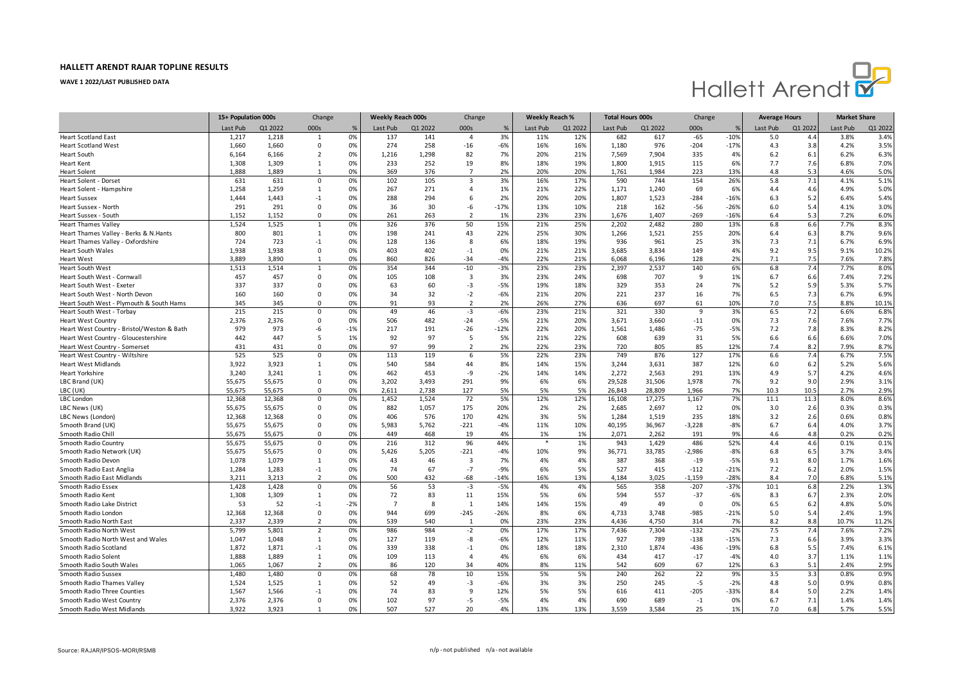

|                                            | 15+ Population 000s |         | Change         |       | <b>Weekly Reach 000s</b> |          | Change                  |              | Weekly Reach % |          | <b>Total Hours 000s</b> |            | Change      |           | <b>Average Hours</b> |         | <b>Market Share</b> |              |
|--------------------------------------------|---------------------|---------|----------------|-------|--------------------------|----------|-------------------------|--------------|----------------|----------|-------------------------|------------|-------------|-----------|----------------------|---------|---------------------|--------------|
|                                            | Last Pub            | Q1 2022 | 000s           | %     | Last Pub                 | Q1 2022  | 000s                    | %            | Last Pub       | Q1 2022  | Last Pub                | Q1 2022    | 000s        |           | Last Pub             | Q1 2022 | Last Pub            | Q1 2022      |
| <b>Heart Scotland East</b>                 | 1,217               | 1,218   | $\mathbf{1}$   | 0%    | 137                      | 141      | $\overline{4}$          | 3%           | 11%            | 12%      | 682                     | 617        | $-65$       | $-10%$    | 5.0                  | 4.4     | 3.8%                | 3.4%         |
| <b>Heart Scotland West</b>                 | 1,660               | 1,660   | 0              | 0%    | 274                      | 258      | $-16$                   | $-6%$        | 16%            | 16%      | 1,180                   | 976        | $-204$      | $-17%$    | 4.3                  | 3.8     | 4.2%                | 3.5%         |
| <b>Heart South</b>                         | 6,164               | 6,166   | $\overline{2}$ | 0%    | 1,216                    | 1,298    | 82                      | 7%           | 20%            | 21%      | 7,569                   | 7,904      | 335         | 4%        | 6.2                  | 6.1     | 6.2%                | 6.3%         |
| <b>Heart Kent</b>                          | 1,308               | 1,309   | 1              | 0%    | 233                      | 252      | 19                      | 8%           | 18%            | 19%      | 1,800                   | 1,915      | 115         | 6%        | 7.7                  | 7.6     | 6.8%                | 7.0%         |
| <b>Heart Solent</b>                        | 1.888               | 1.889   | 1              | 0%    | 369                      | 376      | $\overline{7}$          | 2%           | 20%            | 20%      | 1,761                   | 1.984      | 223         | 13%       | 4.8                  | 5.3     | 4.6%                | 5.0%         |
| Heart Solent - Dorset                      | 631                 | 631     | $\mathsf 0$    | 0%    | 102                      | 105      | $\overline{\mathbf{3}}$ | 3%           | 16%            | 17%      | 590                     | 744        | 154         | 26%       | 5.8                  | 7.1     | 4.1%                | 5.1%         |
| Heart Solent - Hampshire                   | 1,258               | 1,259   | 1              | 0%    | 267                      | 271      | $\overline{4}$          | 1%           | 21%            | 22%      | 1,171                   | 1,240      | 69          | 6%        | 4.4                  | 4.6     | 4.9%                | 5.0%         |
| <b>Heart Sussex</b>                        | 1,444               | 1.443   | $-1$           | 0%    | 288                      | 294      | 6                       | 2%           | 20%            | 20%      | 1,807                   | 1,523      | $-284$      | $-16%$    | 6.3                  | 5.2     | 6.4%                | 5.4%         |
| Heart Sussex - North                       | 291                 | 291     | 0              | 0%    | 36                       | 30       | -6                      | $-17%$       | 13%            | 10%      | 218                     | 162        | $-56$       | $-26%$    | 6.0                  | 5.4     | 4.1%                | 3.0%         |
| Heart Sussex - South                       | 1,152               | 1,152   | $\Omega$       | 0%    | 261                      | 263      | $\overline{2}$          | 1%           | 23%            | 23%      | 1,676                   | 1,407      | $-269$      | $-16%$    | 6.4                  | 5.3     | 7.2%                | 6.0%         |
| <b>Heart Thames Valley</b>                 | 1,524               | 1,525   | $\mathbf{1}$   | 0%    | 326                      | 376      | 50                      | 15%          | 21%            | 25%      | 2,202                   | 2,482      | 280         | 13%       | 6.8                  | 6.6     | 7.7%                | 8.3%         |
| Heart Thames Valley - Berks & N.Hants      | 800                 | 801     | 1              | 0%    | 198                      | 241      | 43                      | 22%          | 25%            | 30%      | 1,266                   | 1,521      | 255         | 20%       | 6.4                  | 6.3     | 8.7%                | 9.6%         |
| Heart Thames Valley - Oxfordshire          | 724                 | 723     | $-1$           | 0%    | 128                      | 136      | $\mathbf{8}$            | 6%           | 18%            | 19%      | 936                     | 961        | 25          | 3%        | 7.3                  | 7.1     | 6.7%                | 6.9%         |
| <b>Heart South Wales</b>                   | 1,938               | 1,938   | $\mathbf 0$    | 0%    | 403                      | 402      | $-1$                    | 0%           | 21%            | 21%      | 3,685                   | 3,834      | 149         | 4%        | 9.2                  | 9.5     | 9.1%                | 10.2%        |
| <b>Heart West</b>                          | 3.889               | 3,890   | 1              | 0%    | 860                      | 826      | $-34$                   | $-4%$        | 22%            | 21%      | 6,068                   | 6,196      | 128         | 2%        | 7.1                  | 7.5     | 7.6%                | 7.8%         |
| Heart South West                           | 1,513               | 1,514   | $\mathbf{1}$   | 0%    | 354                      | 344      | $-10$                   | $-3%$        | 23%            | 23%      | 2,397                   | 2,537      | 140         | 6%        | 6.8                  | 7.4     | 7.7%                | 8.0%         |
| Heart South West - Cornwall                | 457                 | 457     | $\Omega$       | 0%    | 105                      | 108      | $\overline{3}$          | 3%           | 23%            | 24%      | 698                     | 707        | -9          | 1%        | 6.7                  | 6.6     | 7.4%                | 7.2%         |
| Heart South West - Exeter                  | 337                 | 337     | $\Omega$       | 0%    | 63                       | 60       | $-3$                    | $-5%$        | 19%            | 18%      | 329                     | 353        | 24          | 7%        | 5.2                  | 5.9     | 5.3%                | 5.7%         |
| Heart South West - North Devon             | 160                 | 160     | $\mathbf 0$    | 0%    | 34                       | 32       | $-2$                    | $-6%$        | 21%            | 20%      | 221                     | 237        | 16          | 7%        | 6.5                  | 7.3     | 6.7%                | 6.9%         |
| Heart South West - Plymouth & South Hams   | 345                 | 345     | $\Omega$       | 0%    | 91                       | 93       | $\overline{2}$          | 2%           | 26%            | 27%      | 636                     | 697        | 61          | 10%       | 7.0                  | 7.5     | 8.8%                | 10.1%        |
| Heart South West - Torbay                  | 215                 | 215     | $\mathbf 0$    | 0%    | 49                       | 46       | $-3$                    | $-6%$        | 23%            | 21%      | 321                     | 330        | 9           | 3%        | 6.5                  | 7.2     | 6.6%                | 6.8%         |
| <b>Heart West Country</b>                  | 2.376               | 2.376   | $\Omega$       | 0%    | 506                      | 482      | $-24$                   | $-5%$        | 21%            | 20%      | 3.671                   | 3.660      | $-11$       | 0%        | 7.3                  | 7.6     | 7.6%                | 7.7%         |
| Heart West Country - Bristol/Weston & Bath | 979                 | 973     | -6             | $-1%$ | 217                      | 191      | $-26$                   | $-12%$       | 22%            | 20%      | 1,561                   | 1,486      | $-75$       | $-5%$     | 7.2                  | 7.8     | 8.3%                | 8.2%         |
| Heart West Country - Gloucestershire       | 442                 | 447     | 5              | 1%    | 92                       | 97       | 5                       | 5%           | 21%            | 22%      | 608                     | 639        | 31          | 5%        | 6.6                  | 6.6     | 6.6%                | 7.0%         |
| Heart West Country - Somerset              | 431                 | 431     | $\Omega$       | 0%    | 97                       | 99       | $\overline{2}$          | 2%           | 22%            | 23%      | 720                     | 805        | 85          | 12%       | 7.4                  | 8.2     | 7.9%                | 8.7%         |
| Heart West Country - Wiltshire             | 525                 | 525     | $\mathbf 0$    | 0%    | 113                      | 119      | 6                       | 5%           | 22%            | 23%      | 749                     | 876        | 127         | 17%       | 6.6                  | 7.4     | 6.7%                | 7.5%         |
| <b>Heart West Midlands</b>                 | 3.922               | 3.923   | 1              | 0%    | 540                      | 584      | 44                      | 8%           | 14%            | 15%      | 3,244                   | 3.631      | 387         | 12%       | 6.0                  | 6.2     | 5.2%                | 5.6%         |
| <b>Heart Yorkshire</b>                     | 3,240               | 3,241   | 1              | 0%    | 462                      | 453      | -9                      | $-2%$        | 14%            | 14%      | 2,272                   | 2,563      | 291         | 13%       | 4.9                  | 5.7     | 4.2%                | 4.6%         |
| LBC Brand (UK)                             | 55,675              | 55,675  | 0              | 0%    | 3,202                    | 3,493    | 291                     | 9%           | 6%             | 6%       | 29,528                  | 31,506     | 1,978       | 7%        | 9.2                  | 9.0     | 2.9%                | 3.1%         |
| LBC (UK)                                   | 55,675              | 55,675  | $\Omega$       | 0%    | 2,611                    | 2.738    | 127                     | 5%           | 5%             | 5%       | 26,843                  | 28,809     | 1,966       | 7%        | 10.3                 | 10.5    | 2.7%                | 2.9%         |
| LBC London                                 | 12,368              | 12,368  | $\mathbf 0$    | 0%    | 1,452                    | 1,524    | 72                      | 5%           | 12%            | 12%      | 16,108                  | 17,275     | 1,167       | 7%        | 11.1                 | 11.3    | 8.0%                | 8.6%         |
| LBC News (UK)                              | 55,675              | 55,675  | $\Omega$       | 0%    | 882                      | 1,057    | 175                     | 20%          | 2%             | 2%       | 2,685                   | 2,697      | 12          | 0%        | 3.0                  | 2.6     | 0.3%                | 0.3%         |
| LBC News (London)                          | 12,368              | 12,368  | $\Omega$       | 0%    | 406                      | 576      | 170                     | 42%          | 3%             | 5%       | 1,284                   | 1,519      | 235         | 18%       | 3.2                  | 2.6     | 0.6%                | 0.8%         |
| Smooth Brand (UK)                          | 55,675              | 55,675  | $\Omega$       | 0%    | 5,983                    | 5,762    | $-221$                  | $-4%$        | 11%            | 10%      | 40,195                  | 36,967     | $-3,228$    | $-8%$     | 6.7                  | 6.4     | 4.0%                | 3.7%         |
| Smooth Radio Chill                         | 55,675              | 55,675  | $\Omega$       | 0%    | 449                      | 468      | 19                      | 4%           | 1%             | 1%       | 2,071                   | 2,262      | 191         | 9%        | 4.6                  | 4.8     | 0.2%                | 0.2%         |
| Smooth Radio Country                       | 55,675              | 55,675  | $\mathbf 0$    | 0%    | 216                      | 312      | 96                      | 44%          |                | 1%       | 943                     | 1,429      | 486         | 52%       | 4.4                  | 4.6     | 0.1%                | 0.1%         |
| Smooth Radio Network (UK)                  | 55,675              | 55,675  | $\Omega$       | 0%    | 5,426                    | 5,205    | $-221$                  | $-4%$        | 10%            | 9%       | 36,771                  | 33,785     | $-2,986$    | $-8%$     | 6.8                  | 6.5     | 3.7%                | 3.4%         |
| Smooth Radio Devon                         | 1,078               | 1,079   | 1              | 0%    | 43                       | 46       | $\overline{3}$          | 7%           | 4%             | 4%       | 387                     | 368        | $-19$       | $-5%$     | 9.1                  | 8.0     | 1.7%                | 1.6%         |
| Smooth Radio East Anglia                   | 1,284               | 1,283   | $-1$           | 0%    | 74                       | 67       | $-7$                    | $-9%$        | 6%             | 5%       | 527                     | 415        | $-112$      | $-21%$    | 7.2                  | 6.2     | 2.0%                | 1.5%         |
| Smooth Radio East Midlands                 | 3,211               | 3,213   | $\overline{2}$ | 0%    | 500                      | 432      | $-68$                   | $-14%$       | 16%            | 13%      | 4,184                   | 3,025      | $-1,159$    | $-28%$    | 8.4                  | 7.0     | 6.8%                | 5.1%         |
| Smooth Radio Essex                         | 1,428               | 1,428   | $\mathbf 0$    | 0%    | 56                       | 53       | $-3$                    | $-5%$        | 4%             | 4%       | 565                     | 358        | $-207$      | $-37%$    | 10.1                 | 6.8     | 2.2%                | 1.3%         |
| Smooth Radio Kent                          | 1,308               | 1,309   | $\mathbf{1}$   | 0%    | 72                       | 83       | 11                      | 15%          | 5%             | 6%       | 594                     | 557        | $-37$       | $-6%$     | 8.3                  | 6.7     | 2.3%                | 2.0%         |
| Smooth Radio Lake District                 | 53                  | 52      | $-1$           | $-2%$ | $\overline{7}$           | 8        | 1                       | 14%          | 14%            | 15%      | 49                      | 49         | $\mathbf 0$ | 0%        | 6.5                  | 6.2     | 4.8%                | 5.0%         |
| Smooth Radio London                        | 12,368              | 12,368  | $\mathbf 0$    | 0%    | 944                      | 699      | $-245$                  | $-26%$       | 8%             | 6%       | 4,733                   | 3,748      | $-985$      | $-21%$    | 5.0                  | 5.4     | 2.4%                | 1.9%         |
| Smooth Radio North East                    | 2,337               | 2,339   | $\overline{2}$ | 0%    | 539                      | 540      | $\mathbf{1}$            | 0%           | 23%            | 23%      | 4,436                   | 4,750      | 314         | 7%        | 8.2                  | 8.8     | 10.7%               | 11.2%        |
| Smooth Radio North West                    | 5,799               | 5,801   | $\overline{2}$ | 0%    | 986                      | 984      | $-2$                    | 0%           | 17%            | 17%      | 7,436                   | 7,304      | $-132$      | $-2%$     | 7.5                  | 7.4     | 7.6%                | 7.2%         |
| Smooth Radio North West and Wales          | 1,047               | 1,048   | 1              | 0%    | 127                      | 119      | -8                      | $-6%$        | 12%            | 11%      | 927                     | 789        | $-138$      | $-15%$    | 7.3                  | 6.6     | 3.9%                | 3.3%         |
| Smooth Radio Scotland                      | 1,872               | 1,871   | $-1$           | 0%    | 339                      | 338      | $-1$                    | 0%           | 18%            | 18%      | 2,310                   | 1,874      | -436        | $-19%$    | 6.8                  | 5.5     | 7.4%                | 6.1%         |
|                                            | 1,888               | 1,889   | $\mathbf{1}$   | 0%    | 109                      | 113      | $\overline{4}$          | 4%           | 6%             | 6%       | 434                     | 417        |             | $-4%$     |                      | 3.7     | 1.1%                | 1.1%         |
| Smooth Radio Solent                        | 1,065               | 1,067   | $\overline{2}$ | 0%    | 86                       | 120      | 34                      | 40%          | 8%             | 11%      | 542                     | 609        | $-17$<br>67 |           | 4.0<br>6.3           | 5.1     | 2.4%                | 2.9%         |
| Smooth Radio South Wales                   | 1,480               | 1,480   | $\Omega$       | 0%    | 68                       | 78       | 10                      | 15%          | 5%             | 5%       | 240                     | 262        | 22          | 12%<br>9% | 3.5                  | 3.3     | 0.8%                | 0.9%         |
| Smooth Radio Sussex                        |                     |         |                |       |                          |          |                         |              |                |          |                         |            |             |           |                      |         |                     |              |
| Smooth Radio Thames Valley                 | 1,524               | 1,525   | 1              | 0%    | 52<br>74                 | 49<br>83 | -3<br>9                 | $-6%$<br>12% | 3%<br>5%       | 3%<br>5% | 250<br>616              | 245<br>411 | $-5$        | $-2%$     | 4.8<br>8.4           | 5.0     | 0.9%<br>2.2%        | 0.8%<br>1.4% |
| Smooth Radio Three Counties                | 1,567               | 1,566   | $-1$           | 0%    |                          |          |                         |              |                |          |                         |            | $-205$      | $-33%$    |                      | 5.0     |                     |              |
| Smooth Radio West Country                  | 2,376               | 2,376   | $\mathbf 0$    | 0%    | 102                      | 97       | $-5$                    | $-5%$        | 4%             | 4%       | 690                     | 689        | $-1$        | 0%        | 6.7                  | 7.1     | 1.4%                | 1.4%         |
| Smooth Radio West Midlands                 | 3,922               | 3,923   | 1              | 0%    | 507                      | 527      | 20                      | 4%           | 13%            | 13%      | 3,559                   | 3,584      | 25          | 1%        | 7.0                  | 6.8     | 5.7%                | 5.5%         |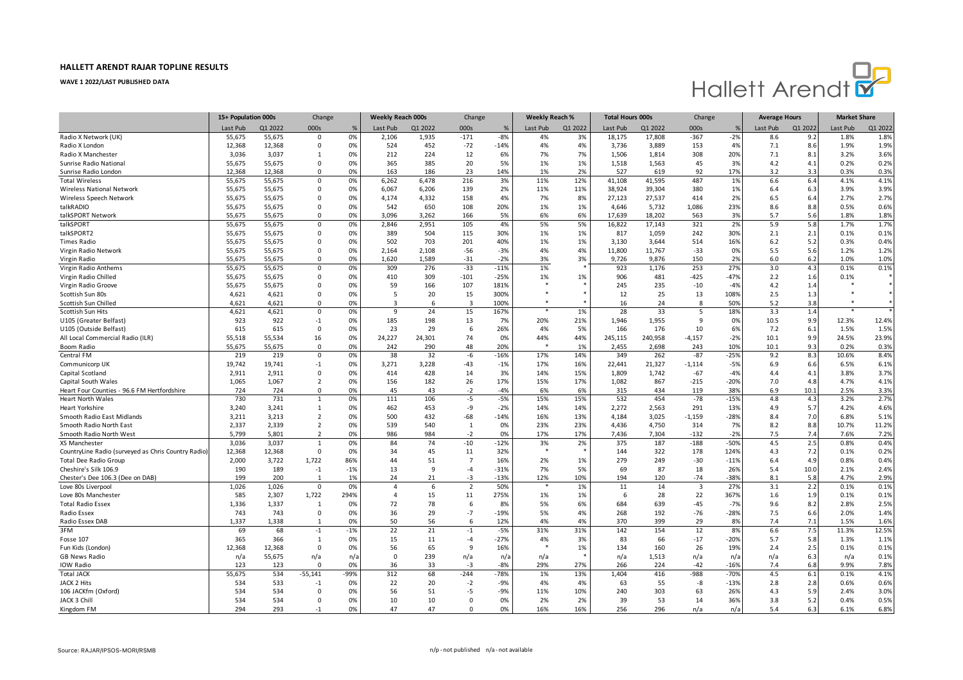

|                                                     | 15+ Population 000s |               | Change                     |          | <b>Weekly Reach 000s</b> |           | Change                  |              | <b>Weekly Reach %</b> |           | <b>Total Hours 000s</b> |              | Change         |              | <b>Average Hours</b> |            | <b>Market Share</b> |               |
|-----------------------------------------------------|---------------------|---------------|----------------------------|----------|--------------------------|-----------|-------------------------|--------------|-----------------------|-----------|-------------------------|--------------|----------------|--------------|----------------------|------------|---------------------|---------------|
|                                                     | Last Pub            | Q1 2022       | 000s                       | %        | Last Pub                 | Q1 2022   | 000s                    | %            | Last Pub              | Q1 2022   | Last Pub                | Q1 2022      | 000s           |              | Last Pub             | Q1 2022    | Last Pub            | Q1 2022       |
| Radio X Network (UK)                                | 55,675              | 55,675        | $\Omega$                   | 0%       | 2,106                    | 1,935     | $-171$                  | $-8%$        | 4%                    | 3%        | 18,175                  | 17,808       | $-367$         | $-2%$        | 8.6                  | 9.2        | 1.8%                | 1.8%          |
| Radio X London                                      | 12,368              | 12,368        | $\Omega$                   | 0%       | 524                      | 452       | $-72$                   | $-14%$       | 4%                    | 4%        | 3,736                   | 3,889        | 153            | 4%           | 7.1                  | 8.6        | 1.9%                | 1.9%          |
| Radio X Manchester                                  | 3,036               | 3,037         | 1                          | 0%       | 212                      | 224       | 12                      | 6%           | 7%                    | 7%        | 1,506                   | 1,814        | 308            | 20%          | 7.1                  | 8.1        | 3.2%                | 3.6%          |
| Sunrise Radio National                              | 55,675              | 55,675        | 0                          | 0%       | 365                      | 385       | 20                      | 5%           | 1%                    | 1%        | 1,518                   | 1,563        | 45             | 3%           | 4.2                  | 4.1        | 0.2%                | 0.2%          |
| Sunrise Radio London                                | 12.368              | 12.368        | $\mathbf 0$                | 0%       | 163                      | 186       | 23                      | 14%          | 1%                    | 2%        | 527                     | 619          | 92             | 17%          | 3.2                  | 3.3        | 0.3%                | 0.3%          |
| <b>Total Wireless</b>                               | 55,675              | 55,675        | $\mathbf 0$                | 0%       | 6,262                    | 6,478     | 216                     | 3%           | 11%                   | 12%       | 41,108                  | 41,595       | 487            | 1%           | 6.6                  | 6.4        | 4.1%                | 4.1%          |
| Wireless National Network                           | 55,675              | 55,675        | $\Omega$                   | 0%       | 6,067                    | 6,206     | 139                     | 2%           | 11%                   | 11%       | 38,924                  | 39,304       | 380            | 1%           | 6.4                  | 6.3        | 3.9%                | 3.9%          |
| Wireless Speech Network                             | 55,675              | 55,675        | $\Omega$                   | 0%       | 4,174                    | 4,332     | 158                     | 4%           | 7%                    | 8%        | 27,123                  | 27,537       | 414            | 2%           | 6.5                  | 6.4        | 2.7%                | 2.7%          |
| talkRADIO                                           | 55,675              | 55,675        | $\mathbf 0$                | 0%       | 542                      | 650       | 108                     | 20%          | 1%                    | 1%        | 4,646                   | 5,732        | 1,086          | 23%          | 8.6                  | 8.8        | 0.5%                | 0.6%          |
| talkSPORT Network                                   | 55.675              | 55,675        | $\Omega$                   | 0%       | 3.096                    | 3.262     | 166                     | 5%           | 6%                    | 6%        | 17,639                  | 18,202       | 563            | 39           | 5.7                  | 5.6        | 1.8%                | 1.8%          |
| talkSPORT                                           | 55,675              | 55,675        | $\Omega$                   | 0%       | 2,846                    | 2,951     | 105                     | 4%           | 5%                    | 5%        | 16,822                  | 17,143       | 321            | 2%           | 5.9                  | 5.8        | 1.7%                | 1.7%          |
| talkSPORT2                                          | 55,675              | 55,675        | $\Omega$                   | 0%       | 389                      | 504       | 115                     | 30%          | 1%                    | 1%        | 817                     | 1,059        | 242            | 30%          | 2.1                  | 2.1        | 0.1%                | 0.1%          |
| <b>Times Radio</b>                                  | 55,675              | 55,675        | $\Omega$                   | 0%       | 502                      | 703       | 201                     | 40%          | 1%                    | 1%        | 3,130                   | 3,644        | 514            | 16%          | 6.2                  | 5.2        | 0.3%                | 0.4%          |
| Virgin Radio Network                                | 55,675              | 55,675        | $\mathbf 0$                | 0%       | 2,164                    | 2,108     | $-56$                   | $-3%$        | 4%                    | 4%        | 11,800                  | 11,767       | $-33$          | 0%           | 5.5                  | 5.6        | 1.2%                | 1.2%          |
| Virgin Radio                                        | 55.675              | 55,675        | $\Omega$                   | 0%       | 1,620                    | 1,589     | $-31$                   | $-2%$        | 3%                    | 3%        | 9,726                   | 9,876        | 150            | 2%           | 6.0                  | 6.2        | 1.0%                | 1.0%          |
| Virgin Radio Anthems                                | 55,675              | 55,675        | $\mathbf 0$                | 0%       | 309                      | 276       | $-33$                   | $-11%$       | 1%                    |           | 923                     | 1,176        | 253            | 27%          | 3.0                  | 4.3        | 0.1%                | 0.1%          |
| Virgin Radio Chilled                                | 55,675              | 55,675        | $\Omega$                   | 0%       | 410                      | 309       | $-101$                  | $-25%$       | 1%                    | 1%        | 906                     | 481          | $-425$         | $-47%$       | 2.2                  | 1.6        | 0.1%                |               |
| Virgin Radio Groove                                 | 55,675              | 55,675        | $\Omega$                   | 0%       | 59                       | 166       | 107                     | 181%         |                       |           | 245                     | 235          | $-10$          | $-4%$        | 4.2                  | 1.4        |                     | $\ast$        |
| Scottish Sun 80s                                    | 4,621               | 4,621         | $\mathbf 0$                | 0%       | 5                        | 20        | 15                      | 300%         |                       |           | 12                      | 25           | 13             | 108%         | 2.5                  | 1.3        |                     | $\ast$        |
| Scottish Sun Chilled                                | 4,621               | 4,621         | $\Omega$                   | 0%       | 3                        | 6         | $\overline{\mathbf{3}}$ | 100%         |                       |           | 16                      | 24           | 8              | 50%          | 5.2                  | 3.8        |                     |               |
| Scottish Sun Hits                                   | 4,621               | 4,621         | $\Omega$                   | 0%       | 9                        | 24        | 15                      | 167%         |                       | 1%        | 28                      | 33           | 5              | 18%          | 3.3                  | 1.4        |                     |               |
| U105 (Greater Belfast)                              | 923                 | 922           | $-1$                       | 0%       | 185                      | 198       | 13                      | 7%           | 20%                   | 21%       | 1,946                   | 1,955        | -9             | 0%           | 10.5                 | 9.9        | 12.3%               | 12.4%         |
|                                                     | 615                 | 615           | $\mathbf 0$                | 0%       | 23                       | 29        | 6                       | 26%          | 4%                    | 5%        | 166                     | 176          | 10             | 6%           |                      |            | 1.5%                | 1.5%          |
| U105 (Outside Belfast)                              |                     |               |                            |          | 24,227                   |           | 74                      | 0%           | 44%                   |           |                         |              |                |              | 7.2                  | 6.1        | 24.5%               |               |
| All Local Commercial Radio (ILR)                    | 55,518              | 55,534        | 16                         | 0%<br>0% |                          | 24,301    | 48                      | 20%          |                       | 44%<br>1% | 245,115                 | 240,958      | $-4,157$       | $-2%$<br>10% | 10.1                 | 9.9        |                     | 23.9%<br>0.3% |
| Boom Radio<br>Central FM                            | 55,675<br>219       | 55,675<br>219 | $\mathbf 0$<br>$\mathbf 0$ | 0%       | 242                      | 290<br>32 | $-6$                    | $-16%$       | 17%                   | 14%       | 2,455<br>349            | 2,698<br>262 | 243<br>$-87$   | $-25%$       | 10.1<br>9.2          | 9.3<br>8.3 | 0.2%<br>10.6%       | 8.4%          |
|                                                     |                     |               |                            |          | 38                       |           |                         |              |                       |           |                         |              |                |              |                      |            |                     |               |
| Communicorp UK                                      | 19,742              | 19,741        | $-1$                       | 0%       | 3,271                    | 3,228     | $-43$                   | $-1%$        | 17%                   | 16%       | 22,441                  | 21,327       | $-1,114$       | $-5%$        | 6.9                  | 6.6        | 6.5%                | 6.1%          |
| Capital Scotland                                    | 2,911               | 2,911         | $\Omega$                   | 0%       | 414                      | 428       | 14                      | 3%           | 14%                   | 15%       | 1,809                   | 1,742        | $-67$          | $-4%$        | 4.4                  | 4.1        | 3.8%                | 3.7%          |
| Capital South Wales                                 | 1,065               | 1,067         | $\overline{2}$             | 0%       | 156                      | 182       | 26                      | 17%          | 15%                   | 17%       | 1,082                   | 867          | $-215$         | $-20%$       | 7.0                  | 4.8        | 4.7%                | 4.1%          |
| Heart Four Counties - 96.6 FM Hertfordshire         | 724                 | 724           | $\mathbf 0$                | 0%       | 45                       | 43        | $-2$                    | $-4%$        | 6%                    | 6%        | 315                     | 434          | 119            | 38%          | 6.9                  | 10.1       | 2.5%                | 3.3%          |
| <b>Heart North Wales</b>                            | 730                 | 731           | $\mathbf{1}$               | 0%       | 111                      | 106       | $-5$                    | $-5%$        | 15%                   | 15%       | 532                     | 454          | $-78$          | $-15%$       | 4.8                  | 4.3        | 3.2%                | 2.7%          |
| Heart Yorkshire                                     | 3.240               | 3,241         | $\mathbf{1}$               | 0%       | 462                      | 453       | -9                      | $-2%$        | 14%                   | 14%       | 2,272                   | 2,563        | 291            | 13%          | 4.9                  | 5.7        | 4.2%                | 4.6%          |
| Smooth Radio East Midlands                          | 3,211               | 3,213         | $\overline{2}$             | 0%       | 500                      | 432       | $-68$                   | $-14%$       | 16%                   | 13%       | 4,184                   | 3,025        | $-1,159$       | $-28%$       | 8.4                  | 7.0        | 6.8%                | 5.1%          |
| Smooth Radio North East                             | 2,337               | 2,339         | $\overline{2}$             | 0%       | 539                      | 540       | $\mathbf{1}$            | 0%           | 23%                   | 23%       | 4,436                   | 4,750        | 314            | 7%           | 8.2                  | 8.8        | 10.7%               | 11.2%         |
| Smooth Radio North West                             | 5,799               | 5,801         | $\overline{2}$             | 0%       | 986                      | 984       | $-2$                    | 0%           | 17%                   | 17%       | 7,436                   | 7,304        | $-132$         | $-2%$        | 7.5                  | 7.4        | 7.6%                | 7.2%          |
| XS Manchester                                       | 3,036               | 3,037         | $\mathbf{1}$               | 0%       | 84                       | 74        | $-10$                   | $-12%$       | 3%                    | 2%        | 375                     | 187          | $-188$         | $-50%$       | 4.5                  | 2.5        | 0.8%                | 0.4%          |
| CountryLine Radio (surveyed as Chris Country Radio) | 12,368              | 12,368        | 0                          | 0%       | 34                       | 45        | 11                      | 32%          |                       |           | 144                     | 322          | 178            | 124%         | 4.3                  | 7.2        | 0.1%                | 0.2%          |
| <b>Total Dee Radio Group</b>                        | 2,000               | 3,722         | 1,722                      | 86%      | 44                       | 51        | $\overline{7}$          | 16%          | 2%                    | 1%        | 279                     | 249          | $-30$          | $-11%$       | 6.4                  | 4.9        | 0.8%                | 0.4%          |
| Cheshire's Silk 106.9                               | 190                 | 189           | $-1$                       | $-1%$    | 13                       | 9         | $-4$                    | $-31%$       | 7%                    | 5%        | 69                      | 87           | 18             | 26%          | 5.4                  | 10.0       | 2.1%                | 2.4%          |
| Chester's Dee 106.3 (Dee on DAB)                    | 199                 | 200           | $\mathbf{1}$               | 1%       | 24                       | 21        | $-3$                    | $-13%$       | 12%                   | 10%       | 194                     | 120          | $-74$          | $-38%$       | 8.1                  | 5.8        | 4.7%                | 2.9%          |
| Love 80s Liverpool                                  | 1,026               | 1.026         | $\Omega$                   | 0%       | $\overline{4}$           | 6         | $\overline{2}$          | 50%          |                       | 1%        | 11                      | 14           | $\overline{3}$ | 27%          | 3.1                  | 2.2        | 0.1%                | 0.1%          |
| Love 80s Manchester                                 | 585                 | 2,307         | 1,722                      | 294%     | $\Delta$                 | 15        | 11                      | 275%         | 1%                    | 1%        | 6                       | 28           | 22             | 367%         | 1.6                  | 1.9        | 0.1%                | 0.1%          |
| <b>Total Radio Essex</b>                            | 1,336               | 1,337         | $\mathbf{1}$               | 0%       | 72                       | 78        | 6                       | 8%           | 5%                    | 6%        | 684                     | 639          | $-45$          | $-7%$        | 9.6                  | 8.2        | 2.8%                | 2.5%          |
| Radio Essex                                         | 743                 | 743           | $\mathsf 0$                | 0%       | 36                       | 29        | $-7$                    | $-19%$       | 5%                    | 4%        | 268                     | 192          | $-76$          | $-28%$       | 7.5                  | 6.6        | 2.0%                | 1.4%          |
| Radio Essex DAB                                     | 1,337               | 1,338         | $\mathbf{1}$               | 0%       | 50                       | 56        | 6                       | 12%          | 4%                    | 4%        | 370                     | 399          | 29             | 8%           | 7.4                  | 7.1        | 1.5%                | 1.6%          |
| 3FM                                                 | 69                  | 68            | $-1$                       | $-1%$    | 22                       | 21        | $-1$                    | $-5%$        | 31%                   | 31%       | 142                     | 154          | 12             | 8%           | 6.6                  | 7.5        | 11.3%               | 12.5%         |
| Fosse 107                                           | 365                 | 366           | $\mathbf{1}$               | 0%       | 15                       | 11        | $-4$                    | $-27%$       | 4%                    | 3%        | 83                      | 66           | $-17$          | $-20%$       | 5.7                  | 5.8        | 1.3%                | 1.1%          |
| Fun Kids (London)                                   | 12,368              | 12,368        | 0                          | 0%       | 56                       | 65        | 9                       | 16%          |                       | 1%        | 134                     | 160          | 26             | 19%          | 2.4                  | 2.5        | 0.1%                | 0.1%          |
| GB News Radio                                       | n/a                 | 55,675        | n/a                        | n/i      | $\mathbf 0$              | 239       | n/a                     | $n/\epsilon$ | n/a                   |           | n/a                     | 1,513        | n/a            | $n/\epsilon$ | n/a                  | 6.3        | n/a                 | 0.1%          |
| IOW Radio                                           | 123                 | 123           | $\mathbf{0}$               | 0%       | 36                       | 33        | $-3$                    | $-8%$        | 29%                   | 27%       | 266                     | 224          | $-42$          | $-16%$       | 7.4                  | 6.8        | 9.9%                | 7.8%          |
| <b>Total JACK</b>                                   | 55,675              | 534           | $-55,141$                  | -99%     | 312                      | 68        | $-244$                  | $-78%$       | 1%                    | 13%       | 1,404                   | 416          | -988           | $-70%$       | 4.5                  | 6.1        | 0.1%                | 4.1%          |
| JACK 2 Hits                                         | 534                 | 533           | $-1$                       | 0%       | 22                       | 20        | $-2$                    | $-9%$        | 4%                    | 4%        | 63                      | 55           | -8             | $-13%$       | 2.8                  | 2.8        | 0.6%                | 0.6%          |
| 106 JACKfm (Oxford)                                 | 534                 | 534           | $\mathbf{0}$               | 0%       | 56                       | 51        | -5                      | $-9%$        | 11%                   | 10%       | 240                     | 303          | 63             | 26%          | 4.3                  | 5.9        | 2.4%                | 3.0%          |
| JACK 3 Chill                                        | 534                 | 534           | $\Omega$                   | 0%       | 10                       | 10        | $\Omega$                | 0%           | 2%                    | 2%        | 39                      | 53           | 14             | 36%          | 3.8                  | 5.2        | 0.4%                | 0.5%          |
| Kingdom FM                                          | 294                 | 293           | $-1$                       | 0%       | 47                       | 47        | $\Omega$                | 0%           | 16%                   | 16%       | 256                     | 296          | n/a            | n/a          | 5.4                  | 6.3        | 6.1%                | 6.8%          |